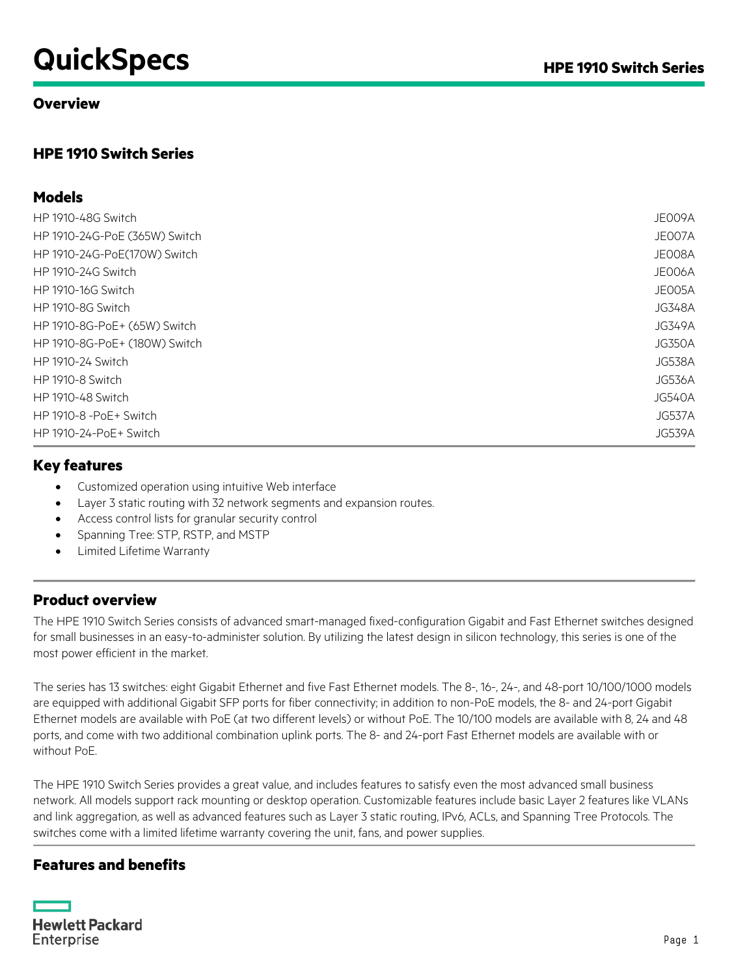# **QuickSpecs** *HPE 1910 Switch Series*

### **Overview**

### **HPE 1910 Switch Series**

### **Models**

| HP 1910-48G Switch            | JE009A        |
|-------------------------------|---------------|
| HP 1910-24G-PoE (365W) Switch | JE007A        |
| HP 1910-24G-PoE(170W) Switch  | JE008A        |
| HP 1910-24G Switch            | JE006A        |
| <b>HP 1910-16G Switch</b>     | JE005A        |
| HP 1910-8G Switch             | <b>JG348A</b> |
| HP 1910-8G-PoE+ (65W) Switch  | <b>JG349A</b> |
| HP 1910-8G-PoE+ (180W) Switch | <b>JG350A</b> |
| HP 1910-24 Switch             | <b>JG538A</b> |
| HP 1910-8 Switch              | <b>JG536A</b> |
| HP 1910-48 Switch             | <b>JG540A</b> |
| HP 1910-8 - PoE + Switch      | JG537A        |
| HP 1910-24-PoE+ Switch        | <b>JG539A</b> |
|                               |               |

### **Key features**

- Customized operation using intuitive Web interface
- Layer 3 static routing with 32 network segments and expansion routes.
- Access control lists for granular security control
- Spanning Tree: STP, RSTP, and MSTP
- Limited Lifetime Warranty

### **Product overview**

The HPE 1910 Switch Series consists of advanced smart-managed fixed-configuration Gigabit and Fast Ethernet switches designed for small businesses in an easy-to-administer solution. By utilizing the latest design in silicon technology, this series is one of the most power efficient in the market.

The series has 13 switches: eight Gigabit Ethernet and five Fast Ethernet models. The 8-, 16-, 24-, and 48-port 10/100/1000 models are equipped with additional Gigabit SFP ports for fiber connectivity; in addition to non-PoE models, the 8- and 24-port Gigabit Ethernet models are available with PoE (at two different levels) or without PoE. The 10/100 models are available with 8, 24 and 48 ports, and come with two additional combination uplink ports. The 8- and 24-port Fast Ethernet models are available with or without PoE.

The HPE 1910 Switch Series provides a great value, and includes features to satisfy even the most advanced small business network. All models support rack mounting or desktop operation. Customizable features include basic Layer 2 features like VLANs and link aggregation, as well as advanced features such as Layer 3 static routing, IPv6, ACLs, and Spanning Tree Protocols. The switches come with a limited lifetime warranty covering the unit, fans, and power supplies.

### **Features and benefits**

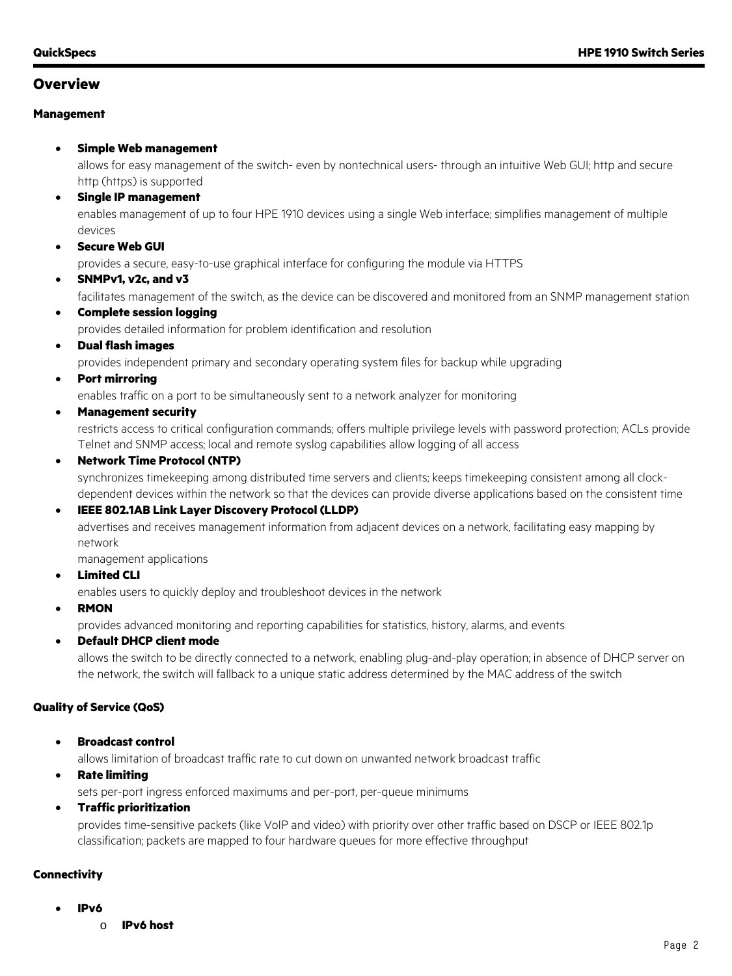#### **Management**

#### • **Simple Web management**

allows for easy management of the switch- even by nontechnical users- through an intuitive Web GUI; http and secure http (https) is supported

• **Single IP management**

enables management of up to four HPE 1910 devices using a single Web interface; simplifies management of multiple devices

**Secure Web GUI** 

provides a secure, easy-to-use graphical interface for configuring the module via HTTPS

• **SNMPv1, v2c, and v3**

facilitates management of the switch, as the device can be discovered and monitored from an SNMP management station

• **Complete session logging**

provides detailed information for problem identification and resolution

• **Dual flash images**

provides independent primary and secondary operating system files for backup while upgrading

• **Port mirroring**

enables traffic on a port to be simultaneously sent to a network analyzer for monitoring

• **Management security**

restricts access to critical configuration commands; offers multiple privilege levels with password protection; ACLs provide Telnet and SNMP access; local and remote syslog capabilities allow logging of all access

#### • **Network Time Protocol (NTP)**

synchronizes timekeeping among distributed time servers and clients; keeps timekeeping consistent among all clockdependent devices within the network so that the devices can provide diverse applications based on the consistent time

#### • **IEEE 802.1AB Link Layer Discovery Protocol (LLDP)**

advertises and receives management information from adjacent devices on a network, facilitating easy mapping by network

management applications

• **Limited CLI**

enables users to quickly deploy and troubleshoot devices in the network

• **RMON**

provides advanced monitoring and reporting capabilities for statistics, history, alarms, and events

#### • **Default DHCP client mode**

allows the switch to be directly connected to a network, enabling plug-and-play operation; in absence of DHCP server on the network, the switch will fallback to a unique static address determined by the MAC address of the switch

#### **Quality of Service (QoS)**

• **Broadcast control**

allows limitation of broadcast traffic rate to cut down on unwanted network broadcast traffic

• **Rate limiting**

sets per-port ingress enforced maximums and per-port, per-queue minimums

• **Traffic prioritization**

provides time-sensitive packets (like VoIP and video) with priority over other traffic based on DSCP or IEEE 802.1p classification; packets are mapped to four hardware queues for more effective throughput

#### **Connectivity**

• **IPv6**

o **IPv6 host**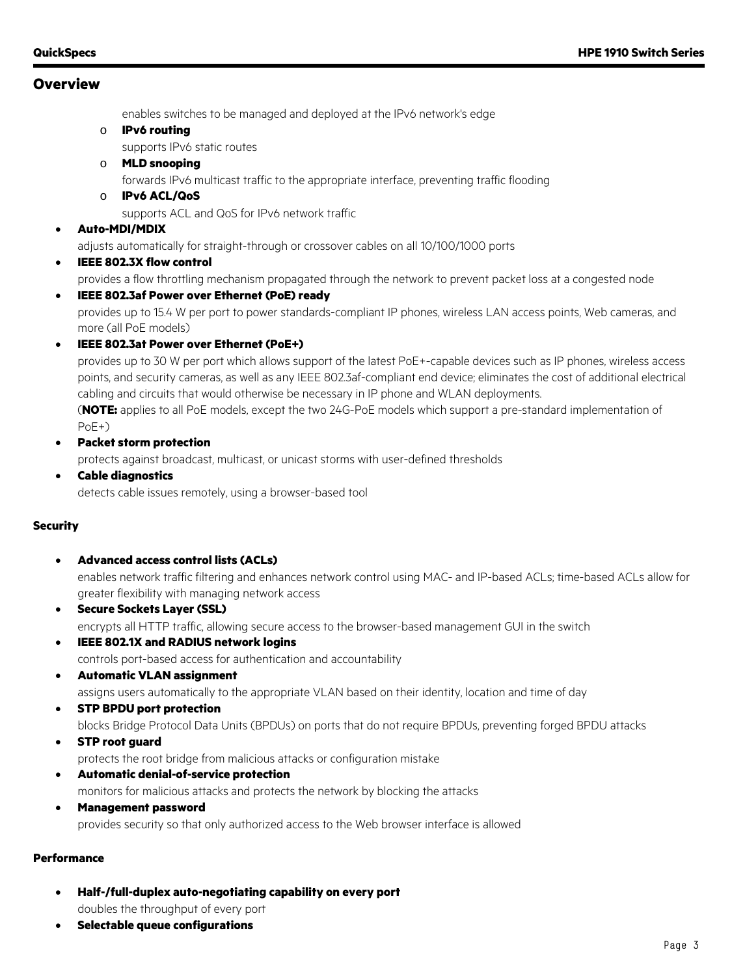enables switches to be managed and deployed at the IPv6 network's edge

- o **IPv6 routing**
	- supports IPv6 static routes
- o **MLD snooping**

forwards IPv6 multicast traffic to the appropriate interface, preventing traffic flooding

o **IPv6 ACL/QoS**

supports ACL and QoS for IPv6 network traffic

• **Auto-MDI/MDIX**

adjusts automatically for straight-through or crossover cables on all 10/100/1000 ports

**IEEE 802.3X flow control** 

provides a flow throttling mechanism propagated through the network to prevent packet loss at a congested node

- **IEEE 802.3af Power over Ethernet (PoE) ready** provides up to 15.4 W per port to power standards-compliant IP phones, wireless LAN access points, Web cameras, and more (all PoE models)
- **IEEE 802.3at Power over Ethernet (PoE+)**

provides up to 30 W per port which allows support of the latest PoE+-capable devices such as IP phones, wireless access points, and security cameras, as well as any IEEE 802.3af-compliant end device; eliminates the cost of additional electrical cabling and circuits that would otherwise be necessary in IP phone and WLAN deployments.

(**NOTE:** applies to all PoE models, except the two 24G-PoE models which support a pre-standard implementation of PoE+)

• **Packet storm protection**

protects against broadcast, multicast, or unicast storms with user-defined thresholds

• **Cable diagnostics**

detects cable issues remotely, using a browser-based tool

#### **Security**

• **Advanced access control lists (ACLs)**

enables network traffic filtering and enhances network control using MAC- and IP-based ACLs; time-based ACLs allow for greater flexibility with managing network access

- **Secure Sockets Layer (SSL)** encrypts all HTTP traffic, allowing secure access to the browser-based management GUI in the switch
- **IEEE 802.1X and RADIUS network logins** controls port-based access for authentication and accountability
- **Automatic VLAN assignment** assigns users automatically to the appropriate VLAN based on their identity, location and time of day
- **STP BPDU port protection** blocks Bridge Protocol Data Units (BPDUs) on ports that do not require BPDUs, preventing forged BPDU attacks
- **STP root guard** protects the root bridge from malicious attacks or configuration mistake
- **Automatic denial-of-service protection** monitors for malicious attacks and protects the network by blocking the attacks
- **Management password**

provides security so that only authorized access to the Web browser interface is allowed

#### **Performance**

- **Half-/full-duplex auto-negotiating capability on every port** doubles the throughput of every port
- **Selectable queue configurations**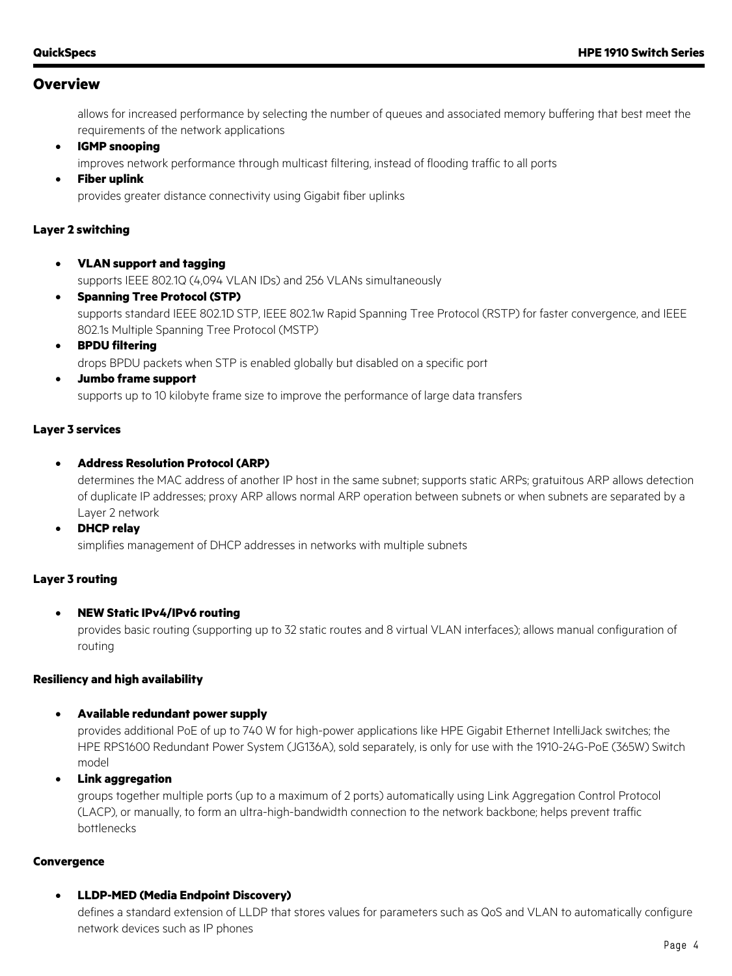allows for increased performance by selecting the number of queues and associated memory buffering that best meet the requirements of the network applications

- **IGMP snooping**
	- improves network performance through multicast filtering, instead of flooding traffic to all ports
- **Fiber uplink**

provides greater distance connectivity using Gigabit fiber uplinks

#### **Layer 2 switching**

- **VLAN support and tagging** supports IEEE 802.1Q (4,094 VLAN IDs) and 256 VLANs simultaneously
- **Spanning Tree Protocol (STP)** supports standard IEEE 802.1D STP, IEEE 802.1w Rapid Spanning Tree Protocol (RSTP) for faster convergence, and IEEE 802.1s Multiple Spanning Tree Protocol (MSTP)
- **BPDU filtering** drops BPDU packets when STP is enabled globally but disabled on a specific port
- **Jumbo frame support**

supports up to 10 kilobyte frame size to improve the performance of large data transfers

#### **Layer 3 services**

#### • **Address Resolution Protocol (ARP)**

determines the MAC address of another IP host in the same subnet; supports static ARPs; gratuitous ARP allows detection of duplicate IP addresses; proxy ARP allows normal ARP operation between subnets or when subnets are separated by a Layer 2 network

• **DHCP relay**

simplifies management of DHCP addresses in networks with multiple subnets

#### **Layer 3 routing**

#### • **NEW Static IPv4/IPv6 routing**

provides basic routing (supporting up to 32 static routes and 8 virtual VLAN interfaces); allows manual configuration of routing

#### **Resiliency and high availability**

#### • **Available redundant power supply**

provides additional PoE of up to 740 W for high-power applications like HPE Gigabit Ethernet IntelliJack switches; the HPE RPS1600 Redundant Power System (JG136A), sold separately, is only for use with the 1910-24G-PoE (365W) Switch model

#### • **Link aggregation**

groups together multiple ports (up to a maximum of 2 ports) automatically using Link Aggregation Control Protocol (LACP), or manually, to form an ultra-high-bandwidth connection to the network backbone; helps prevent traffic bottlenecks

#### **Convergence**

#### • **LLDP-MED (Media Endpoint Discovery)**

defines a standard extension of LLDP that stores values for parameters such as QoS and VLAN to automatically configure network devices such as IP phones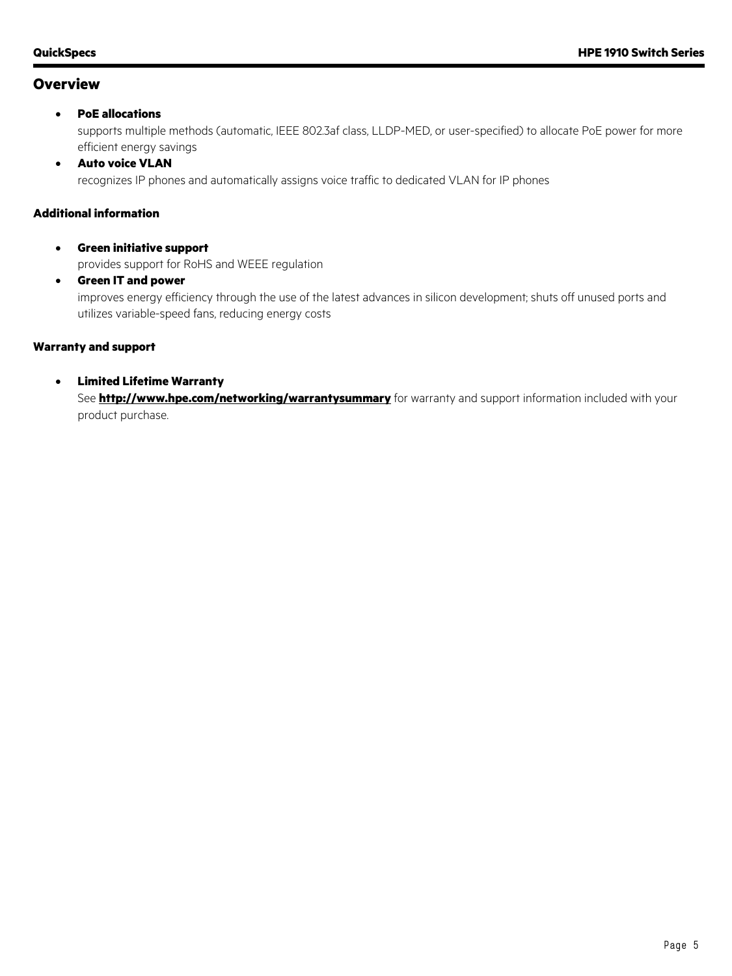#### • **PoE allocations**

supports multiple methods (automatic, IEEE 802.3af class, LLDP-MED, or user-specified) to allocate PoE power for more efficient energy savings

• **Auto voice VLAN**

recognizes IP phones and automatically assigns voice traffic to dedicated VLAN for IP phones

#### **Additional information**

• **Green initiative support**

provides support for RoHS and WEEE regulation

• **Green IT and power**

improves energy efficiency through the use of the latest advances in silicon development; shuts off unused ports and utilizes variable-speed fans, reducing energy costs

#### **Warranty and support**

#### • **Limited Lifetime Warranty**

See **<http://www.hpe.com/networking/warrantysummary>** for warranty and support information included with your product purchase.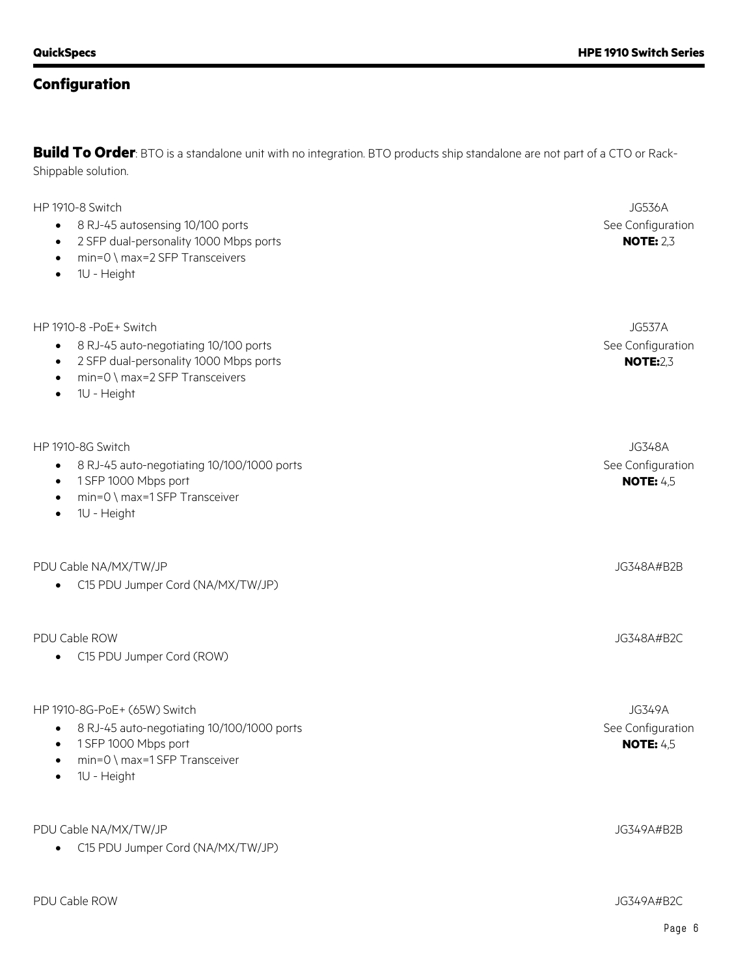**Build To Order**: BTO is a standalone unit with no integration. BTO products ship standalone are not part of a CTO or Rack-Shippable solution.

| HP 1910-8 Switch<br>8 RJ-45 autosensing 10/100 ports<br>$\bullet$<br>2 SFP dual-personality 1000 Mbps ports<br>$\bullet$<br>min=0 \ max=2 SFP Transceivers<br>1U - Height    | <b>JG536A</b><br>See Configuration<br><b>NOTE: 2,3</b> |
|------------------------------------------------------------------------------------------------------------------------------------------------------------------------------|--------------------------------------------------------|
| HP 1910-8 -PoE+ Switch<br>8 RJ-45 auto-negotiating 10/100 ports<br>٠<br>2 SFP dual-personality 1000 Mbps ports<br>$\bullet$<br>min=0 \ max=2 SFP Transceivers<br>1U - Height | <b>JG537A</b><br>See Configuration<br><b>NOTE:2,3</b>  |
| HP 1910-8G Switch<br>8 RJ-45 auto-negotiating 10/100/1000 ports<br>$\bullet$<br>1 SFP 1000 Mbps port<br>min=0 \ max=1 SFP Transceiver<br>1U - Height                         | <b>JG348A</b><br>See Configuration<br><b>NOTE: 4,5</b> |
| PDU Cable NA/MX/TW/JP<br>C15 PDU Jumper Cord (NA/MX/TW/JP)                                                                                                                   | JG348A#B2B                                             |
| PDU Cable ROW<br>C15 PDU Jumper Cord (ROW)                                                                                                                                   | JG348A#B2C                                             |
| HP 1910-8G-PoE+ (65W) Switch<br>8 RJ-45 auto-negotiating 10/100/1000 ports<br>1 SFP 1000 Mbps port<br>1U - Height                                                            | <b>JG349A</b><br>See Configuration<br><b>NOTE: 4,5</b> |
| PDU Cable NA/MX/TW/JP<br>C15 PDU Jumper Cord (NA/MX/TW/JP)                                                                                                                   | JG349A#B2B                                             |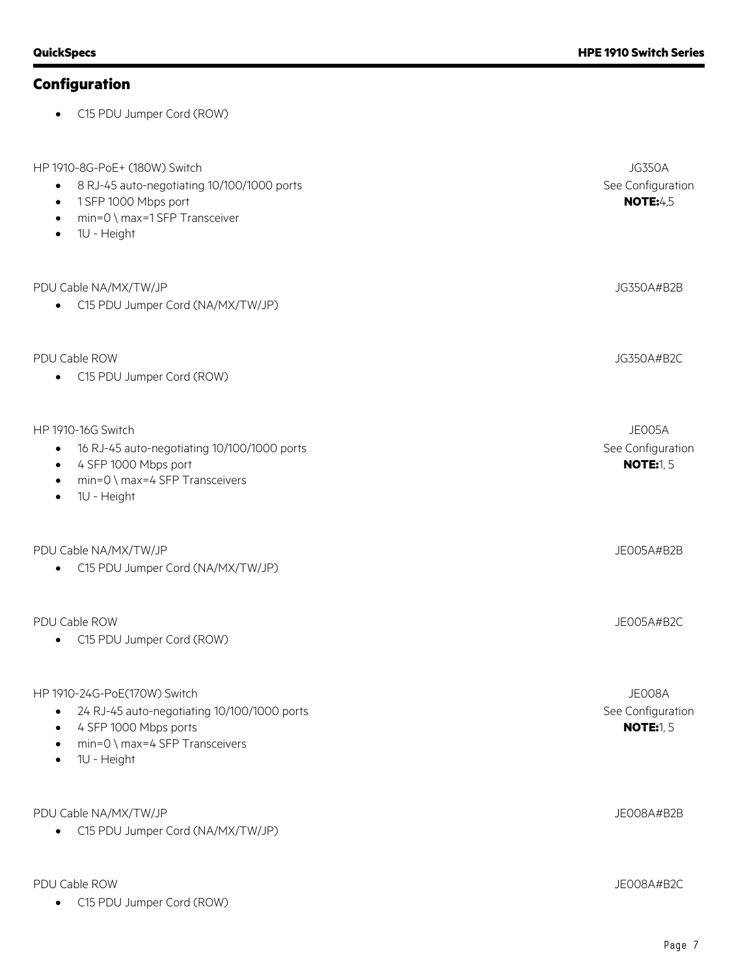• C15 PDU Jumper Cord (ROW)

| HP 1910-8G-PoE+ (180W) Switch                                                                | <b>JG350A</b>                         |
|----------------------------------------------------------------------------------------------|---------------------------------------|
| 8 RJ-45 auto-negotiating 10/100/1000 ports<br>$\bullet$<br>1 SFP 1000 Mbps port<br>$\bullet$ | See Configuration<br><b>NOTE:4,5</b>  |
| min=0 \ max=1 SFP Transceiver<br>$\bullet$<br>1U - Height<br>$\bullet$                       |                                       |
| PDU Cable NA/MX/TW/JP                                                                        | JG350A#B2B                            |
| C15 PDU Jumper Cord (NA/MX/TW/JP)                                                            |                                       |
| PDU Cable ROW                                                                                | JG350A#B2C                            |
| C15 PDU Jumper Cord (ROW)<br>$\bullet$                                                       |                                       |
| HP 1910-16G Switch                                                                           | JE005A                                |
| 16 RJ-45 auto-negotiating 10/100/1000 ports<br>٠<br>4 SFP 1000 Mbps port<br>$\bullet$        | See Configuration<br><b>NOTE:1, 5</b> |
| min=0 \ max=4 SFP Transceivers<br>$\bullet$<br>1U - Height<br>$\bullet$                      |                                       |
| PDU Cable NA/MX/TW/JP                                                                        | JE005A#B2B                            |
| C15 PDU Jumper Cord (NA/MX/TW/JP)                                                            |                                       |
| PDU Cable ROW                                                                                | JE005A#B2C                            |
| C15 PDU Jumper Cord (ROW)                                                                    |                                       |
| HP 1910-24G-PoE(170W) Switch                                                                 | <b>JE008A</b>                         |
| • 24 RJ-45 auto-negotiating 10/100/1000 ports<br>4 SFP 1000 Mbps ports<br>$\bullet$          | See Configuration<br><b>NOTE:1, 5</b> |
| min=0 \ max=4 SFP Transceivers<br>1U - Height                                                |                                       |
| PDU Cable NA/MX/TW/JP                                                                        | JEO08A#B2B                            |
| C15 PDU Jumper Cord (NA/MX/TW/JP)                                                            |                                       |
| PDU Cable ROW                                                                                | JE008A#B2C                            |
| C15 PDU Jumper Cord (ROW)<br>$\bullet$                                                       |                                       |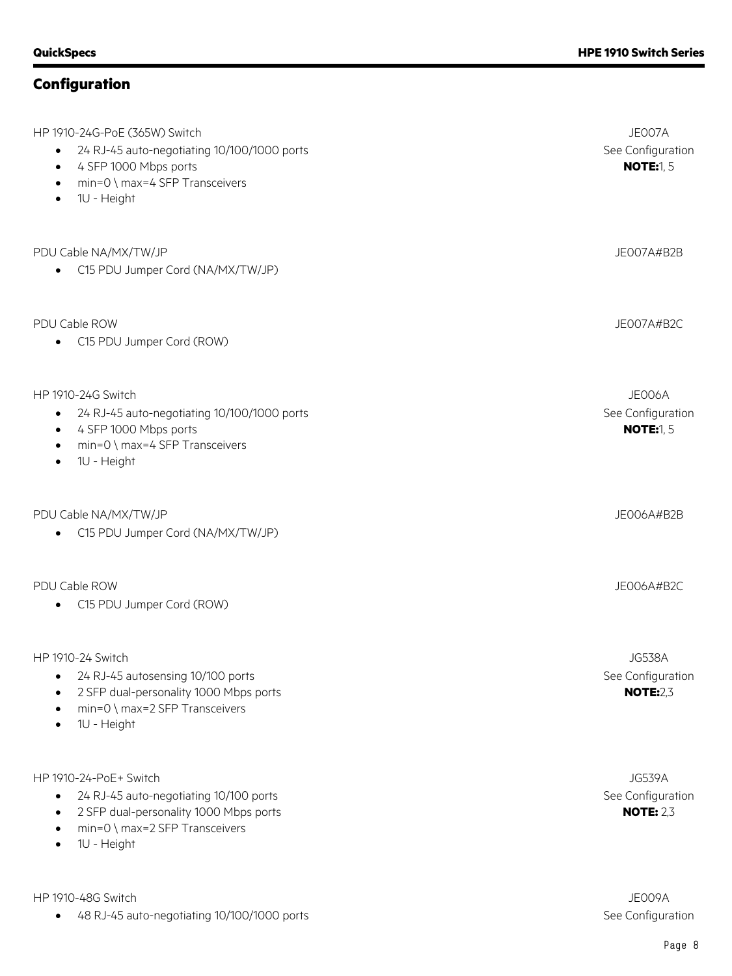| HP 1910-24G-PoE (365W) Switch<br>24 RJ-45 auto-negotiating 10/100/1000 ports<br>$\bullet$<br>4 SFP 1000 Mbps ports<br>$\bullet$<br>min=0 \ max=4 SFP Transceivers<br>$\bullet$<br>1U - Height<br>$\bullet$      | JE007A<br>See Configuration<br><b>NOTE:1, 5</b>        |
|-----------------------------------------------------------------------------------------------------------------------------------------------------------------------------------------------------------------|--------------------------------------------------------|
| PDU Cable NA/MX/TW/JP<br>C15 PDU Jumper Cord (NA/MX/TW/JP)<br>$\bullet$                                                                                                                                         | JEO07A#B2B                                             |
| PDU Cable ROW<br>C15 PDU Jumper Cord (ROW)<br>$\bullet$                                                                                                                                                         | JE007A#B2C                                             |
| HP 1910-24G Switch<br>24 RJ-45 auto-negotiating 10/100/1000 ports<br>$\bullet$<br>4 SFP 1000 Mbps ports<br>$\bullet$<br>min=0 \ max=4 SFP Transceivers<br>$\bullet$<br>1U - Height<br>$\bullet$                 | <b>JE006A</b><br>See Configuration<br><b>NOTE:1, 5</b> |
| PDU Cable NA/MX/TW/JP<br>C15 PDU Jumper Cord (NA/MX/TW/JP)                                                                                                                                                      | JE006A#B2B                                             |
| PDU Cable ROW<br>C15 PDU Jumper Cord (ROW)<br>$\bullet$                                                                                                                                                         | JE006A#B2C                                             |
| HP 1910-24 Switch<br>24 RJ-45 autosensing 10/100 ports<br>2 SFP dual-personality 1000 Mbps ports<br>min=0 \ max=2 SFP Transceivers<br>$\bullet$<br>1U - Height<br>$\bullet$                                     | <b>JG538A</b><br>See Configuration<br><b>NOTE:2,3</b>  |
| HP 1910-24-PoE+ Switch<br>24 RJ-45 auto-negotiating 10/100 ports<br>$\bullet$<br>2 SFP dual-personality 1000 Mbps ports<br>$\bullet$<br>min=0 \ max=2 SFP Transceivers<br>$\bullet$<br>1U - Height<br>$\bullet$ | <b>JG539A</b><br>See Configuration<br><b>NOTE: 2,3</b> |
| HP 1910-48G Switch                                                                                                                                                                                              | JE009A                                                 |

• 48 RJ-45 auto-negotiating 10/100/1000 ports See Configuration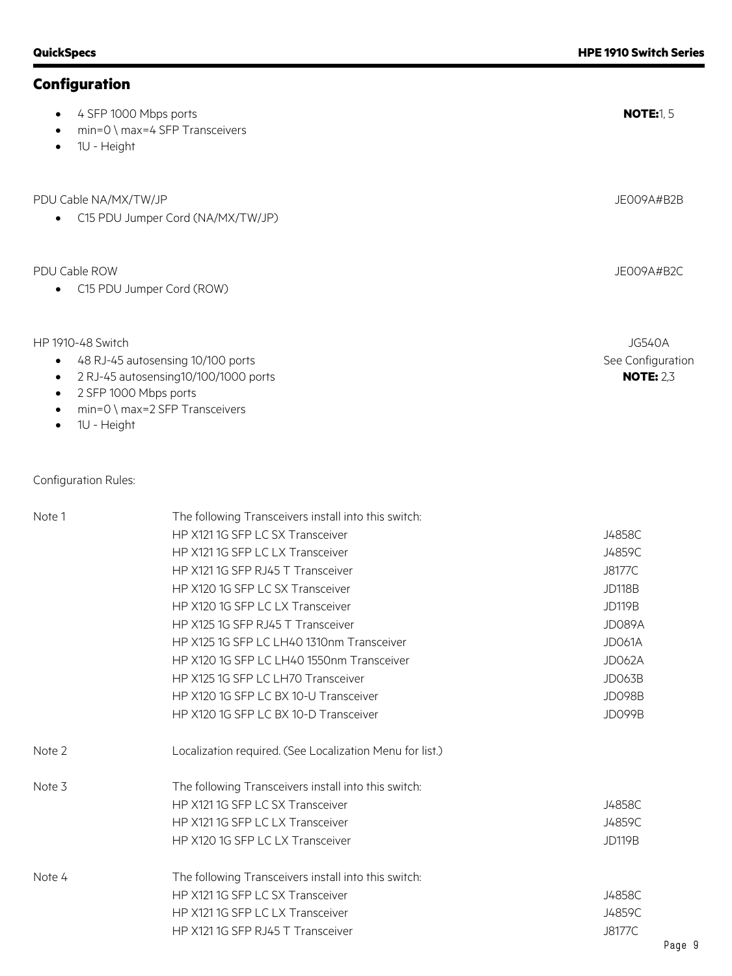|                       | 4 SFP 1000 Mbps ports<br>min=0 \ max=4 SFP Transceivers<br>1U - Height                                                               |                                       |  |
|-----------------------|--------------------------------------------------------------------------------------------------------------------------------------|---------------------------------------|--|
| PDU Cable NA/MX/TW/JP | C15 PDU Jumper Cord (NA/MX/TW/JP)                                                                                                    | JE009A#B2B                            |  |
|                       |                                                                                                                                      |                                       |  |
| PDU Cable ROW         |                                                                                                                                      | JE009A#B2C                            |  |
|                       | C15 PDU Jumper Cord (ROW)                                                                                                            |                                       |  |
| HP 1910-48 Switch     |                                                                                                                                      | <b>JG540A</b>                         |  |
| $\bullet$             | 48 RJ-45 autosensing 10/100 ports<br>2 RJ-45 autosensing10/100/1000 ports<br>2 SFP 1000 Mbps ports<br>min=0 \ max=2 SFP Transceivers | See Configuration<br><b>NOTE: 2,3</b> |  |
| 1U - Height           |                                                                                                                                      |                                       |  |
| Configuration Rules:  |                                                                                                                                      |                                       |  |
| Note 1                | The following Transceivers install into this switch:                                                                                 |                                       |  |
|                       | HP X121 1G SFP LC SX Transceiver                                                                                                     | J4858C                                |  |
|                       | HP X121 1G SFP LC LX Transceiver                                                                                                     | J4859C                                |  |
|                       | HP X121 1G SFP RJ45 T Transceiver                                                                                                    | J8177C                                |  |
|                       | HP X120 1G SFP LC SX Transceiver                                                                                                     | <b>JD118B</b>                         |  |
|                       | HP X120 1G SFP LC LX Transceiver                                                                                                     | <b>JD119B</b>                         |  |
|                       | HP X125 1G SFP RJ45 T Transceiver                                                                                                    | JD089A                                |  |
|                       | HP X125 1G SFP LC LH40 1310nm Transceiver                                                                                            | <b>JD061A</b>                         |  |
|                       | HP X120 1G SFP LC LH40 1550nm Transceiver                                                                                            | <b>JD062A</b>                         |  |
|                       | HP X125 1G SFP LC LH70 Transceiver                                                                                                   | JD063B                                |  |
|                       | HP X120 1G SFP LC BX 10-U Transceiver                                                                                                | <b>JD098B</b>                         |  |
|                       | HP X120 1G SFP LC BX 10-D Transceiver                                                                                                | JD099B                                |  |
| Note 2                | Localization required. (See Localization Menu for list.)                                                                             |                                       |  |
| Note 3                | The following Transceivers install into this switch:                                                                                 |                                       |  |
|                       | HP X121 1G SFP LC SX Transceiver                                                                                                     | J4858C                                |  |
|                       | HP X121 1G SFP LC LX Transceiver                                                                                                     | J4859C                                |  |
|                       | HP X120 1G SFP LC LX Transceiver                                                                                                     | <b>JD119B</b>                         |  |
| Note 4                | The following Transceivers install into this switch:                                                                                 |                                       |  |
|                       | HP X121 1G SFP LC SX Transceiver                                                                                                     | J4858C                                |  |
|                       | HP X121 1G SFP LC LX Transceiver                                                                                                     | J4859C                                |  |
|                       | HP X121 1G SFP RJ45 T Transceiver                                                                                                    | <b>J8177C</b>                         |  |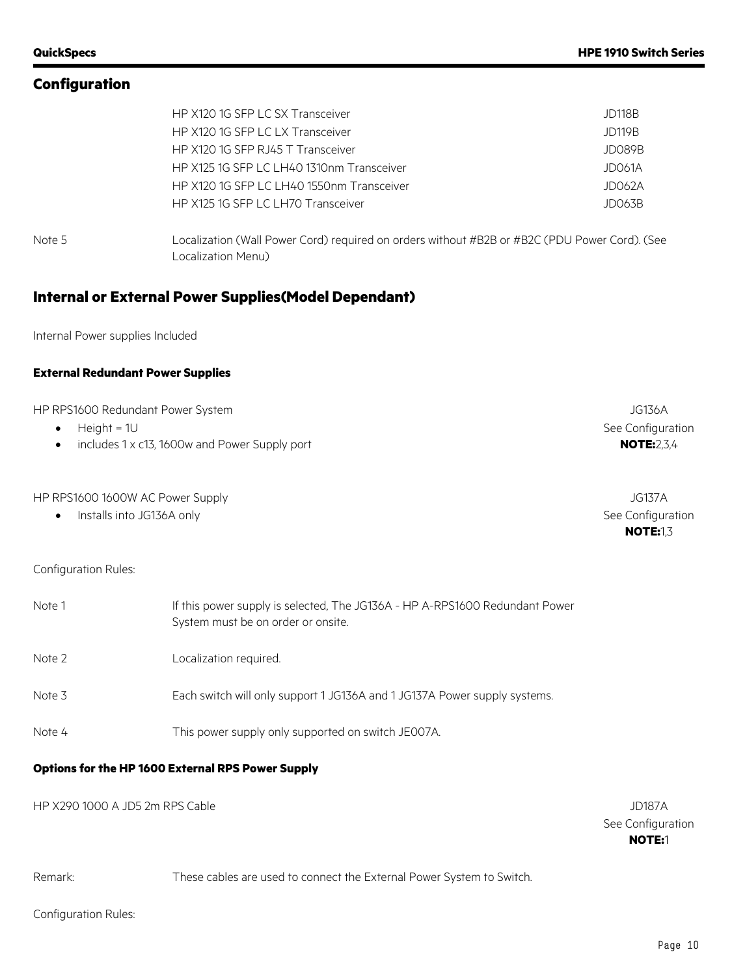|        | HP X120 1G SFP LC SX Transceiver                                                              | <b>JD118B</b> |
|--------|-----------------------------------------------------------------------------------------------|---------------|
|        | HP X120 1G SFP LC LX Transceiver                                                              | <b>JD119B</b> |
|        | HP X120 1G SFP RJ45 T Transceiver                                                             | JD089B        |
|        | HP X125 1G SFP LC LH40 1310nm Transceiver                                                     | JD061A        |
|        | HP X120 1G SFP LC LH40 1550nm Transceiver                                                     | JD062A        |
|        | HP X125 1G SFP LC LH70 Transceiver                                                            | JD063B        |
| Note 5 | Localization (Wall Power Cord) required on orders without #B2B or #B2C (PDU Power Cord). (See |               |

### **Internal or External Power Supplies(Model Dependant)**

Localization Menu)

Internal Power supplies Included

#### **External Redundant Power Supplies**

| HP RPS1600 Redundant Power System             | JG136A             |
|-----------------------------------------------|--------------------|
| $\bullet$ Height = 1U                         | See Configuration  |
| includes 1 x c13, 1600w and Power Supply port | <b>NOTE:</b> 2.3.4 |

| HP RPS1600 1600W AC Power Supply | <b>JG137A</b> |
|----------------------------------|---------------|
| .                                |               |

• Installs into JG136A only See Configuration

Configuration Rules:

| Note 1 | If this power supply is selected, The JG136A - HP A-RPS1600 Redundant Power<br>System must be on order or onsite. |
|--------|-------------------------------------------------------------------------------------------------------------------|
| Note 2 | Localization required.                                                                                            |
| Note 3 | Each switch will only support 1 JG136A and 1 JG137A Power supply systems.                                         |
| Note 4 | This power supply only supported on switch JEOO7A.                                                                |

#### **Options for the HP 1600 External RPS Power Supply**

HP X290 1000 A JD5 2m RPS Cable JD187A

See Configuration **NOTE:**1

**NOTE:**1,3

Remark: These cables are used to connect the External Power System to Switch.

Configuration Rules: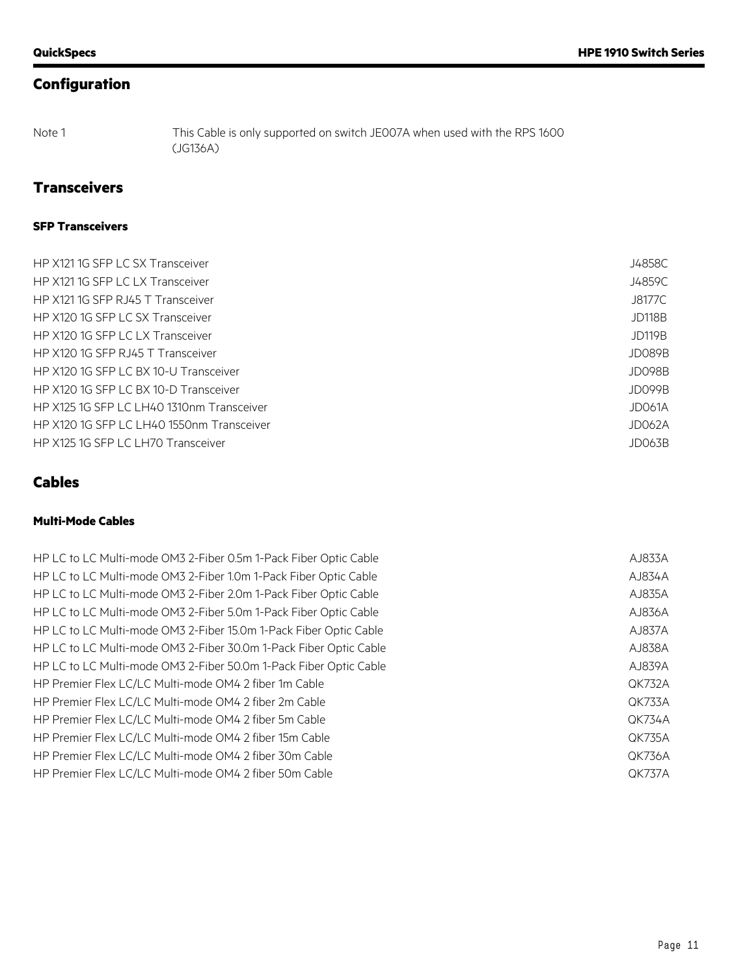Note 1 This Cable is only supported on switch JE007A when used with the RPS 1600 (JG136A)

### **Transceivers**

#### **SFP Transceivers**

| HP X121 1G SFP LC SX Transceiver          | J4858C        |
|-------------------------------------------|---------------|
| HP X121 1G SFP LC LX Transceiver          | J4859C        |
| HP X121 1G SFP RJ45 T Transceiver         | J8177C        |
| HP X120 1G SFP LC SX Transceiver          | <b>JD118B</b> |
| HP X120 1G SFP LC LX Transceiver          | <b>JD119B</b> |
| HP X120 1G SFP RJ45 T Transceiver         | JD089B        |
| HP X120 1G SFP LC BX 10-U Transceiver     | JD098B        |
| HP X120 1G SFP LC BX 10-D Transceiver     | JD099B        |
| HP X125 1G SFP LC LH40 1310nm Transceiver | JD061A        |
| HP X120 1G SFP LC LH40 1550nm Transceiver | JD062A        |
| HP X125 1G SFP LC LH70 Transceiver        | JD063B        |

### **Cables**

#### **Multi-Mode Cables**

| HP LC to LC Multi-mode OM3 2-Fiber 0.5m 1-Pack Fiber Optic Cable  | AJ833A        |
|-------------------------------------------------------------------|---------------|
| HP LC to LC Multi-mode OM3 2-Fiber 1.0m 1-Pack Fiber Optic Cable  | AJ834A        |
| HP LC to LC Multi-mode OM3 2-Fiber 2.0m 1-Pack Fiber Optic Cable  | AJ835A        |
| HP LC to LC Multi-mode OM3 2-Fiber 5.0m 1-Pack Fiber Optic Cable  | AJ836A        |
| HP LC to LC Multi-mode OM3 2-Fiber 15.0m 1-Pack Fiber Optic Cable | AJ837A        |
| HP LC to LC Multi-mode OM3 2-Fiber 30.0m 1-Pack Fiber Optic Cable | AJ838A        |
| HP LC to LC Multi-mode OM3 2-Fiber 50.0m 1-Pack Fiber Optic Cable | AJ839A        |
| HP Premier Flex LC/LC Multi-mode OM4 2 fiber 1m Cable             | QK732A        |
| HP Premier Flex LC/LC Multi-mode OM4 2 fiber 2m Cable             | QK733A        |
| HP Premier Flex LC/LC Multi-mode OM4 2 fiber 5m Cable             | <b>QK734A</b> |
| HP Premier Flex LC/LC Multi-mode OM4 2 fiber 15m Cable            | <b>QK735A</b> |
| HP Premier Flex LC/LC Multi-mode OM4 2 fiber 30m Cable            | <b>QK736A</b> |
| HP Premier Flex LC/LC Multi-mode OM4 2 fiber 50m Cable            | <b>OK737A</b> |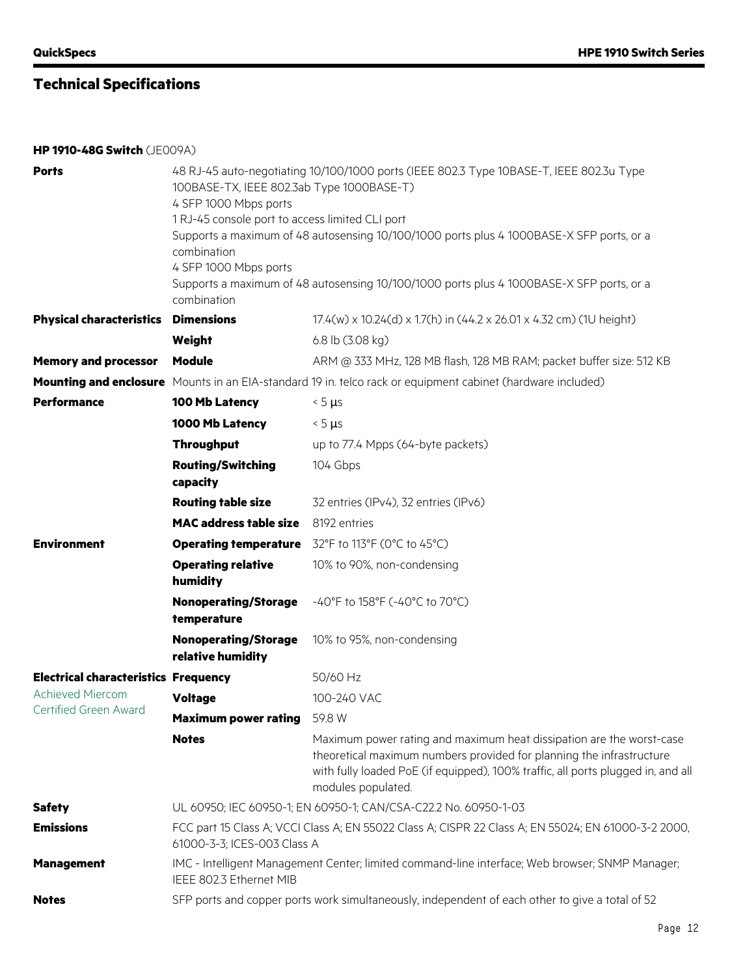| HP 1910-48G Switch (JE009A)     |                                                                                                                                                                                                                                                                                                                                                                                                                                                                 |                                                                     |
|---------------------------------|-----------------------------------------------------------------------------------------------------------------------------------------------------------------------------------------------------------------------------------------------------------------------------------------------------------------------------------------------------------------------------------------------------------------------------------------------------------------|---------------------------------------------------------------------|
| Ports                           | 48 RJ-45 auto-negotiating 10/100/1000 ports (IEEE 802.3 Type 10BASE-T, IEEE 802.3u Type<br>100BASE-TX, IEEE 802.3ab Type 1000BASE-T)<br>4 SFP 1000 Mbps ports<br>1 RJ-45 console port to access limited CLI port<br>Supports a maximum of 48 autosensing 10/100/1000 ports plus 4 1000BASE-X SFP ports, or a<br>combination<br>4 SFP 1000 Mbps ports<br>Supports a maximum of 48 autosensing 10/100/1000 ports plus 4 1000BASE-X SFP ports, or a<br>combination |                                                                     |
| <b>Physical characteristics</b> | <b>Dimensions</b>                                                                                                                                                                                                                                                                                                                                                                                                                                               | 17.4(w) x 10.24(d) x 1.7(h) in (44.2 x 26.01 x 4.32 cm) (1U height) |
|                                 | Weight                                                                                                                                                                                                                                                                                                                                                                                                                                                          | 6.8 lb (3.08 kg)                                                    |
| <b>Memory and processor</b>     | <b>Module</b>                                                                                                                                                                                                                                                                                                                                                                                                                                                   | ARM @ 333 MHz, 128 MB flash, 128 MB RAM; packet buffer size: 512 KB |
|                                 | Mounting and enclosure Mounts in an EIA-standard 19 in. telco rack or equipment cabinet (hardware included)                                                                                                                                                                                                                                                                                                                                                     |                                                                     |
| Performance                     | 100 Mb Latency                                                                                                                                                                                                                                                                                                                                                                                                                                                  | $< 5 \mu s$                                                         |
|                                 | 1000 Mb Latency                                                                                                                                                                                                                                                                                                                                                                                                                                                 | $\leq 5 \mu s$                                                      |
|                                 | Throughput                                                                                                                                                                                                                                                                                                                                                                                                                                                      | up to 77.4 Mpps (64-byte packets)                                   |
|                                 | Douting/Switching                                                                                                                                                                                                                                                                                                                                                                                                                                               | $10/6$ Chne                                                         |

|                                             | <b>Routing/Switching</b><br>capacity                                                                                               | 104 Gbps                                                                                                                                                                                                                                               |
|---------------------------------------------|------------------------------------------------------------------------------------------------------------------------------------|--------------------------------------------------------------------------------------------------------------------------------------------------------------------------------------------------------------------------------------------------------|
|                                             | <b>Routing table size</b>                                                                                                          | 32 entries (IPv4), 32 entries (IPv6)                                                                                                                                                                                                                   |
|                                             | <b>MAC address table size</b>                                                                                                      | 8192 entries                                                                                                                                                                                                                                           |
| <b>Environment</b>                          | <b>Operating temperature</b>                                                                                                       | 32°F to 113°F (0°C to 45°C)                                                                                                                                                                                                                            |
|                                             | <b>Operating relative</b><br>humidity                                                                                              | 10% to 90%, non-condensing                                                                                                                                                                                                                             |
|                                             | <b>Nonoperating/Storage</b><br>temperature                                                                                         | $-40^{\circ}$ F to 158 $^{\circ}$ F (-40 $^{\circ}$ C to 70 $^{\circ}$ C)                                                                                                                                                                              |
|                                             | <b>Nonoperating/Storage</b><br>relative humidity                                                                                   | 10% to 95%, non-condensing                                                                                                                                                                                                                             |
| <b>Electrical characteristics Frequency</b> |                                                                                                                                    | 50/60 Hz                                                                                                                                                                                                                                               |
| <b>Achieved Miercom</b>                     | <b>Voltage</b>                                                                                                                     | 100-240 VAC                                                                                                                                                                                                                                            |
| <b>Certified Green Award</b>                | <b>Maximum power rating</b>                                                                                                        | 59.8 W                                                                                                                                                                                                                                                 |
|                                             | <b>Notes</b>                                                                                                                       | Maximum power rating and maximum heat dissipation are the worst-case<br>theoretical maximum numbers provided for planning the infrastructure<br>with fully loaded PoE (if equipped), 100% traffic, all ports plugged in, and all<br>modules populated. |
| <b>Safety</b>                               |                                                                                                                                    | UL 60950; IEC 60950-1; EN 60950-1; CAN/CSA-C22.2 No. 60950-1-03                                                                                                                                                                                        |
| <b>Emissions</b>                            | FCC part 15 Class A; VCCI Class A; EN 55022 Class A; CISPR 22 Class A; EN 55024; EN 61000-3-2 2000,<br>61000-3-3; ICES-003 Class A |                                                                                                                                                                                                                                                        |
| <b>Management</b>                           | IMC - Intelligent Management Center; limited command-line interface; Web browser; SNMP Manager;<br>IEEE 802.3 Ethernet MIB         |                                                                                                                                                                                                                                                        |
| <b>Notes</b>                                |                                                                                                                                    | SFP ports and copper ports work simultaneously, independent of each other to give a total of 52                                                                                                                                                        |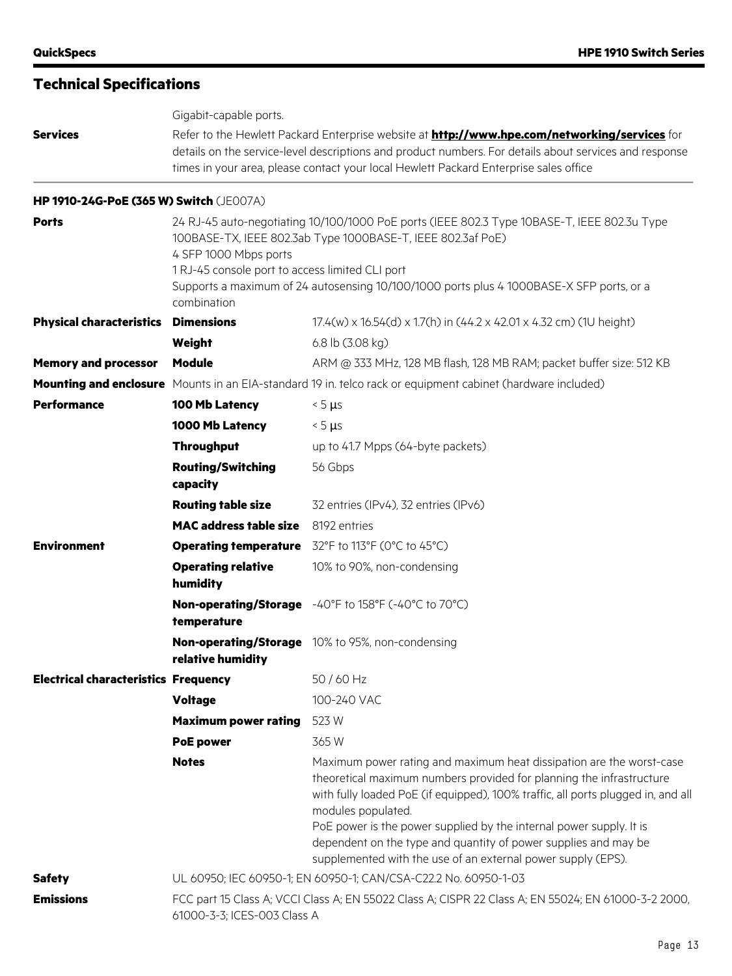| <b>Technical Specifications</b>             |                                                                                                                                                                                                                                                                                                                                                   |                                                                                                                                                                                                                                                                                                                                                                                                                                                                  |
|---------------------------------------------|---------------------------------------------------------------------------------------------------------------------------------------------------------------------------------------------------------------------------------------------------------------------------------------------------------------------------------------------------|------------------------------------------------------------------------------------------------------------------------------------------------------------------------------------------------------------------------------------------------------------------------------------------------------------------------------------------------------------------------------------------------------------------------------------------------------------------|
|                                             | Gigabit-capable ports.                                                                                                                                                                                                                                                                                                                            |                                                                                                                                                                                                                                                                                                                                                                                                                                                                  |
| <b>Services</b>                             | Refer to the Hewlett Packard Enterprise website at <b>http://www.hpe.com/networking/services</b> for<br>details on the service-level descriptions and product numbers. For details about services and response<br>times in your area, please contact your local Hewlett Packard Enterprise sales office                                           |                                                                                                                                                                                                                                                                                                                                                                                                                                                                  |
| HP 1910-24G-PoE (365 W) Switch (JE007A)     |                                                                                                                                                                                                                                                                                                                                                   |                                                                                                                                                                                                                                                                                                                                                                                                                                                                  |
| <b>Ports</b>                                | 24 RJ-45 auto-negotiating 10/100/1000 PoE ports (IEEE 802.3 Type 10BASE-T, IEEE 802.3u Type<br>100BASE-TX, IEEE 802.3ab Type 1000BASE-T, IEEE 802.3af PoE)<br>4 SFP 1000 Mbps ports<br>1 RJ-45 console port to access limited CLI port<br>Supports a maximum of 24 autosensing 10/100/1000 ports plus 4 1000BASE-X SFP ports, or a<br>combination |                                                                                                                                                                                                                                                                                                                                                                                                                                                                  |
| <b>Physical characteristics</b>             | <b>Dimensions</b>                                                                                                                                                                                                                                                                                                                                 | 17.4(w) x 16.54(d) x 1.7(h) in (44.2 x 42.01 x 4.32 cm) (1U height)                                                                                                                                                                                                                                                                                                                                                                                              |
|                                             | Weight                                                                                                                                                                                                                                                                                                                                            | 6.8 lb (3.08 kg)                                                                                                                                                                                                                                                                                                                                                                                                                                                 |
| <b>Memory and processor</b>                 | Module                                                                                                                                                                                                                                                                                                                                            | ARM @ 333 MHz, 128 MB flash, 128 MB RAM; packet buffer size: 512 KB                                                                                                                                                                                                                                                                                                                                                                                              |
|                                             |                                                                                                                                                                                                                                                                                                                                                   | <b>Mounting and enclosure</b> Mounts in an EIA-standard 19 in. telco rack or equipment cabinet (hardware included)                                                                                                                                                                                                                                                                                                                                               |
| <b>Performance</b>                          | 100 Mb Latency                                                                                                                                                                                                                                                                                                                                    | $< 5 \mu s$                                                                                                                                                                                                                                                                                                                                                                                                                                                      |
|                                             | 1000 Mb Latency                                                                                                                                                                                                                                                                                                                                   | $< 5 \mu s$                                                                                                                                                                                                                                                                                                                                                                                                                                                      |
|                                             | <b>Throughput</b>                                                                                                                                                                                                                                                                                                                                 | up to 41.7 Mpps (64-byte packets)                                                                                                                                                                                                                                                                                                                                                                                                                                |
|                                             | <b>Routing/Switching</b><br>capacity                                                                                                                                                                                                                                                                                                              | 56 Gbps                                                                                                                                                                                                                                                                                                                                                                                                                                                          |
|                                             | <b>Routing table size</b>                                                                                                                                                                                                                                                                                                                         | 32 entries (IPv4), 32 entries (IPv6)                                                                                                                                                                                                                                                                                                                                                                                                                             |
|                                             | <b>MAC address table size</b>                                                                                                                                                                                                                                                                                                                     | 8192 entries                                                                                                                                                                                                                                                                                                                                                                                                                                                     |
| <b>Environment</b>                          |                                                                                                                                                                                                                                                                                                                                                   | <b>Operating temperature</b> 32°F to 113°F (0°C to 45°C)                                                                                                                                                                                                                                                                                                                                                                                                         |
|                                             | <b>Operating relative</b><br>humidity                                                                                                                                                                                                                                                                                                             | 10% to 90%, non-condensing                                                                                                                                                                                                                                                                                                                                                                                                                                       |
|                                             | temperature                                                                                                                                                                                                                                                                                                                                       | Non-operating/Storage -40°F to 158°F (-40°C to 70°C)                                                                                                                                                                                                                                                                                                                                                                                                             |
|                                             | relative humidity                                                                                                                                                                                                                                                                                                                                 | <b>Non-operating/Storage</b> 10% to 95%, non-condensing                                                                                                                                                                                                                                                                                                                                                                                                          |
| <b>Electrical characteristics Frequency</b> |                                                                                                                                                                                                                                                                                                                                                   | 50 / 60 Hz                                                                                                                                                                                                                                                                                                                                                                                                                                                       |
|                                             | <b>Voltage</b>                                                                                                                                                                                                                                                                                                                                    | 100-240 VAC                                                                                                                                                                                                                                                                                                                                                                                                                                                      |
|                                             | <b>Maximum power rating</b>                                                                                                                                                                                                                                                                                                                       | 523 W                                                                                                                                                                                                                                                                                                                                                                                                                                                            |
|                                             | <b>PoE power</b>                                                                                                                                                                                                                                                                                                                                  | 365 W                                                                                                                                                                                                                                                                                                                                                                                                                                                            |
|                                             | <b>Notes</b>                                                                                                                                                                                                                                                                                                                                      | Maximum power rating and maximum heat dissipation are the worst-case<br>theoretical maximum numbers provided for planning the infrastructure<br>with fully loaded PoE (if equipped), 100% traffic, all ports plugged in, and all<br>modules populated.<br>PoE power is the power supplied by the internal power supply. It is<br>dependent on the type and quantity of power supplies and may be<br>supplemented with the use of an external power supply (EPS). |
| <b>Safety</b>                               |                                                                                                                                                                                                                                                                                                                                                   | UL 60950; IEC 60950-1; EN 60950-1; CAN/CSA-C22.2 No. 60950-1-03                                                                                                                                                                                                                                                                                                                                                                                                  |
| <b>Emissions</b>                            | FCC part 15 Class A; VCCI Class A; EN 55022 Class A; CISPR 22 Class A; EN 55024; EN 61000-3-2 2000,<br>61000-3-3; ICES-003 Class A                                                                                                                                                                                                                |                                                                                                                                                                                                                                                                                                                                                                                                                                                                  |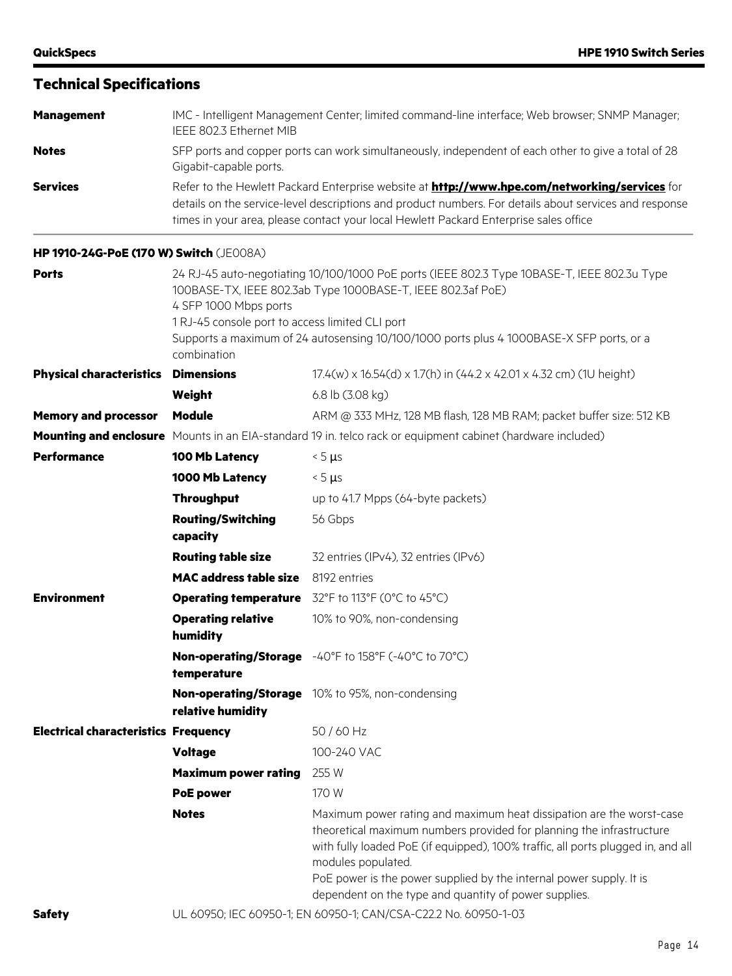| <b>Management</b> | IMC - Intelligent Management Center; limited command-line interface; Web browser; SNMP Manager;<br>IEEE 802.3 Ethernet MIB                                                                                                                                                                              |
|-------------------|---------------------------------------------------------------------------------------------------------------------------------------------------------------------------------------------------------------------------------------------------------------------------------------------------------|
| <b>Notes</b>      | SFP ports and copper ports can work simultaneously, independent of each other to give a total of 28<br>Gigabit-capable ports.                                                                                                                                                                           |
| <b>Services</b>   | Refer to the Hewlett Packard Enterprise website at <b>http://www.hpe.com/networking/services</b> for<br>details on the service-level descriptions and product numbers. For details about services and response<br>times in your area, please contact your local Hewlett Packard Enterprise sales office |

#### **HP 1910-24G-PoE (170 W) Switch** (JE008A)

| <b>Ports</b>                                | 24 RJ-45 auto-negotiating 10/100/1000 PoE ports (IEEE 802.3 Type 10BASE-T, IEEE 802.3u Type<br>100BASE-TX, IEEE 802.3ab Type 1000BASE-T, IEEE 802.3af PoE) |                                                                                                                                                                                                                                                        |  |
|---------------------------------------------|------------------------------------------------------------------------------------------------------------------------------------------------------------|--------------------------------------------------------------------------------------------------------------------------------------------------------------------------------------------------------------------------------------------------------|--|
|                                             | 4 SFP 1000 Mbps ports<br>1 RJ-45 console port to access limited CLI port                                                                                   |                                                                                                                                                                                                                                                        |  |
|                                             | combination                                                                                                                                                | Supports a maximum of 24 autosensing 10/100/1000 ports plus 4 1000BASE-X SFP ports, or a                                                                                                                                                               |  |
| <b>Physical characteristics Dimensions</b>  |                                                                                                                                                            | 17.4(w) x 16.54(d) x 1.7(h) in (44.2 x 42.01 x 4.32 cm) (1U height)                                                                                                                                                                                    |  |
|                                             | Weight                                                                                                                                                     | 6.8 lb (3.08 kg)                                                                                                                                                                                                                                       |  |
| <b>Memory and processor</b>                 | <b>Module</b>                                                                                                                                              | ARM @ 333 MHz, 128 MB flash, 128 MB RAM; packet buffer size: 512 KB                                                                                                                                                                                    |  |
|                                             |                                                                                                                                                            | Mounting and enclosure Mounts in an EIA-standard 19 in. telco rack or equipment cabinet (hardware included)                                                                                                                                            |  |
| <b>Performance</b>                          | 100 Mb Latency                                                                                                                                             | $< 5 \mu s$                                                                                                                                                                                                                                            |  |
|                                             | 1000 Mb Latency                                                                                                                                            | $< 5 \mu s$                                                                                                                                                                                                                                            |  |
|                                             | <b>Throughput</b>                                                                                                                                          | up to 41.7 Mpps (64-byte packets)                                                                                                                                                                                                                      |  |
|                                             | <b>Routing/Switching</b><br>capacity                                                                                                                       | 56 Gbps                                                                                                                                                                                                                                                |  |
|                                             | <b>Routing table size</b>                                                                                                                                  | 32 entries (IPv4), 32 entries (IPv6)                                                                                                                                                                                                                   |  |
|                                             | <b>MAC address table size</b>                                                                                                                              | 8192 entries                                                                                                                                                                                                                                           |  |
| <b>Environment</b>                          |                                                                                                                                                            | Operating temperature 32°F to 113°F (0°C to 45°C)                                                                                                                                                                                                      |  |
|                                             | <b>Operating relative</b><br>humidity                                                                                                                      | 10% to 90%, non-condensing                                                                                                                                                                                                                             |  |
|                                             | temperature                                                                                                                                                | Non-operating/Storage -40°F to 158°F (-40°C to 70°C)                                                                                                                                                                                                   |  |
|                                             | relative humidity                                                                                                                                          | Non-operating/Storage 10% to 95%, non-condensing                                                                                                                                                                                                       |  |
| <b>Electrical characteristics Frequency</b> |                                                                                                                                                            | 50 / 60 Hz                                                                                                                                                                                                                                             |  |
|                                             | <b>Voltage</b>                                                                                                                                             | 100-240 VAC                                                                                                                                                                                                                                            |  |
|                                             | <b>Maximum power rating</b>                                                                                                                                | 255 W                                                                                                                                                                                                                                                  |  |
|                                             | <b>PoE power</b>                                                                                                                                           | 170 W                                                                                                                                                                                                                                                  |  |
|                                             | <b>Notes</b>                                                                                                                                               | Maximum power rating and maximum heat dissipation are the worst-case<br>theoretical maximum numbers provided for planning the infrastructure<br>with fully loaded PoE (if equipped), 100% traffic, all ports plugged in, and all<br>modules populated. |  |
|                                             |                                                                                                                                                            | PoE power is the power supplied by the internal power supply. It is<br>dependent on the type and quantity of power supplies.                                                                                                                           |  |
| <b>Safety</b>                               |                                                                                                                                                            | UL 60950; IEC 60950-1; EN 60950-1; CAN/CSA-C22.2 No. 60950-1-03                                                                                                                                                                                        |  |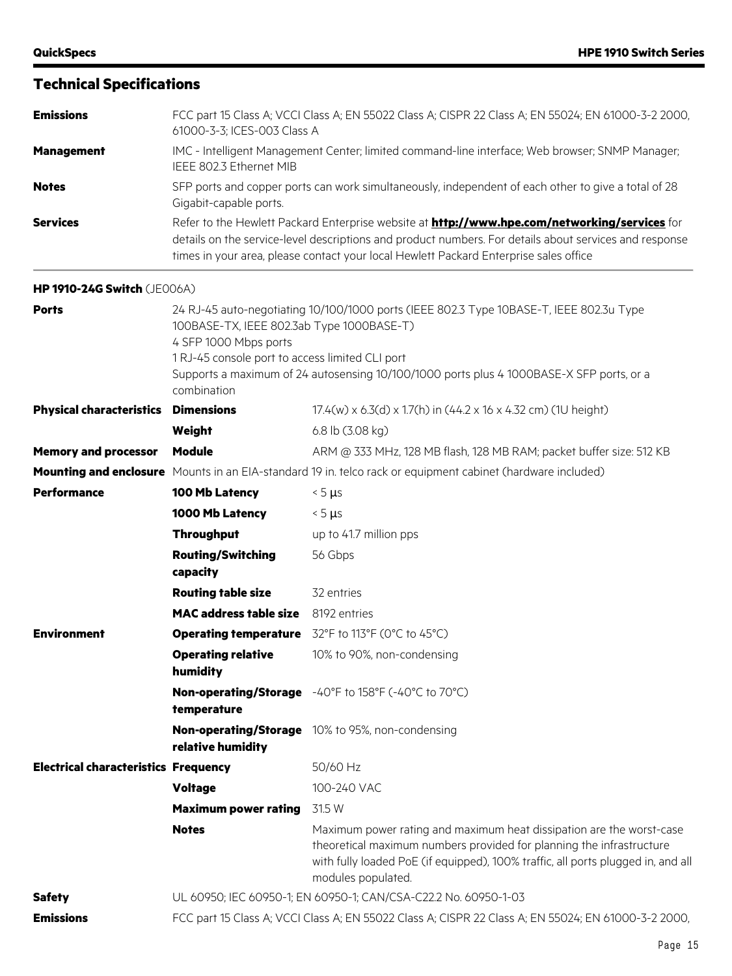| <b>Emissions</b>  | FCC part 15 Class A; VCCI Class A; EN 55022 Class A; CISPR 22 Class A; EN 55024; EN 61000-3-2 2000,<br>61000-3-3; ICES-003 Class A                                                                                                                                                                      |
|-------------------|---------------------------------------------------------------------------------------------------------------------------------------------------------------------------------------------------------------------------------------------------------------------------------------------------------|
| <b>Management</b> | IMC - Intelligent Management Center; limited command-line interface; Web browser; SNMP Manager;<br>IEEE 802.3 Ethernet MIB                                                                                                                                                                              |
| <b>Notes</b>      | SFP ports and copper ports can work simultaneously, independent of each other to give a total of 28<br>Gigabit-capable ports.                                                                                                                                                                           |
| <b>Services</b>   | Refer to the Hewlett Packard Enterprise website at <b>http://www.hpe.com/networking/services</b> for<br>details on the service-level descriptions and product numbers. For details about services and response<br>times in your area, please contact your local Hewlett Packard Enterprise sales office |

#### **HP 1910-24G Switch** (JE006A)

| <b>Ports</b>                                | 24 RJ-45 auto-negotiating 10/100/1000 ports (IEEE 802.3 Type 10BASE-T, IEEE 802.3u Type<br>100BASE-TX, IEEE 802.3ab Type 1000BASE-T)<br>4 SFP 1000 Mbps ports |                                                                                                                                                                                                                                                        |  |
|---------------------------------------------|---------------------------------------------------------------------------------------------------------------------------------------------------------------|--------------------------------------------------------------------------------------------------------------------------------------------------------------------------------------------------------------------------------------------------------|--|
|                                             | 1 RJ-45 console port to access limited CLI port<br>Supports a maximum of 24 autosensing 10/100/1000 ports plus 4 1000BASE-X SFP ports, or a<br>combination    |                                                                                                                                                                                                                                                        |  |
| <b>Physical characteristics Dimensions</b>  |                                                                                                                                                               | 17.4(w) x 6.3(d) x 1.7(h) in (44.2 x 16 x 4.32 cm) (1U height)                                                                                                                                                                                         |  |
|                                             | Weight                                                                                                                                                        | 6.8 lb (3.08 kg)                                                                                                                                                                                                                                       |  |
| <b>Memory and processor</b>                 | <b>Module</b>                                                                                                                                                 | ARM @ 333 MHz, 128 MB flash, 128 MB RAM; packet buffer size: 512 KB                                                                                                                                                                                    |  |
|                                             |                                                                                                                                                               | Mounting and enclosure Mounts in an EIA-standard 19 in. telco rack or equipment cabinet (hardware included)                                                                                                                                            |  |
| <b>Performance</b>                          | 100 Mb Latency                                                                                                                                                | $< 5 \mu s$                                                                                                                                                                                                                                            |  |
|                                             | 1000 Mb Latency                                                                                                                                               | $< 5 \mu s$                                                                                                                                                                                                                                            |  |
|                                             | <b>Throughput</b>                                                                                                                                             | up to 41.7 million pps                                                                                                                                                                                                                                 |  |
|                                             | <b>Routing/Switching</b><br>capacity                                                                                                                          | 56 Gbps                                                                                                                                                                                                                                                |  |
|                                             | <b>Routing table size</b>                                                                                                                                     | 32 entries                                                                                                                                                                                                                                             |  |
|                                             | <b>MAC address table size</b>                                                                                                                                 | 8192 entries                                                                                                                                                                                                                                           |  |
| <b>Environment</b>                          |                                                                                                                                                               | Operating temperature 32°F to 113°F (0°C to 45°C)                                                                                                                                                                                                      |  |
|                                             | <b>Operating relative</b><br>humidity                                                                                                                         | 10% to 90%, non-condensing                                                                                                                                                                                                                             |  |
|                                             | temperature                                                                                                                                                   | Non-operating/Storage -40°F to 158°F (-40°C to 70°C)                                                                                                                                                                                                   |  |
|                                             | relative humidity                                                                                                                                             | <b>Non-operating/Storage</b> 10% to 95%, non-condensing                                                                                                                                                                                                |  |
| <b>Electrical characteristics Frequency</b> |                                                                                                                                                               | 50/60 Hz                                                                                                                                                                                                                                               |  |
|                                             | <b>Voltage</b>                                                                                                                                                | 100-240 VAC                                                                                                                                                                                                                                            |  |
|                                             | <b>Maximum power rating</b>                                                                                                                                   | 31.5 W                                                                                                                                                                                                                                                 |  |
|                                             | <b>Notes</b>                                                                                                                                                  | Maximum power rating and maximum heat dissipation are the worst-case<br>theoretical maximum numbers provided for planning the infrastructure<br>with fully loaded PoE (if equipped), 100% traffic, all ports plugged in, and all<br>modules populated. |  |
| <b>Safety</b>                               | UL 60950; IEC 60950-1; EN 60950-1; CAN/CSA-C22.2 No. 60950-1-03                                                                                               |                                                                                                                                                                                                                                                        |  |
| <b>Emissions</b>                            | FCC part 15 Class A; VCCI Class A; EN 55022 Class A; CISPR 22 Class A; EN 55024; EN 61000-3-2 2000,                                                           |                                                                                                                                                                                                                                                        |  |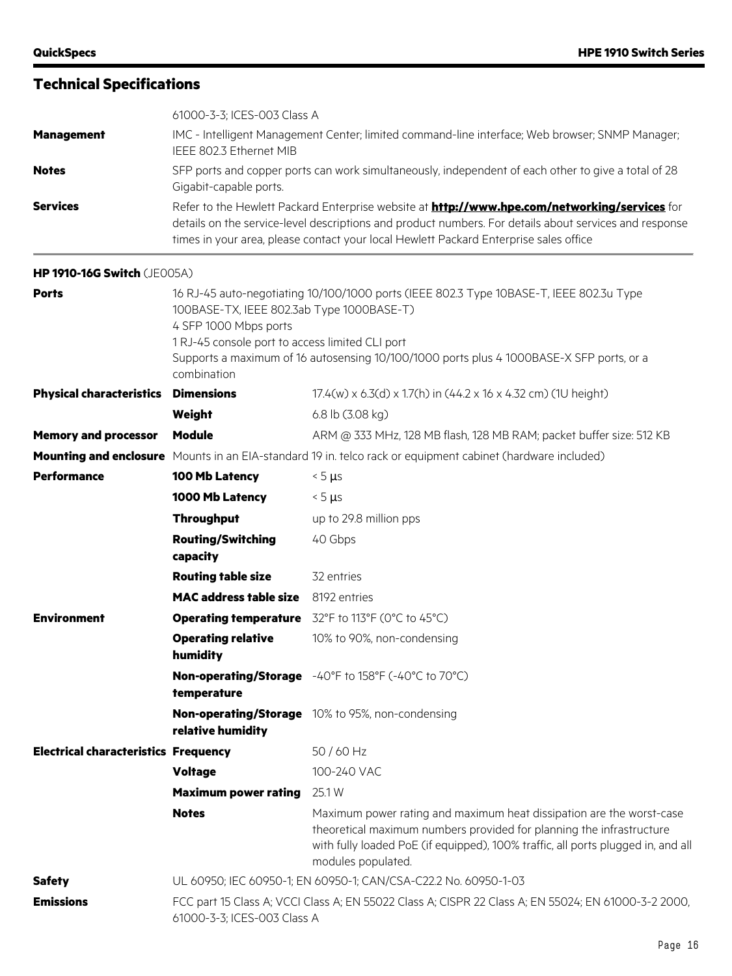|                   | 61000-3-3; ICES-003 Class A                                                                                                                                                                                                                                                                             |
|-------------------|---------------------------------------------------------------------------------------------------------------------------------------------------------------------------------------------------------------------------------------------------------------------------------------------------------|
| <b>Management</b> | IMC - Intelligent Management Center; limited command-line interface; Web browser; SNMP Manager;<br>IEEE 802.3 Ethernet MIB                                                                                                                                                                              |
| <b>Notes</b>      | SFP ports and copper ports can work simultaneously, independent of each other to give a total of 28<br>Gigabit-capable ports.                                                                                                                                                                           |
| <b>Services</b>   | Refer to the Hewlett Packard Enterprise website at <b>http://www.hpe.com/networking/services</b> for<br>details on the service-level descriptions and product numbers. For details about services and response<br>times in your area, please contact your local Hewlett Packard Enterprise sales office |

### **HP 1910-16G Switch** (JE005A)

| <b>Ports</b>                                | 16 RJ-45 auto-negotiating 10/100/1000 ports (IEEE 802.3 Type 10BASE-T, IEEE 802.3u Type<br>100BASE-TX, IEEE 802.3ab Type 1000BASE-T) |                                                                                                                                                                                                                                                        |  |
|---------------------------------------------|--------------------------------------------------------------------------------------------------------------------------------------|--------------------------------------------------------------------------------------------------------------------------------------------------------------------------------------------------------------------------------------------------------|--|
|                                             | 4 SFP 1000 Mbps ports<br>1 RJ-45 console port to access limited CLI port                                                             |                                                                                                                                                                                                                                                        |  |
|                                             | combination                                                                                                                          | Supports a maximum of 16 autosensing 10/100/1000 ports plus 4 1000BASE-X SFP ports, or a                                                                                                                                                               |  |
| <b>Physical characteristics</b>             | <b>Dimensions</b>                                                                                                                    | 17.4(w) x 6.3(d) x 1.7(h) in (44.2 x 16 x 4.32 cm) (1U height)                                                                                                                                                                                         |  |
|                                             | Weight                                                                                                                               | 6.8 lb (3.08 kg)                                                                                                                                                                                                                                       |  |
| <b>Memory and processor</b>                 | <b>Module</b>                                                                                                                        | ARM @ 333 MHz, 128 MB flash, 128 MB RAM; packet buffer size: 512 KB                                                                                                                                                                                    |  |
|                                             |                                                                                                                                      | <b>Mounting and enclosure</b> Mounts in an EIA-standard 19 in. telco rack or equipment cabinet (hardware included)                                                                                                                                     |  |
| <b>Performance</b>                          | 100 Mb Latency                                                                                                                       | $< 5 \mu s$                                                                                                                                                                                                                                            |  |
|                                             | 1000 Mb Latency                                                                                                                      | $< 5 \mu s$                                                                                                                                                                                                                                            |  |
|                                             | <b>Throughput</b>                                                                                                                    | up to 29.8 million pps                                                                                                                                                                                                                                 |  |
|                                             | <b>Routing/Switching</b><br>capacity                                                                                                 | 40 Gbps                                                                                                                                                                                                                                                |  |
|                                             | <b>Routing table size</b>                                                                                                            | 32 entries                                                                                                                                                                                                                                             |  |
|                                             | <b>MAC address table size</b>                                                                                                        | 8192 entries                                                                                                                                                                                                                                           |  |
| <b>Environment</b>                          |                                                                                                                                      | Operating temperature 32°F to 113°F (0°C to 45°C)                                                                                                                                                                                                      |  |
|                                             | <b>Operating relative</b><br>humidity                                                                                                | 10% to 90%, non-condensing                                                                                                                                                                                                                             |  |
|                                             | temperature                                                                                                                          | <b>Non-operating/Storage</b> -40°F to 158°F (-40°C to 70°C)                                                                                                                                                                                            |  |
|                                             | relative humidity                                                                                                                    | <b>Non-operating/Storage</b> 10% to 95%, non-condensing                                                                                                                                                                                                |  |
| <b>Electrical characteristics Frequency</b> |                                                                                                                                      | 50 / 60 Hz                                                                                                                                                                                                                                             |  |
|                                             | <b>Voltage</b>                                                                                                                       | 100-240 VAC                                                                                                                                                                                                                                            |  |
|                                             | <b>Maximum power rating</b>                                                                                                          | 25.1 W                                                                                                                                                                                                                                                 |  |
|                                             | <b>Notes</b>                                                                                                                         | Maximum power rating and maximum heat dissipation are the worst-case<br>theoretical maximum numbers provided for planning the infrastructure<br>with fully loaded PoE (if equipped), 100% traffic, all ports plugged in, and all<br>modules populated. |  |
| <b>Safety</b>                               |                                                                                                                                      | UL 60950; IEC 60950-1; EN 60950-1; CAN/CSA-C22.2 No. 60950-1-03                                                                                                                                                                                        |  |
| <b>Emissions</b>                            | FCC part 15 Class A; VCCI Class A; EN 55022 Class A; CISPR 22 Class A; EN 55024; EN 61000-3-2 2000,<br>61000-3-3; ICES-003 Class A   |                                                                                                                                                                                                                                                        |  |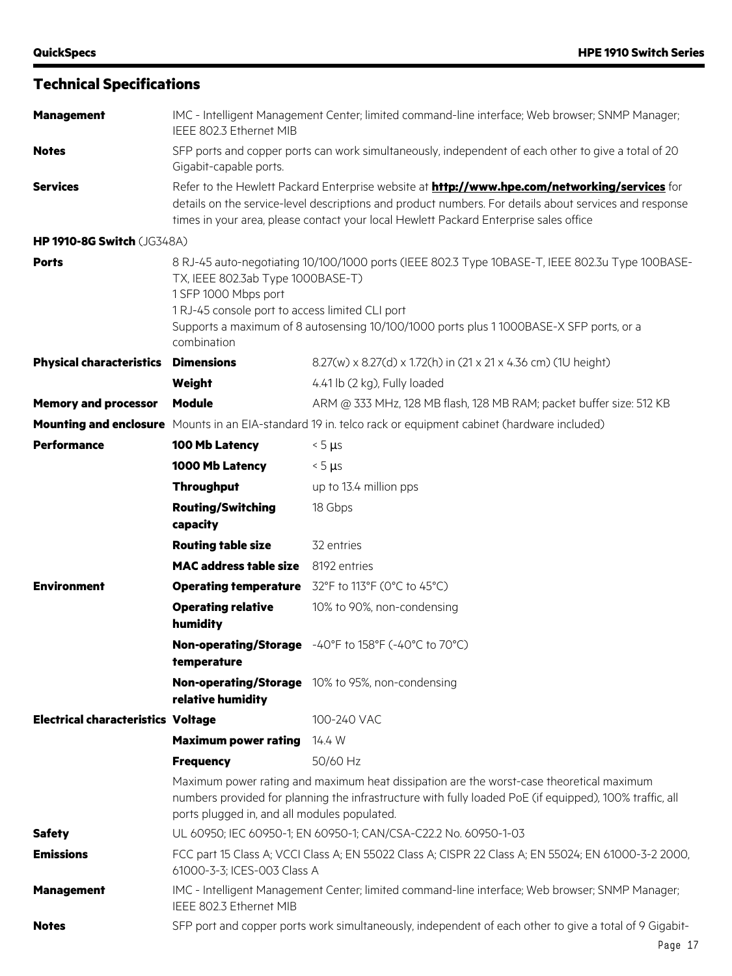### **Technical Specifications Management** IMC - Intelligent Management Center; limited command-line interface; Web browser; SNMP Manager; IEEE 802.3 Ethernet MIB **Notes** SFP ports and copper ports can work simultaneously, independent of each other to give a total of 20 Gigabit-capable ports. Services **Refer to the Hewlett Packard Enterprise website at <http://www.hpe.com/networking/services> for** details on the service-level descriptions and product numbers. For details about services and response times in your area, please contact your local Hewlett Packard Enterprise sales office **HP 1910-8G Switch** (JG348A) **Ports** 8 RJ-45 auto-negotiating 10/100/1000 ports (IEEE 802.3 Type 10BASE-T, IEEE 802.3u Type 100BASE-TX, IEEE 802.3ab Type 1000BASE-T) 1 SFP 1000 Mbps port 1 RJ-45 console port to access limited CLI port Supports a maximum of 8 autosensing 10/100/1000 ports plus 1 1000BASE-X SFP ports, or a combination **Physical characteristics Dimensions** 8.27(w) x 8.27(d) x 1.72(h) in (21 x 21 x 4.36 cm) (1U height) **Weight** 4.41 lb (2 kg), Fully loaded **Memory and processor Module** ARM @ 333 MHz, 128 MB flash, 128 MB RAM; packet buffer size: 512 KB **Mounting and enclosure** Mounts in an EIA-standard 19 in. telco rack or equipment cabinet (hardware included) **Performance 100 Mb Latency**  $\leq 5 \text{ }\mu\text{s}$ **1000 Mb Latency** < 5 µs **Throughput** up to 13.4 million pps **Routing/Switching capacity** 18 Gbps **Routing table size** 32 entries MAC address table size 8192 entries **Environment Operating temperature** 32°F to 113°F (0°C to 45°C) **Operating relative humidity** 10% to 90%, non-condensing **Non-operating/Storage**  -40°F to 158°F (-40°C to 70°C) **temperature Non-operating/Storage**  10% to 95%, non-condensing **relative humidity Electrical characteristics Voltage** 100-240 VAC **Maximum power rating** 14.4 W **Frequency** 50/60 Hz Maximum power rating and maximum heat dissipation are the worst-case theoretical maximum numbers provided for planning the infrastructure with fully loaded PoE (if equipped), 100% traffic, all ports plugged in, and all modules populated. **Safety** UL 60950; IEC 60950-1; EN 60950-1; CAN/CSA-C22.2 No. 60950-1-03 **Emissions** FCC part 15 Class A; VCCI Class A; EN 55022 Class A; CISPR 22 Class A; EN 55024; EN 61000-3-2 2000, 61000-3-3; ICES-003 Class A **Management** IMC - Intelligent Management Center; limited command-line interface; Web browser; SNMP Manager; IEEE 802.3 Ethernet MIB

**Notes** SFP port and copper ports work simultaneously, independent of each other to give a total of 9 Gigabit-

#### Page 17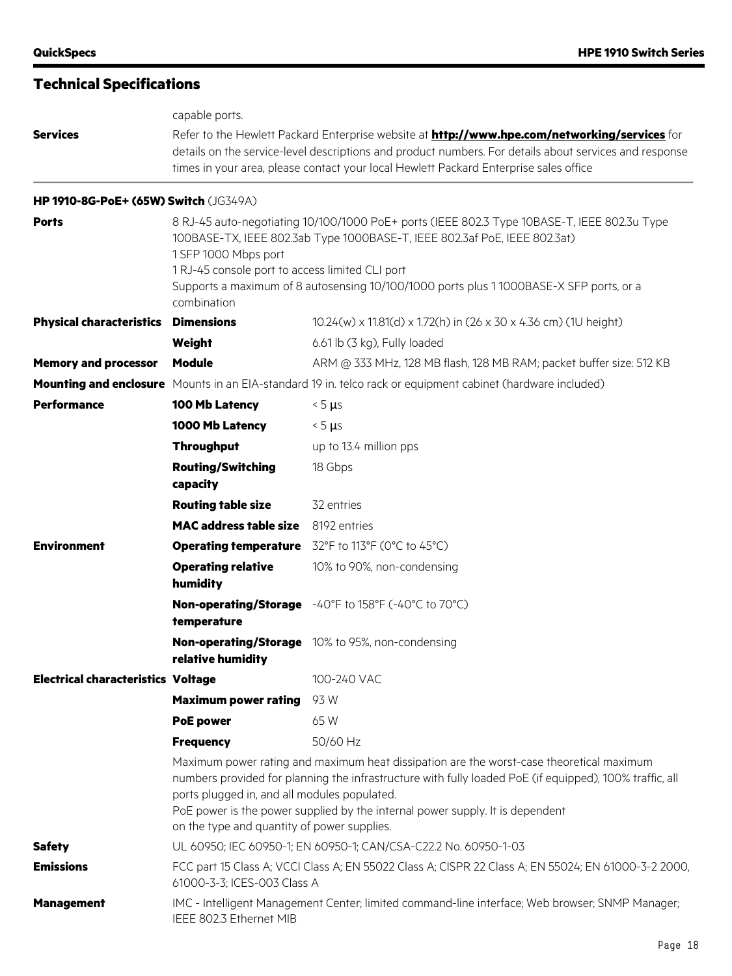|                                           | capable ports.                                                                                                                                                                                                                                                                                                                                                                      |                                                                                                     |  |
|-------------------------------------------|-------------------------------------------------------------------------------------------------------------------------------------------------------------------------------------------------------------------------------------------------------------------------------------------------------------------------------------------------------------------------------------|-----------------------------------------------------------------------------------------------------|--|
| <b>Services</b>                           | Refer to the Hewlett Packard Enterprise website at <b>http://www.hpe.com/networking/services</b> for<br>details on the service-level descriptions and product numbers. For details about services and response<br>times in your area, please contact your local Hewlett Packard Enterprise sales office                                                                             |                                                                                                     |  |
| HP 1910-8G-PoE+ (65W) Switch (JG349A)     |                                                                                                                                                                                                                                                                                                                                                                                     |                                                                                                     |  |
| <b>Ports</b>                              | 8 RJ-45 auto-negotiating 10/100/1000 PoE+ ports (IEEE 802.3 Type 10BASE-T, IEEE 802.3u Type<br>100BASE-TX, IEEE 802.3ab Type 1000BASE-T, IEEE 802.3af PoE, IEEE 802.3at)<br>1 SFP 1000 Mbps port<br>1 RJ-45 console port to access limited CLI port<br>Supports a maximum of 8 autosensing 10/100/1000 ports plus 1 1000BASE-X SFP ports, or a<br>combination                       |                                                                                                     |  |
| <b>Physical characteristics</b>           | <b>Dimensions</b>                                                                                                                                                                                                                                                                                                                                                                   | 10.24(w) x 11.81(d) x 1.72(h) in (26 x 30 x 4.36 cm) (1U height)                                    |  |
|                                           | Weight                                                                                                                                                                                                                                                                                                                                                                              | 6.61 lb (3 kg), Fully loaded                                                                        |  |
| <b>Memory and processor</b>               | <b>Module</b>                                                                                                                                                                                                                                                                                                                                                                       | ARM @ 333 MHz, 128 MB flash, 128 MB RAM; packet buffer size: 512 KB                                 |  |
|                                           | Mounting and enclosure Mounts in an EIA-standard 19 in. telco rack or equipment cabinet (hardware included)                                                                                                                                                                                                                                                                         |                                                                                                     |  |
| <b>Performance</b>                        | 100 Mb Latency                                                                                                                                                                                                                                                                                                                                                                      | $< 5 \mu s$                                                                                         |  |
|                                           | 1000 Mb Latency                                                                                                                                                                                                                                                                                                                                                                     | $< 5 \mu s$                                                                                         |  |
|                                           | <b>Throughput</b>                                                                                                                                                                                                                                                                                                                                                                   | up to 13.4 million pps                                                                              |  |
|                                           | <b>Routing/Switching</b><br>capacity                                                                                                                                                                                                                                                                                                                                                | 18 Gbps                                                                                             |  |
|                                           | <b>Routing table size</b>                                                                                                                                                                                                                                                                                                                                                           | 32 entries                                                                                          |  |
|                                           | <b>MAC address table size</b>                                                                                                                                                                                                                                                                                                                                                       | 8192 entries                                                                                        |  |
| <b>Environment</b>                        |                                                                                                                                                                                                                                                                                                                                                                                     | Operating temperature 32°F to 113°F (0°C to 45°C)                                                   |  |
|                                           | <b>Operating relative</b><br>humidity                                                                                                                                                                                                                                                                                                                                               | 10% to 90%, non-condensing                                                                          |  |
|                                           | temperature                                                                                                                                                                                                                                                                                                                                                                         | Non-operating/Storage -40°F to 158°F (-40°C to 70°C)                                                |  |
|                                           | relative humidity                                                                                                                                                                                                                                                                                                                                                                   | <b>Non-operating/Storage</b> 10% to 95%, non-condensing                                             |  |
| <b>Electrical characteristics Voltage</b> |                                                                                                                                                                                                                                                                                                                                                                                     | 100-240 VAC                                                                                         |  |
|                                           | <b>Maximum power rating</b>                                                                                                                                                                                                                                                                                                                                                         | 93 W                                                                                                |  |
|                                           | <b>PoE power</b>                                                                                                                                                                                                                                                                                                                                                                    | 65 W                                                                                                |  |
|                                           | <b>Frequency</b>                                                                                                                                                                                                                                                                                                                                                                    | 50/60 Hz                                                                                            |  |
|                                           | Maximum power rating and maximum heat dissipation are the worst-case theoretical maximum<br>numbers provided for planning the infrastructure with fully loaded PoE (if equipped), 100% traffic, all<br>ports plugged in, and all modules populated.<br>PoE power is the power supplied by the internal power supply. It is dependent<br>on the type and quantity of power supplies. |                                                                                                     |  |
| <b>Safety</b>                             | UL 60950; IEC 60950-1; EN 60950-1; CAN/CSA-C22.2 No. 60950-1-03                                                                                                                                                                                                                                                                                                                     |                                                                                                     |  |
| <b>Emissions</b>                          | 61000-3-3; ICES-003 Class A                                                                                                                                                                                                                                                                                                                                                         | FCC part 15 Class A; VCCI Class A; EN 55022 Class A; CISPR 22 Class A; EN 55024; EN 61000-3-2 2000, |  |
| <b>Management</b>                         | IMC - Intelligent Management Center; limited command-line interface; Web browser; SNMP Manager;<br>IEEE 802.3 Ethernet MIB                                                                                                                                                                                                                                                          |                                                                                                     |  |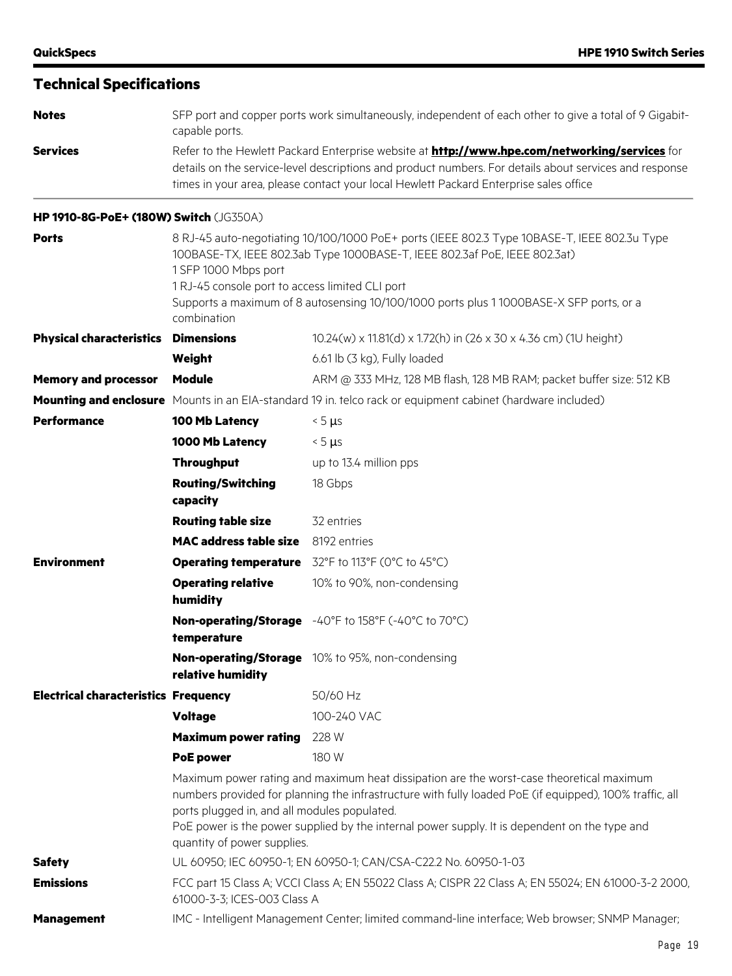| <b>Technical Specifications</b>             |                                                                                                                                                                                                                                                                                                                                                               |                                                                                                                                                                                                                                                                                                      |  |
|---------------------------------------------|---------------------------------------------------------------------------------------------------------------------------------------------------------------------------------------------------------------------------------------------------------------------------------------------------------------------------------------------------------------|------------------------------------------------------------------------------------------------------------------------------------------------------------------------------------------------------------------------------------------------------------------------------------------------------|--|
| <b>Notes</b>                                | SFP port and copper ports work simultaneously, independent of each other to give a total of 9 Gigabit-<br>capable ports.                                                                                                                                                                                                                                      |                                                                                                                                                                                                                                                                                                      |  |
| <b>Services</b>                             | Refer to the Hewlett Packard Enterprise website at <b>http://www.hpe.com/networking/services</b> for<br>details on the service-level descriptions and product numbers. For details about services and response<br>times in your area, please contact your local Hewlett Packard Enterprise sales office                                                       |                                                                                                                                                                                                                                                                                                      |  |
| HP 1910-8G-PoE+ (180W) Switch (JG350A)      |                                                                                                                                                                                                                                                                                                                                                               |                                                                                                                                                                                                                                                                                                      |  |
| <b>Ports</b>                                | 8 RJ-45 auto-negotiating 10/100/1000 PoE+ ports (IEEE 802.3 Type 10BASE-T, IEEE 802.3u Type<br>100BASE-TX, IEEE 802.3ab Type 1000BASE-T, IEEE 802.3af PoE, IEEE 802.3at)<br>1 SFP 1000 Mbps port<br>1 RJ-45 console port to access limited CLI port<br>Supports a maximum of 8 autosensing 10/100/1000 ports plus 1 1000BASE-X SFP ports, or a<br>combination |                                                                                                                                                                                                                                                                                                      |  |
| <b>Physical characteristics</b>             | <b>Dimensions</b>                                                                                                                                                                                                                                                                                                                                             | 10.24(w) x 11.81(d) x 1.72(h) in (26 x 30 x 4.36 cm) (1U height)                                                                                                                                                                                                                                     |  |
|                                             | Weight                                                                                                                                                                                                                                                                                                                                                        | 6.61 lb (3 kg), Fully loaded                                                                                                                                                                                                                                                                         |  |
| <b>Memory and processor</b>                 | <b>Module</b>                                                                                                                                                                                                                                                                                                                                                 | ARM @ 333 MHz, 128 MB flash, 128 MB RAM; packet buffer size: 512 KB                                                                                                                                                                                                                                  |  |
|                                             |                                                                                                                                                                                                                                                                                                                                                               | <b>Mounting and enclosure</b> Mounts in an EIA-standard 19 in. telco rack or equipment cabinet (hardware included)                                                                                                                                                                                   |  |
| <b>Performance</b>                          | 100 Mb Latency                                                                                                                                                                                                                                                                                                                                                | $< 5 \mu s$                                                                                                                                                                                                                                                                                          |  |
|                                             | 1000 Mb Latency                                                                                                                                                                                                                                                                                                                                               | $< 5 \mu s$                                                                                                                                                                                                                                                                                          |  |
|                                             | <b>Throughput</b>                                                                                                                                                                                                                                                                                                                                             | up to 13.4 million pps                                                                                                                                                                                                                                                                               |  |
|                                             | <b>Routing/Switching</b><br>capacity                                                                                                                                                                                                                                                                                                                          | 18 Gbps                                                                                                                                                                                                                                                                                              |  |
|                                             | <b>Routing table size</b>                                                                                                                                                                                                                                                                                                                                     | 32 entries                                                                                                                                                                                                                                                                                           |  |
|                                             | <b>MAC address table size</b>                                                                                                                                                                                                                                                                                                                                 | 8192 entries                                                                                                                                                                                                                                                                                         |  |
| <b>Environment</b>                          | <b>Operating temperature</b>                                                                                                                                                                                                                                                                                                                                  | 32°F to 113°F (0°C to 45°C)                                                                                                                                                                                                                                                                          |  |
|                                             | <b>Operating relative</b><br>humidity                                                                                                                                                                                                                                                                                                                         | 10% to 90%, non-condensing                                                                                                                                                                                                                                                                           |  |
|                                             | temperature                                                                                                                                                                                                                                                                                                                                                   | <b>Non-operating/Storage</b> -40°F to 158°F (-40°C to 70°C)                                                                                                                                                                                                                                          |  |
|                                             | relative humidity                                                                                                                                                                                                                                                                                                                                             | <b>Non-operating/Storage</b> 10% to 95%, non-condensing                                                                                                                                                                                                                                              |  |
| <b>Electrical characteristics Frequency</b> |                                                                                                                                                                                                                                                                                                                                                               | 50/60 Hz                                                                                                                                                                                                                                                                                             |  |
|                                             | <b>Voltage</b>                                                                                                                                                                                                                                                                                                                                                | 100-240 VAC                                                                                                                                                                                                                                                                                          |  |
|                                             | <b>Maximum power rating</b>                                                                                                                                                                                                                                                                                                                                   | 228 W                                                                                                                                                                                                                                                                                                |  |
|                                             | <b>PoE power</b>                                                                                                                                                                                                                                                                                                                                              | 180 W                                                                                                                                                                                                                                                                                                |  |
|                                             | ports plugged in, and all modules populated.<br>quantity of power supplies.                                                                                                                                                                                                                                                                                   | Maximum power rating and maximum heat dissipation are the worst-case theoretical maximum<br>numbers provided for planning the infrastructure with fully loaded PoE (if equipped), 100% traffic, all<br>PoE power is the power supplied by the internal power supply. It is dependent on the type and |  |
| <b>Safety</b>                               |                                                                                                                                                                                                                                                                                                                                                               | UL 60950; IEC 60950-1; EN 60950-1; CAN/CSA-C22.2 No. 60950-1-03                                                                                                                                                                                                                                      |  |
| <b>Emissions</b>                            | FCC part 15 Class A; VCCI Class A; EN 55022 Class A; CISPR 22 Class A; EN 55024; EN 61000-3-2 2000,<br>61000-3-3; ICES-003 Class A                                                                                                                                                                                                                            |                                                                                                                                                                                                                                                                                                      |  |
| <b>Management</b>                           | IMC - Intelligent Management Center; limited command-line interface; Web browser; SNMP Manager;                                                                                                                                                                                                                                                               |                                                                                                                                                                                                                                                                                                      |  |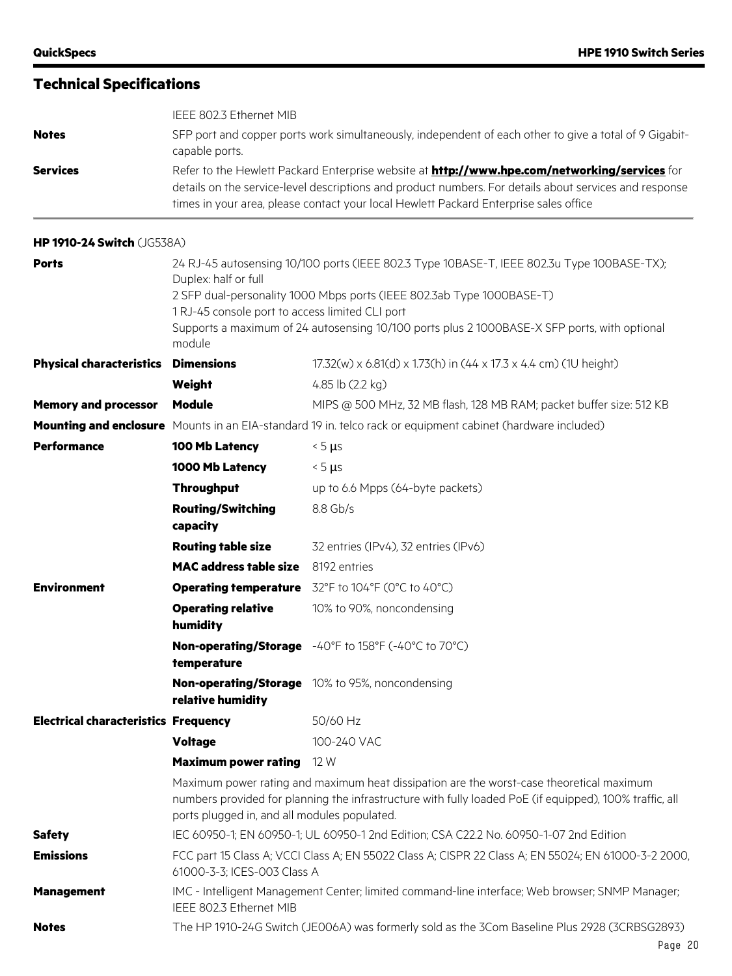|                 | IEEE 802.3 Ethernet MIB                                                                                                                                                                                                                                                                                 |
|-----------------|---------------------------------------------------------------------------------------------------------------------------------------------------------------------------------------------------------------------------------------------------------------------------------------------------------|
| <b>Notes</b>    | SFP port and copper ports work simultaneously, independent of each other to give a total of 9 Gigabit-<br>capable ports.                                                                                                                                                                                |
| <b>Services</b> | Refer to the Hewlett Packard Enterprise website at <b>http://www.hpe.com/networking/services</b> for<br>details on the service-level descriptions and product numbers. For details about services and response<br>times in your area, please contact your local Hewlett Packard Enterprise sales office |

#### **HP 1910-24 Switch** (JG538A)

| <b>Ports</b>                                | 24 RJ-45 autosensing 10/100 ports (IEEE 802.3 Type 10BASE-T, IEEE 802.3u Type 100BASE-TX);<br>Duplex: half or full<br>2 SFP dual-personality 1000 Mbps ports (IEEE 802.3ab Type 1000BASE-T)                                                         |                                                                                                             |
|---------------------------------------------|-----------------------------------------------------------------------------------------------------------------------------------------------------------------------------------------------------------------------------------------------------|-------------------------------------------------------------------------------------------------------------|
|                                             | 1 RJ-45 console port to access limited CLI port<br>module                                                                                                                                                                                           | Supports a maximum of 24 autosensing 10/100 ports plus 2 1000BASE-X SFP ports, with optional                |
| <b>Physical characteristics</b>             | <b>Dimensions</b>                                                                                                                                                                                                                                   | 17.32(w) x 6.81(d) x 1.73(h) in (44 x 17.3 x 4.4 cm) (1U height)                                            |
|                                             | Weight                                                                                                                                                                                                                                              | 4.85 lb (2.2 kg)                                                                                            |
| <b>Memory and processor</b>                 | <b>Module</b>                                                                                                                                                                                                                                       | MIPS @ 500 MHz, 32 MB flash, 128 MB RAM; packet buffer size: 512 KB                                         |
|                                             |                                                                                                                                                                                                                                                     | Mounting and enclosure Mounts in an EIA-standard 19 in. telco rack or equipment cabinet (hardware included) |
| <b>Performance</b>                          | 100 Mb Latency                                                                                                                                                                                                                                      | $< 5 \mu s$                                                                                                 |
|                                             | 1000 Mb Latency                                                                                                                                                                                                                                     | $< 5 \mu s$                                                                                                 |
|                                             | <b>Throughput</b>                                                                                                                                                                                                                                   | up to 6.6 Mpps (64-byte packets)                                                                            |
|                                             | <b>Routing/Switching</b><br>capacity                                                                                                                                                                                                                | 8.8 Gb/s                                                                                                    |
|                                             | <b>Routing table size</b>                                                                                                                                                                                                                           | 32 entries (IPv4), 32 entries (IPv6)                                                                        |
|                                             | <b>MAC address table size</b>                                                                                                                                                                                                                       | 8192 entries                                                                                                |
| <b>Environment</b>                          |                                                                                                                                                                                                                                                     | <b>Operating temperature</b> 32°F to 104°F (0°C to 40°C)                                                    |
|                                             | <b>Operating relative</b><br>humidity                                                                                                                                                                                                               | 10% to 90%, noncondensing                                                                                   |
|                                             | temperature                                                                                                                                                                                                                                         | <b>Non-operating/Storage</b> -40°F to 158°F (-40°C to 70°C)                                                 |
|                                             | relative humidity                                                                                                                                                                                                                                   | <b>Non-operating/Storage</b> 10% to 95%, noncondensing                                                      |
| <b>Electrical characteristics Frequency</b> |                                                                                                                                                                                                                                                     | 50/60 Hz                                                                                                    |
|                                             | <b>Voltage</b>                                                                                                                                                                                                                                      | 100-240 VAC                                                                                                 |
|                                             | <b>Maximum power rating</b>                                                                                                                                                                                                                         | 12 W                                                                                                        |
|                                             | Maximum power rating and maximum heat dissipation are the worst-case theoretical maximum<br>numbers provided for planning the infrastructure with fully loaded PoE (if equipped), 100% traffic, all<br>ports plugged in, and all modules populated. |                                                                                                             |
| <b>Safety</b>                               |                                                                                                                                                                                                                                                     | IEC 60950-1; EN 60950-1; UL 60950-1 2nd Edition; CSA C22.2 No. 60950-1-07 2nd Edition                       |
| <b>Emissions</b>                            | FCC part 15 Class A; VCCI Class A; EN 55022 Class A; CISPR 22 Class A; EN 55024; EN 61000-3-2 2000,<br>61000-3-3; ICES-003 Class A                                                                                                                  |                                                                                                             |
| <b>Management</b>                           | IMC - Intelligent Management Center; limited command-line interface; Web browser; SNMP Manager;<br>IEEE 802.3 Ethernet MIB                                                                                                                          |                                                                                                             |
| <b>Notes</b>                                | The HP 1910-24G Switch (JE006A) was formerly sold as the 3Com Baseline Plus 2928 (3CRBSG2893)                                                                                                                                                       |                                                                                                             |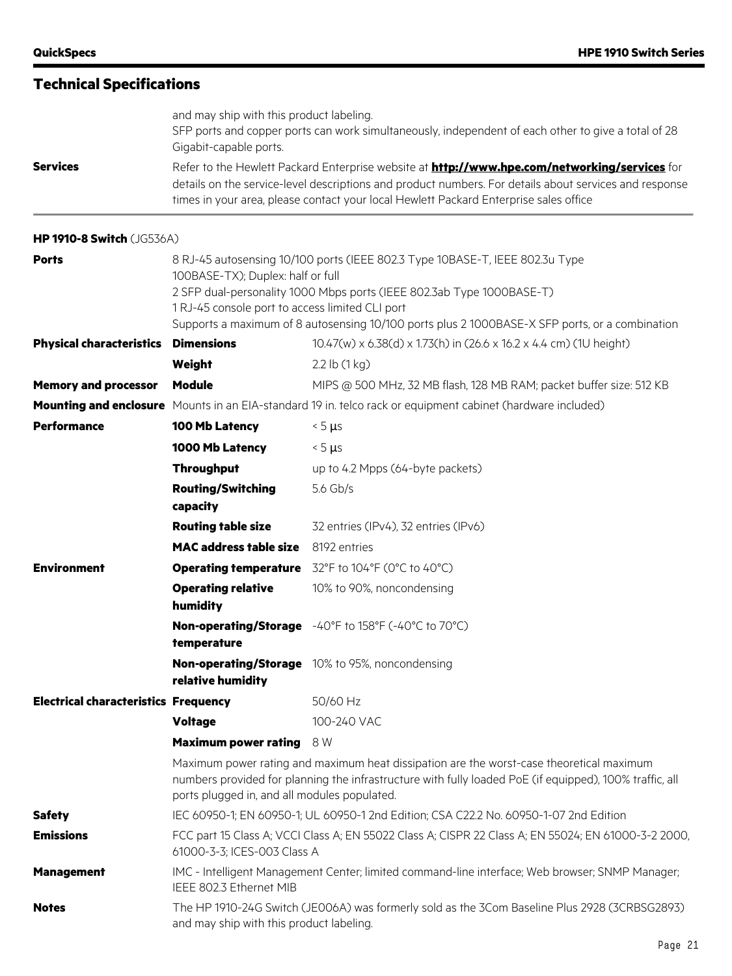### and may ship with this product labeling. SFP ports and copper ports can work simultaneously, independent of each other to give a total of 28 Gigabit-capable ports. **Services** Refer to the Hewlett Packard Enterprise website at **<http://www.hpe.com/networking/services>** for details on the service-level descriptions and product numbers. For details about services and response times in your area, please contact your local Hewlett Packard Enterprise sales office **HP 1910-8 Switch** (JG536A) **Ports** 8 RJ-45 autosensing 10/100 ports (IEEE 802.3 Type 10BASE-T, IEEE 802.3u Type 100BASE-TX); Duplex: half or full 2 SFP dual-personality 1000 Mbps ports (IEEE 802.3ab Type 1000BASE-T) 1 RJ-45 console port to access limited CLI port Supports a maximum of 8 autosensing 10/100 ports plus 2 1000BASE-X SFP ports, or a combination **Physical characteristics Dimensions** 10.47(w) x 6.38(d) x 1.73(h) in (26.6 x 16.2 x 4.4 cm) (1U height) **Weight** 2.2 lb (1 kg) **Memory and processor Module** MIPS @ 500 MHz, 32 MB flash, 128 MB RAM; packet buffer size: 512 KB **Mounting and enclosure** Mounts in an EIA-standard 19 in. telco rack or equipment cabinet (hardware included) **Performance 100 Mb Latency** < 5 µs **1000 Mb Latency** < 5 µs **Throughput** up to 4.2 Mpps (64-byte packets) **Routing/Switching capacity** 5.6 Gb/s **Routing table size** 32 entries (IPv4), 32 entries (IPv6) MAC address table size 8192 entries **Environment Operating temperature** 32°F to 104°F (0°C to 40°C) **Operating relative humidity** 10% to 90%, noncondensing **Non-operating/Storage**  -40°F to 158°F (-40°C to 70°C) **temperature Non-operating/Storage**  10% to 95%, noncondensing **relative humidity Electrical characteristics Frequency** 50/60 Hz **Voltage** 100-240 VAC **Maximum power rating** 8 W Maximum power rating and maximum heat dissipation are the worst-case theoretical maximum numbers provided for planning the infrastructure with fully loaded PoE (if equipped), 100% traffic, all ports plugged in, and all modules populated. **Safety IEC 60950-1; EN 60950-1; UL 60950-1 2nd Edition; CSA C22.2 No. 60950-1-07 2nd Edition Emissions** FCC part 15 Class A; VCCI Class A; EN 55022 Class A; CISPR 22 Class A; EN 55024; EN 61000-3-2 2000, 61000-3-3; ICES-003 Class A **Management** IMC - Intelligent Management Center; limited command-line interface; Web browser; SNMP Manager; IEEE 802.3 Ethernet MIB **Notes** The HP 1910-24G Switch (JE006A) was formerly sold as the 3Com Baseline Plus 2928 (3CRBSG2893) and may ship with this product labeling.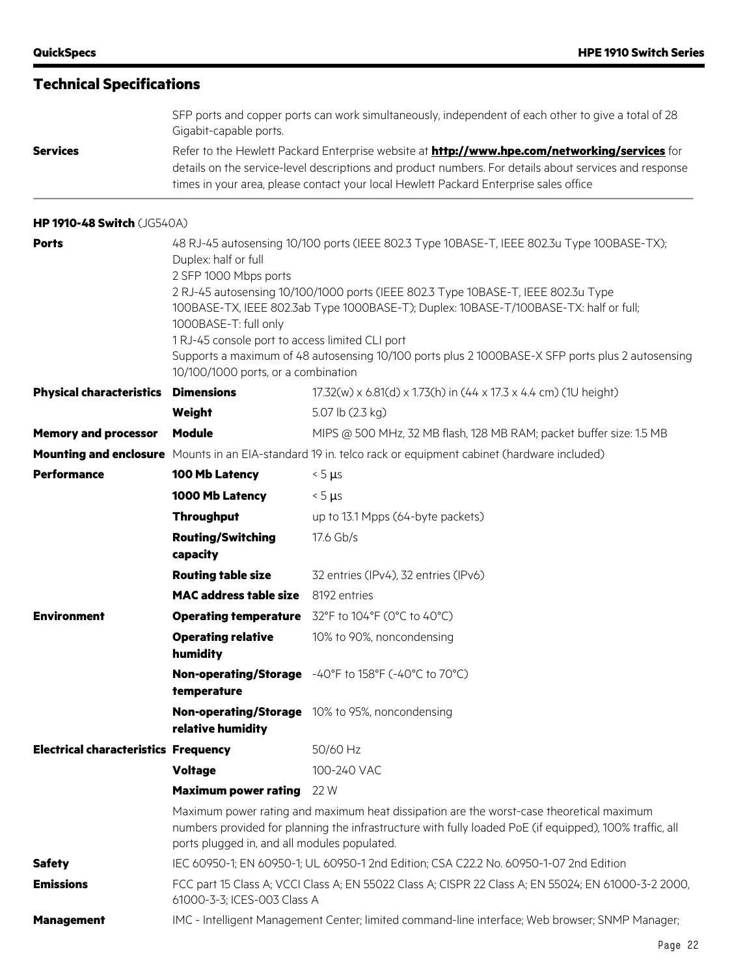|                 | SFP ports and copper ports can work simultaneously, independent of each other to give a total of 28<br>Gigabit-capable ports.                                                                                                                                                                           |
|-----------------|---------------------------------------------------------------------------------------------------------------------------------------------------------------------------------------------------------------------------------------------------------------------------------------------------------|
| <b>Services</b> | Refer to the Hewlett Packard Enterprise website at <b>http://www.hpe.com/networking/services</b> for<br>details on the service-level descriptions and product numbers. For details about services and response<br>times in your area, please contact your local Hewlett Packard Enterprise sales office |

#### **HP 1910-48 Switch** (JG540A)

| 48 RJ-45 autosensing 10/100 ports (IEEE 802.3 Type 10BASE-T, IEEE 802.3u Type 100BASE-TX);<br>Duplex: half or full<br>2 SFP 1000 Mbps ports                                                                                                         |                                                                                                             |  |
|-----------------------------------------------------------------------------------------------------------------------------------------------------------------------------------------------------------------------------------------------------|-------------------------------------------------------------------------------------------------------------|--|
| 2 RJ-45 autosensing 10/100/1000 ports (IEEE 802.3 Type 10BASE-T, IEEE 802.3u Type<br>100BASE-TX, IEEE 802.3ab Type 1000BASE-T); Duplex: 10BASE-T/100BASE-TX: half or full;                                                                          |                                                                                                             |  |
| 1 RJ-45 console port to access limited CLI port<br>Supports a maximum of 48 autosensing 10/100 ports plus 2 1000BASE-X SFP ports plus 2 autosensing<br>10/100/1000 ports, or a combination                                                          |                                                                                                             |  |
| <b>Dimensions</b>                                                                                                                                                                                                                                   | 17.32(w) x 6.81(d) x 1.73(h) in (44 x 17.3 x 4.4 cm) (1U height)                                            |  |
| Weight                                                                                                                                                                                                                                              | 5.07 lb (2.3 kg)                                                                                            |  |
| <b>Module</b>                                                                                                                                                                                                                                       | MIPS @ 500 MHz, 32 MB flash, 128 MB RAM; packet buffer size: 1.5 MB                                         |  |
|                                                                                                                                                                                                                                                     | Mounting and enclosure Mounts in an EIA-standard 19 in. telco rack or equipment cabinet (hardware included) |  |
| 100 Mb Latency                                                                                                                                                                                                                                      | $< 5 \mu s$                                                                                                 |  |
| 1000 Mb Latency                                                                                                                                                                                                                                     | $< 5 \mu s$                                                                                                 |  |
| <b>Throughput</b>                                                                                                                                                                                                                                   | up to 13.1 Mpps (64-byte packets)                                                                           |  |
| <b>Routing/Switching</b><br>capacity                                                                                                                                                                                                                | 17.6 Gb/s                                                                                                   |  |
| <b>Routing table size</b>                                                                                                                                                                                                                           | 32 entries (IPv4), 32 entries (IPv6)                                                                        |  |
| <b>MAC address table size</b>                                                                                                                                                                                                                       | 8192 entries                                                                                                |  |
|                                                                                                                                                                                                                                                     | Operating temperature 32°F to 104°F (0°C to 40°C)                                                           |  |
| <b>Operating relative</b><br>humidity                                                                                                                                                                                                               | 10% to 90%, noncondensing                                                                                   |  |
| temperature                                                                                                                                                                                                                                         | Non-operating/Storage -40°F to 158°F (-40°C to 70°C)                                                        |  |
| relative humidity                                                                                                                                                                                                                                   | <b>Non-operating/Storage</b> 10% to 95%, noncondensing                                                      |  |
| <b>Electrical characteristics Frequency</b>                                                                                                                                                                                                         | 50/60 Hz                                                                                                    |  |
| <b>Voltage</b>                                                                                                                                                                                                                                      | 100-240 VAC                                                                                                 |  |
| <b>Maximum power rating</b> 22 W                                                                                                                                                                                                                    |                                                                                                             |  |
| Maximum power rating and maximum heat dissipation are the worst-case theoretical maximum<br>numbers provided for planning the infrastructure with fully loaded PoE (if equipped), 100% traffic, all<br>ports plugged in, and all modules populated. |                                                                                                             |  |
| IEC 60950-1; EN 60950-1; UL 60950-1 2nd Edition; CSA C22.2 No. 60950-1-07 2nd Edition                                                                                                                                                               |                                                                                                             |  |
| FCC part 15 Class A; VCCI Class A; EN 55022 Class A; CISPR 22 Class A; EN 55024; EN 61000-3-2 2000,<br>61000-3-3; ICES-003 Class A                                                                                                                  |                                                                                                             |  |
| IMC - Intelligent Management Center; limited command-line interface; Web browser; SNMP Manager;                                                                                                                                                     |                                                                                                             |  |
|                                                                                                                                                                                                                                                     | 1000BASE-T: full only                                                                                       |  |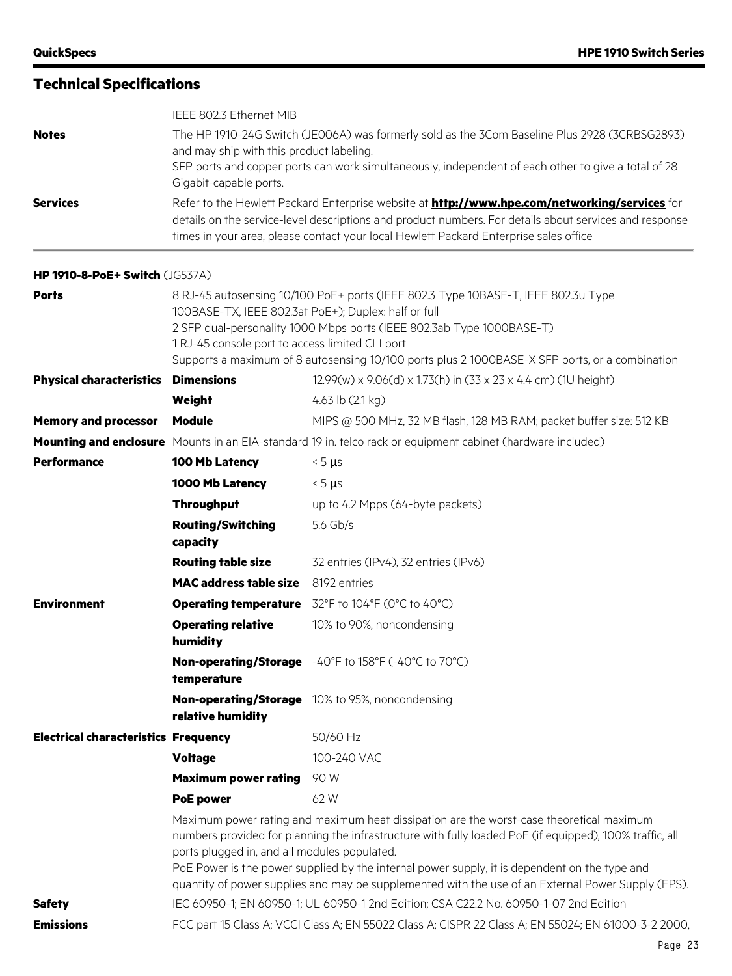|                 | IEEE 802.3 Ethernet MIB                                                                                                                                                                                                                                                                                 |
|-----------------|---------------------------------------------------------------------------------------------------------------------------------------------------------------------------------------------------------------------------------------------------------------------------------------------------------|
| <b>Notes</b>    | The HP 1910-24G Switch (JE006A) was formerly sold as the 3Com Baseline Plus 2928 (3CRBSG2893)<br>and may ship with this product labeling.                                                                                                                                                               |
|                 | SFP ports and copper ports can work simultaneously, independent of each other to give a total of 28<br>Gigabit-capable ports.                                                                                                                                                                           |
| <b>Services</b> | Refer to the Hewlett Packard Enterprise website at <b>http://www.hpe.com/networking/services</b> for<br>details on the service-level descriptions and product numbers. For details about services and response<br>times in your area, please contact your local Hewlett Packard Enterprise sales office |

#### **HP 1910-8-PoE+ Switch** (JG537A)

| <b>Ports</b>                                | 8 RJ-45 autosensing 10/100 PoE+ ports (IEEE 802.3 Type 10BASE-T, IEEE 802.3u Type                                                                                                                                                                                                                                                                                                                                                                          |                                                                                                |  |
|---------------------------------------------|------------------------------------------------------------------------------------------------------------------------------------------------------------------------------------------------------------------------------------------------------------------------------------------------------------------------------------------------------------------------------------------------------------------------------------------------------------|------------------------------------------------------------------------------------------------|--|
|                                             | 100BASE-TX, IEEE 802.3at PoE+); Duplex: half or full<br>2 SFP dual-personality 1000 Mbps ports (IEEE 802.3ab Type 1000BASE-T)                                                                                                                                                                                                                                                                                                                              |                                                                                                |  |
|                                             | 1 RJ-45 console port to access limited CLI port                                                                                                                                                                                                                                                                                                                                                                                                            |                                                                                                |  |
|                                             |                                                                                                                                                                                                                                                                                                                                                                                                                                                            | Supports a maximum of 8 autosensing 10/100 ports plus 2 1000BASE-X SFP ports, or a combination |  |
| <b>Physical characteristics</b>             | <b>Dimensions</b>                                                                                                                                                                                                                                                                                                                                                                                                                                          | 12.99(w) x 9.06(d) x 1.73(h) in (33 x 23 x 4.4 cm) (1U height)                                 |  |
|                                             | Weight                                                                                                                                                                                                                                                                                                                                                                                                                                                     | 4.63 lb $(2.1 \text{ kg})$                                                                     |  |
| <b>Memory and processor</b>                 | <b>Module</b>                                                                                                                                                                                                                                                                                                                                                                                                                                              | MIPS @ 500 MHz, 32 MB flash, 128 MB RAM; packet buffer size: 512 KB                            |  |
|                                             | <b>Mounting and enclosure</b> Mounts in an EIA-standard 19 in. telco rack or equipment cabinet (hardware included)                                                                                                                                                                                                                                                                                                                                         |                                                                                                |  |
| <b>Performance</b>                          | 100 Mb Latency                                                                                                                                                                                                                                                                                                                                                                                                                                             | $< 5 \mu s$                                                                                    |  |
|                                             | 1000 Mb Latency                                                                                                                                                                                                                                                                                                                                                                                                                                            | $< 5 \mu s$                                                                                    |  |
|                                             | <b>Throughput</b>                                                                                                                                                                                                                                                                                                                                                                                                                                          | up to 4.2 Mpps (64-byte packets)                                                               |  |
|                                             | <b>Routing/Switching</b><br>capacity                                                                                                                                                                                                                                                                                                                                                                                                                       | $5.6$ Gb/s                                                                                     |  |
|                                             | <b>Routing table size</b>                                                                                                                                                                                                                                                                                                                                                                                                                                  | 32 entries (IPv4), 32 entries (IPv6)                                                           |  |
|                                             | <b>MAC address table size</b>                                                                                                                                                                                                                                                                                                                                                                                                                              | 8192 entries                                                                                   |  |
| <b>Environment</b>                          | <b>Operating temperature</b>                                                                                                                                                                                                                                                                                                                                                                                                                               | 32°F to 104°F (0°C to 40°C)                                                                    |  |
|                                             | <b>Operating relative</b><br>humidity                                                                                                                                                                                                                                                                                                                                                                                                                      | 10% to 90%, noncondensing                                                                      |  |
|                                             | temperature                                                                                                                                                                                                                                                                                                                                                                                                                                                | Non-operating/Storage -40°F to 158°F (-40°C to 70°C)                                           |  |
|                                             | relative humidity                                                                                                                                                                                                                                                                                                                                                                                                                                          | <b>Non-operating/Storage</b> 10% to 95%, noncondensing                                         |  |
| <b>Electrical characteristics Frequency</b> |                                                                                                                                                                                                                                                                                                                                                                                                                                                            | 50/60 Hz                                                                                       |  |
|                                             | <b>Voltage</b>                                                                                                                                                                                                                                                                                                                                                                                                                                             | 100-240 VAC                                                                                    |  |
|                                             | <b>Maximum power rating</b>                                                                                                                                                                                                                                                                                                                                                                                                                                | 90 W                                                                                           |  |
|                                             | <b>PoE power</b>                                                                                                                                                                                                                                                                                                                                                                                                                                           | 62 W                                                                                           |  |
|                                             | Maximum power rating and maximum heat dissipation are the worst-case theoretical maximum<br>numbers provided for planning the infrastructure with fully loaded PoE (if equipped), 100% traffic, all<br>ports plugged in, and all modules populated.<br>PoE Power is the power supplied by the internal power supply, it is dependent on the type and<br>quantity of power supplies and may be supplemented with the use of an External Power Supply (EPS). |                                                                                                |  |
| <b>Safety</b>                               |                                                                                                                                                                                                                                                                                                                                                                                                                                                            | IEC 60950-1; EN 60950-1; UL 60950-1 2nd Edition; CSA C22.2 No. 60950-1-07 2nd Edition          |  |
| <b>Emissions</b>                            | FCC part 15 Class A; VCCI Class A; EN 55022 Class A; CISPR 22 Class A; EN 55024; EN 61000-3-2 2000,                                                                                                                                                                                                                                                                                                                                                        |                                                                                                |  |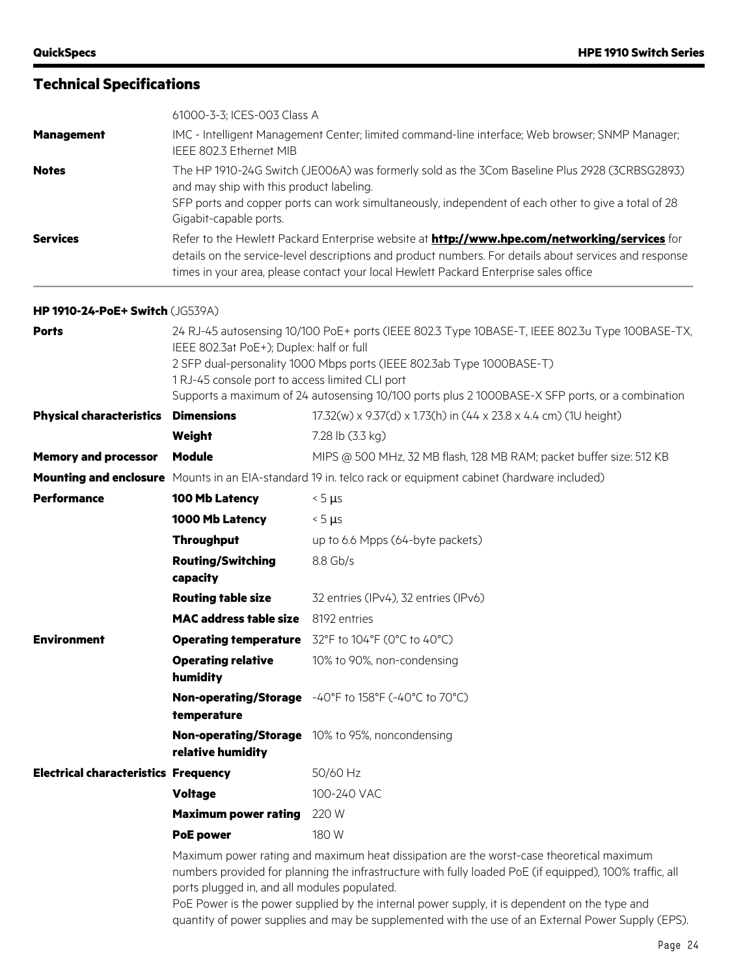|                   | 61000-3-3; ICES-003 Class A                                                                                                                                                                                                                                                                             |
|-------------------|---------------------------------------------------------------------------------------------------------------------------------------------------------------------------------------------------------------------------------------------------------------------------------------------------------|
| <b>Management</b> | IMC - Intelligent Management Center; limited command-line interface; Web browser; SNMP Manager;<br>IEEE 802.3 Ethernet MIB                                                                                                                                                                              |
| <b>Notes</b>      | The HP 1910-24G Switch (JE006A) was formerly sold as the 3Com Baseline Plus 2928 (3CRBSG2893)<br>and may ship with this product labeling.<br>SFP ports and copper ports can work simultaneously, independent of each other to give a total of 28<br>Gigabit-capable ports.                              |
| <b>Services</b>   | Refer to the Hewlett Packard Enterprise website at <b>http://www.hpe.com/networking/services</b> for<br>details on the service-level descriptions and product numbers. For details about services and response<br>times in your area, please contact your local Hewlett Packard Enterprise sales office |

#### **HP 1910-24-PoE+ Switch** (JG539A)

| <b>Ports</b>                                | 24 RJ-45 autosensing 10/100 PoE+ ports (IEEE 802.3 Type 10BASE-T, IEEE 802.3u Type 100BASE-TX,<br>IEEE 802.3at PoE+); Duplex: half or full |                                                                                                 |  |
|---------------------------------------------|--------------------------------------------------------------------------------------------------------------------------------------------|-------------------------------------------------------------------------------------------------|--|
|                                             | 2 SFP dual-personality 1000 Mbps ports (IEEE 802.3ab Type 1000BASE-T)                                                                      |                                                                                                 |  |
|                                             | 1 RJ-45 console port to access limited CLI port                                                                                            |                                                                                                 |  |
|                                             |                                                                                                                                            | Supports a maximum of 24 autosensing 10/100 ports plus 2 1000BASE-X SFP ports, or a combination |  |
| <b>Physical characteristics</b>             | <b>Dimensions</b>                                                                                                                          | 17.32(w) x 9.37(d) x 1.73(h) in (44 x 23.8 x 4.4 cm) (1U height)                                |  |
|                                             | Weight                                                                                                                                     | 7.28 lb (3.3 kg)                                                                                |  |
| <b>Memory and processor</b>                 | <b>Module</b>                                                                                                                              | MIPS @ 500 MHz, 32 MB flash, 128 MB RAM; packet buffer size: 512 KB                             |  |
|                                             | Mounting and enclosure Mounts in an EIA-standard 19 in. telco rack or equipment cabinet (hardware included)                                |                                                                                                 |  |
| <b>Performance</b>                          | 100 Mb Latency                                                                                                                             | $< 5 \mu s$                                                                                     |  |
|                                             | 1000 Mb Latency                                                                                                                            | $< 5 \mu s$                                                                                     |  |
|                                             | <b>Throughput</b>                                                                                                                          | up to 6.6 Mpps (64-byte packets)                                                                |  |
|                                             | <b>Routing/Switching</b>                                                                                                                   | 8.8 Gb/s                                                                                        |  |
|                                             | capacity                                                                                                                                   |                                                                                                 |  |
|                                             | <b>Routing table size</b>                                                                                                                  | 32 entries (IPv4), 32 entries (IPv6)                                                            |  |
|                                             | <b>MAC</b> address table size                                                                                                              | 8192 entries                                                                                    |  |
| <b>Environment</b>                          |                                                                                                                                            | <b>Operating temperature</b> 32°F to 104°F (0°C to 40°C)                                        |  |
|                                             | <b>Operating relative</b>                                                                                                                  | 10% to 90%, non-condensing                                                                      |  |
|                                             | humidity                                                                                                                                   |                                                                                                 |  |
|                                             | temperature                                                                                                                                | <b>Non-operating/Storage</b> -40°F to 158°F (-40°C to 70°C)                                     |  |
|                                             | relative humidity                                                                                                                          | <b>Non-operating/Storage</b> 10% to 95%, noncondensing                                          |  |
| <b>Electrical characteristics Frequency</b> |                                                                                                                                            | 50/60 Hz                                                                                        |  |
|                                             | <b>Voltage</b>                                                                                                                             | 100-240 VAC                                                                                     |  |
|                                             | <b>Maximum power rating</b>                                                                                                                | 220 W                                                                                           |  |
|                                             | <b>PoE power</b>                                                                                                                           | 180 W                                                                                           |  |
|                                             |                                                                                                                                            |                                                                                                 |  |

Maximum power rating and maximum heat dissipation are the worst-case theoretical maximum numbers provided for planning the infrastructure with fully loaded PoE (if equipped), 100% traffic, all ports plugged in, and all modules populated.

PoE Power is the power supplied by the internal power supply, it is dependent on the type and quantity of power supplies and may be supplemented with the use of an External Power Supply (EPS).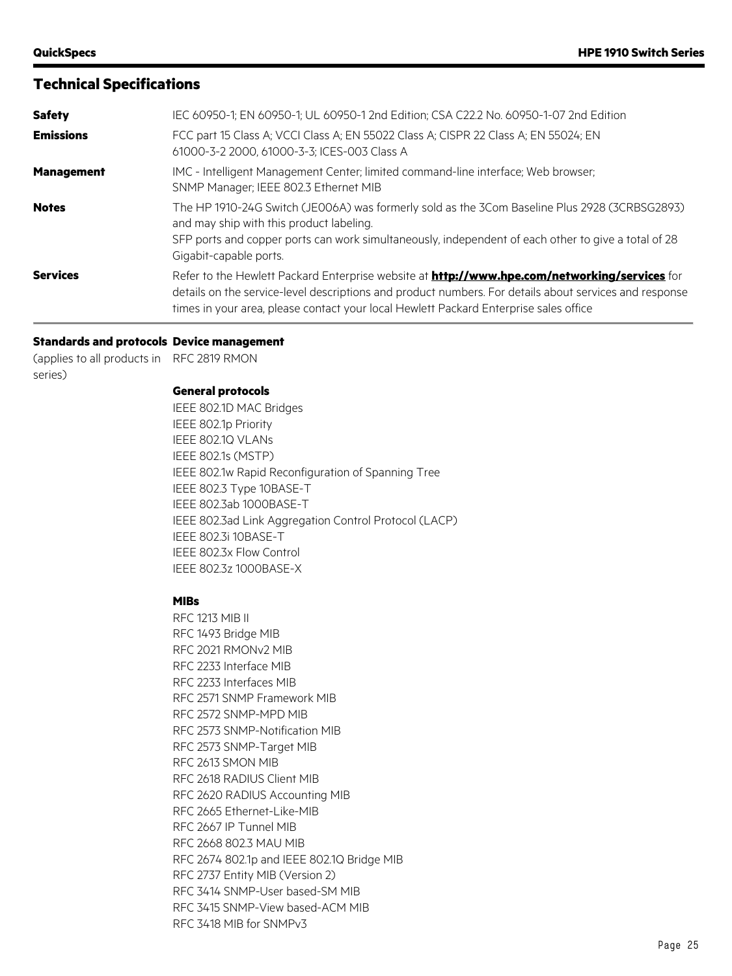| <b>Safety</b>     | IEC 60950-1; EN 60950-1; UL 60950-1 2nd Edition; CSA C22.2 No. 60950-1-07 2nd Edition                                                                                                                                                                                                                   |
|-------------------|---------------------------------------------------------------------------------------------------------------------------------------------------------------------------------------------------------------------------------------------------------------------------------------------------------|
| <b>Emissions</b>  | FCC part 15 Class A; VCCI Class A; EN 55022 Class A; CISPR 22 Class A; EN 55024; EN<br>61000-3-2 2000, 61000-3-3; ICES-003 Class A                                                                                                                                                                      |
| <b>Management</b> | IMC - Intelligent Management Center; limited command-line interface; Web browser;<br>SNMP Manager; IEEE 802.3 Ethernet MIB                                                                                                                                                                              |
| <b>Notes</b>      | The HP 1910-24G Switch (JE006A) was formerly sold as the 3Com Baseline Plus 2928 (3CRBSG2893)<br>and may ship with this product labeling.<br>SFP ports and copper ports can work simultaneously, independent of each other to give a total of 28<br>Gigabit-capable ports.                              |
| <b>Services</b>   | Refer to the Hewlett Packard Enterprise website at <b>http://www.hpe.com/networking/services</b> for<br>details on the service-level descriptions and product numbers. For details about services and response<br>times in your area, please contact your local Hewlett Packard Enterprise sales office |

#### **Standards and protocols Device management**

(applies to all products in RFC 2819 RMON series)

#### **General protocols**

IEEE 802.1D MAC Bridges IEEE 802.1p Priority IEEE 802.1Q VLANs IEEE 802.1s (MSTP) IEEE 802.1w Rapid Reconfiguration of Spanning Tree IEEE 802.3 Type 10BASE-T IEEE 802.3ab 1000BASE-T IEEE 802.3ad Link Aggregation Control Protocol (LACP) IEEE 802.3i 10BASE-T IEEE 802.3x Flow Control IEEE 802.3z 1000BASE-X

#### **MIBs**

RFC 1213 MIB II RFC 1493 Bridge MIB RFC 2021 RMONv2 MIB RFC 2233 Interface MIB RFC 2233 Interfaces MIB RFC 2571 SNMP Framework MIB RFC 2572 SNMP-MPD MIB RFC 2573 SNMP-Notification MIB RFC 2573 SNMP-Target MIB RFC 2613 SMON MIB RFC 2618 RADIUS Client MIB RFC 2620 RADIUS Accounting MIB RFC 2665 Ethernet-Like-MIB RFC 2667 IP Tunnel MIB RFC 2668 802.3 MAU MIB RFC 2674 802.1p and IEEE 802.1Q Bridge MIB RFC 2737 Entity MIB (Version 2) RFC 3414 SNMP-User based-SM MIB RFC 3415 SNMP-View based-ACM MIB RFC 3418 MIB for SNMPv3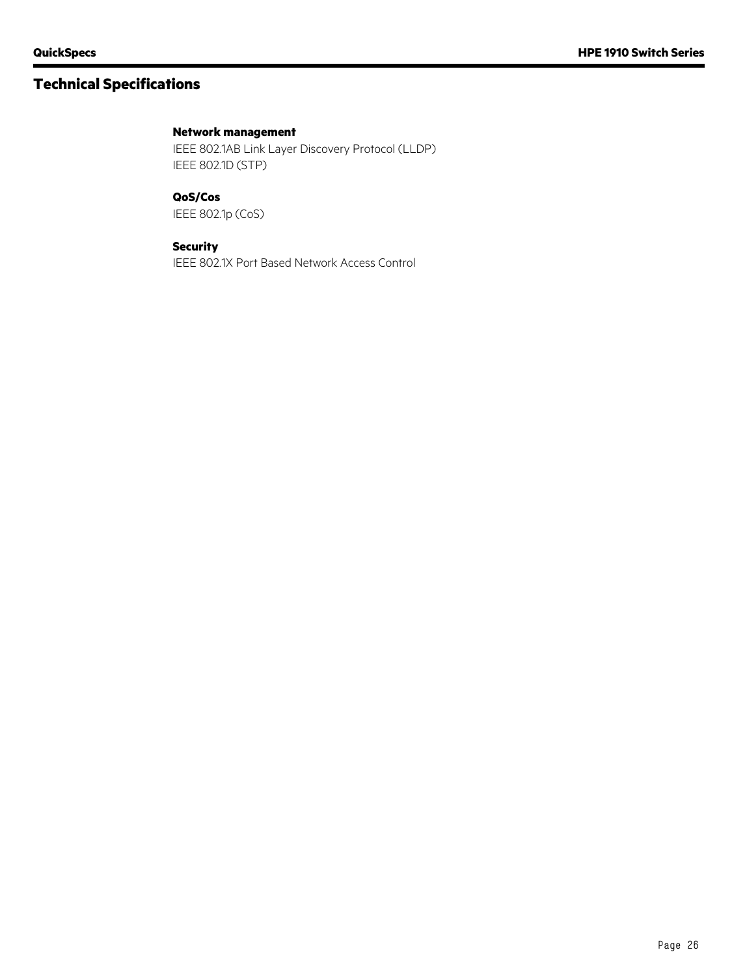#### **Network management**

IEEE 802.1AB Link Layer Discovery Protocol (LLDP) IEEE 802.1D (STP)

#### **QoS/Cos**

IEEE 802.1p (CoS)

#### **Security**

IEEE 802.1X Port Based Network Access Control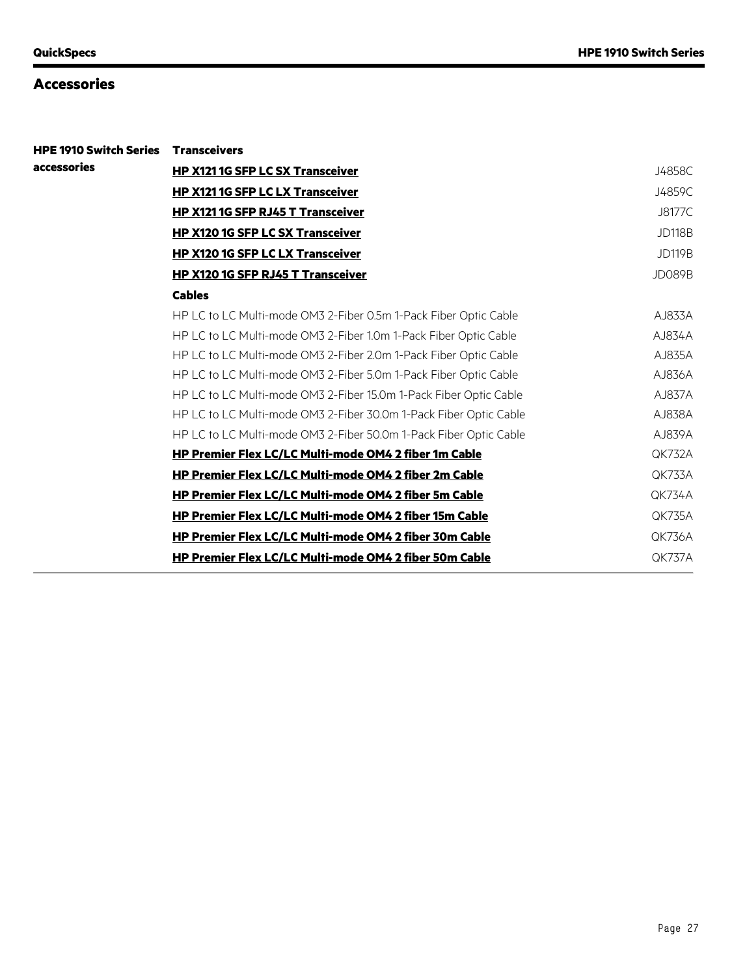### **Accessories**

| <b>HPE 1910 Switch Series Transceivers</b> |                                                                   |               |
|--------------------------------------------|-------------------------------------------------------------------|---------------|
| accessories                                | <b>HP X121 1G SFP LC SX Transceiver</b>                           | J4858C        |
|                                            | <b>HP X121 1G SFP LC LX Transceiver</b>                           | J4859C        |
|                                            | <b>HP X121 1G SFP RJ45 T Transceiver</b>                          | <b>J8177C</b> |
|                                            | <b>HP X120 1G SFP LC SX Transceiver</b>                           | <b>JD118B</b> |
|                                            | <b>HP X120 1G SFP LC LX Transceiver</b>                           | <b>JD119B</b> |
|                                            | <b>HP X120 1G SFP RJ45 T Transceiver</b>                          | <b>JD089B</b> |
|                                            | <b>Cables</b>                                                     |               |
|                                            | HP LC to LC Multi-mode OM3 2-Fiber 0.5m 1-Pack Fiber Optic Cable  | AJ833A        |
|                                            | HP LC to LC Multi-mode OM3 2-Fiber 1.0m 1-Pack Fiber Optic Cable  | AJ834A        |
|                                            | HP LC to LC Multi-mode OM3 2-Fiber 2.0m 1-Pack Fiber Optic Cable  | AJ835A        |
|                                            | HP LC to LC Multi-mode OM3 2-Fiber 5.0m 1-Pack Fiber Optic Cable  | AJ836A        |
|                                            | HP LC to LC Multi-mode OM3 2-Fiber 15.0m 1-Pack Fiber Optic Cable | AJ837A        |
|                                            | HP LC to LC Multi-mode OM3 2-Fiber 30.0m 1-Pack Fiber Optic Cable | AJ838A        |
|                                            | HP LC to LC Multi-mode OM3 2-Fiber 50.0m 1-Pack Fiber Optic Cable | AJ839A        |
|                                            | HP Premier Flex LC/LC Multi-mode OM4 2 fiber 1m Cable             | <b>QK732A</b> |
|                                            | HP Premier Flex LC/LC Multi-mode OM4 2 fiber 2m Cable             | QK733A        |
|                                            | HP Premier Flex LC/LC Multi-mode OM4 2 fiber 5m Cable             | <b>QK734A</b> |
|                                            | HP Premier Flex LC/LC Multi-mode OM4 2 fiber 15m Cable            | <b>QK735A</b> |
|                                            | HP Premier Flex LC/LC Multi-mode OM4 2 fiber 30m Cable            | <b>OK736A</b> |
|                                            | HP Premier Flex LC/LC Multi-mode OM4 2 fiber 50m Cable            | <b>OK737A</b> |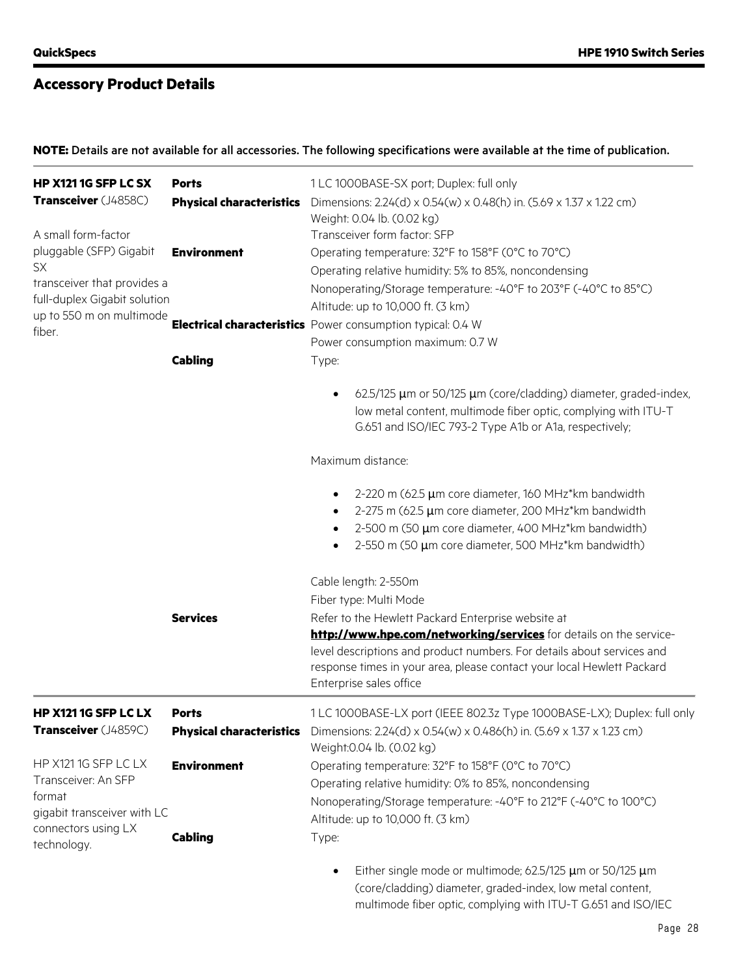**NOTE:** Details are not available for all accessories. The following specifications were available at the time of publication.

| <b>HP X121 1G SFP LC SX</b>                                                                                                | <b>Ports</b>                         | 1 LC 1000BASE-SX port; Duplex: full only                                                                                                                                                                                                                                                                                                                  |  |  |
|----------------------------------------------------------------------------------------------------------------------------|--------------------------------------|-----------------------------------------------------------------------------------------------------------------------------------------------------------------------------------------------------------------------------------------------------------------------------------------------------------------------------------------------------------|--|--|
| Transceiver (J4858C)<br>A small form-factor                                                                                | <b>Physical characteristics</b>      | Dimensions: 2.24(d) x 0.54(w) x 0.48(h) in. (5.69 x 1.37 x 1.22 cm)<br>Weight: 0.04 lb. (0.02 kg)<br>Transceiver form factor: SFP<br>Operating temperature: 32°F to 158°F (0°C to 70°C)<br>Operating relative humidity: 5% to 85%, noncondensing<br>Nonoperating/Storage temperature: -40°F to 203°F (-40°C to 85°C)<br>Altitude: up to 10,000 ft. (3 km) |  |  |
| pluggable (SFP) Gigabit<br>SX<br>transceiver that provides a<br>full-duplex Gigabit solution<br>up to 550 m on multimode   | <b>Environment</b>                   |                                                                                                                                                                                                                                                                                                                                                           |  |  |
| fiber.                                                                                                                     |                                      | Electrical characteristics Power consumption typical: 0.4 W<br>Power consumption maximum: 0.7 W                                                                                                                                                                                                                                                           |  |  |
|                                                                                                                            | <b>Cabling</b>                       | Type:                                                                                                                                                                                                                                                                                                                                                     |  |  |
|                                                                                                                            |                                      | 62.5/125 $\mu$ m or 50/125 $\mu$ m (core/cladding) diameter, graded-index,<br>٠<br>low metal content, multimode fiber optic, complying with ITU-T<br>G.651 and ISO/IEC 793-2 Type A1b or A1a, respectively;                                                                                                                                               |  |  |
|                                                                                                                            |                                      | Maximum distance:                                                                                                                                                                                                                                                                                                                                         |  |  |
|                                                                                                                            |                                      | 2-220 m (62.5 µm core diameter, 160 MHz*km bandwidth<br>$\bullet$<br>2-275 m (62.5 µm core diameter, 200 MHz*km bandwidth<br>٠<br>2-500 m (50 µm core diameter, 400 MHz*km bandwidth)<br>$\bullet$<br>2-550 m (50 µm core diameter, 500 MHz*km bandwidth)<br>٠                                                                                            |  |  |
|                                                                                                                            |                                      | Cable length: 2-550m<br>Fiber type: Multi Mode                                                                                                                                                                                                                                                                                                            |  |  |
|                                                                                                                            | <b>Services</b>                      | Refer to the Hewlett Packard Enterprise website at<br>http://www.hpe.com/networking/services for details on the service-<br>level descriptions and product numbers. For details about services and<br>response times in your area, please contact your local Hewlett Packard<br>Enterprise sales office                                                   |  |  |
| <b>HP X121 1G SFP LC LX</b>                                                                                                | <b>Ports</b>                         | 1 LC 1000BASE-LX port (IEEE 802.3z Type 1000BASE-LX); Duplex: full only                                                                                                                                                                                                                                                                                   |  |  |
| Transceiver (J4859C)                                                                                                       | <b>Physical characteristics</b>      | Dimensions: 2.24(d) x 0.54(w) x 0.486(h) in. (5.69 x 1.37 x 1.23 cm)<br>Weight: 0.04 lb. (0.02 kg)                                                                                                                                                                                                                                                        |  |  |
| HP X121 1G SFP LC LX<br>Transceiver: An SFP<br>format<br>gigabit transceiver with LC<br>connectors using LX<br>technology. | <b>Environment</b><br><b>Cabling</b> | Operating temperature: 32°F to 158°F (0°C to 70°C)<br>Operating relative humidity: 0% to 85%, noncondensing<br>Nonoperating/Storage temperature: -40°F to 212°F (-40°C to 100°C)<br>Altitude: up to 10,000 ft. (3 km)<br>Type:                                                                                                                            |  |  |
|                                                                                                                            |                                      | Either single mode or multimode; 62.5/125 $\mu$ m or 50/125 $\mu$ m<br>$\bullet$<br>(core/cladding) diameter, graded-index, low metal content,<br>multimode fiber optic, complying with ITU-T G.651 and ISO/IEC                                                                                                                                           |  |  |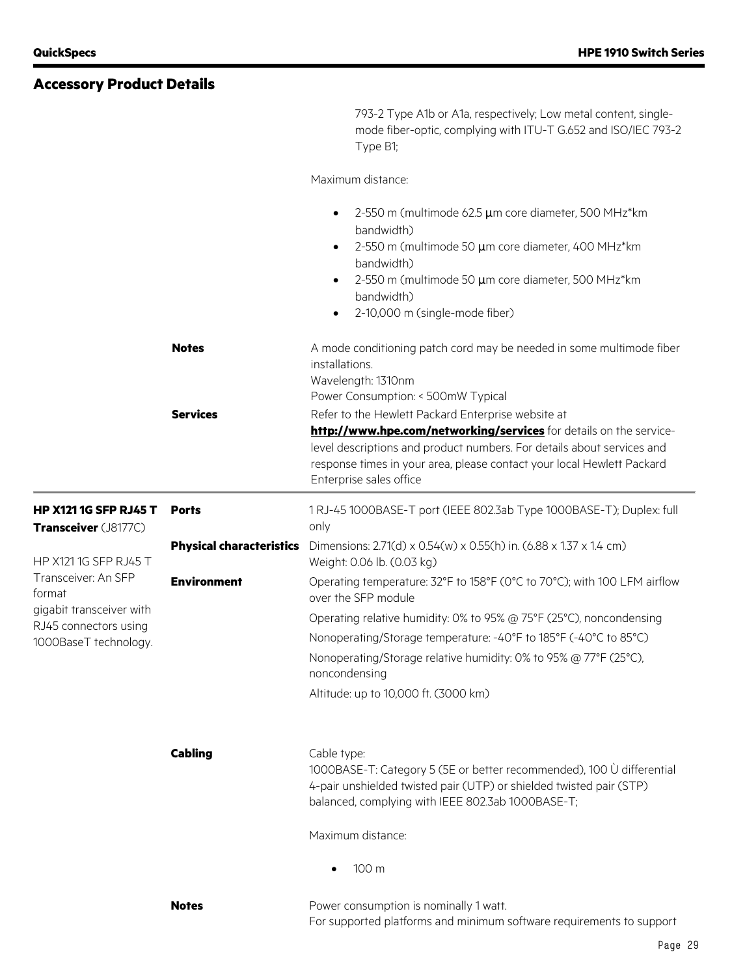793-2 Type A1b or A1a, respectively; Low metal content, singlemode fiber-optic, complying with ITU-T G.652 and ISO/IEC 793-2 Type B1;

Maximum distance:

|                                                      |                                 | 2-550 m (multimode 62.5 µm core diameter, 500 MHz*km<br>$\bullet$<br>bandwidth)<br>2-550 m (multimode 50 µm core diameter, 400 MHz*km<br>$\bullet$<br>bandwidth)<br>2-550 m (multimode 50 µm core diameter, 500 MHz*km<br>$\bullet$<br>bandwidth)<br>2-10,000 m (single-mode fiber)<br>$\bullet$        |  |
|------------------------------------------------------|---------------------------------|---------------------------------------------------------------------------------------------------------------------------------------------------------------------------------------------------------------------------------------------------------------------------------------------------------|--|
|                                                      | <b>Notes</b>                    | A mode conditioning patch cord may be needed in some multimode fiber<br>installations.<br>Wavelength: 1310nm<br>Power Consumption: < 500mW Typical                                                                                                                                                      |  |
|                                                      | <b>Services</b>                 | Refer to the Hewlett Packard Enterprise website at<br>http://www.hpe.com/networking/services for details on the service-<br>level descriptions and product numbers. For details about services and<br>response times in your area, please contact your local Hewlett Packard<br>Enterprise sales office |  |
| <b>HP X121 1G SFP RJ45 T</b><br>Transceiver (J8177C) | <b>Ports</b>                    | 1 RJ-45 1000BASE-T port (IEEE 802.3ab Type 1000BASE-T); Duplex: full<br>only                                                                                                                                                                                                                            |  |
| HP X121 1G SFP RJ45 T                                | <b>Physical characteristics</b> | Dimensions: 2.71(d) x 0.54(w) x 0.55(h) in. (6.88 x 1.37 x 1.4 cm)<br>Weight: 0.06 lb. (0.03 kg)                                                                                                                                                                                                        |  |
| Transceiver: An SFP<br>format                        | <b>Environment</b>              | Operating temperature: 32°F to 158°F (0°C to 70°C); with 100 LFM airflow<br>over the SFP module                                                                                                                                                                                                         |  |
| gigabit transceiver with<br>RJ45 connectors using    |                                 | Operating relative humidity: 0% to 95% @ 75°F (25°C), noncondensing                                                                                                                                                                                                                                     |  |
| 1000BaseT technology.                                |                                 | Nonoperating/Storage temperature: -40°F to 185°F (-40°C to 85°C)                                                                                                                                                                                                                                        |  |
|                                                      |                                 | Nonoperating/Storage relative humidity: 0% to 95% @ 77°F (25°C),<br>noncondensing                                                                                                                                                                                                                       |  |
|                                                      |                                 | Altitude: up to 10,000 ft. (3000 km)                                                                                                                                                                                                                                                                    |  |
|                                                      | <b>Cabling</b>                  | Cable type:<br>1000BASE-T: Category 5 (5E or better recommended), 100 U differential<br>4-pair unshielded twisted pair (UTP) or shielded twisted pair (STP)<br>balanced, complying with IEEE 802.3ab 1000BASE-T;                                                                                        |  |
|                                                      |                                 | Maximum distance:                                                                                                                                                                                                                                                                                       |  |
|                                                      |                                 | 100 m                                                                                                                                                                                                                                                                                                   |  |
|                                                      | <b>Notes</b>                    | Power consumption is nominally 1 watt.<br>For supported platforms and minimum software requirements to support                                                                                                                                                                                          |  |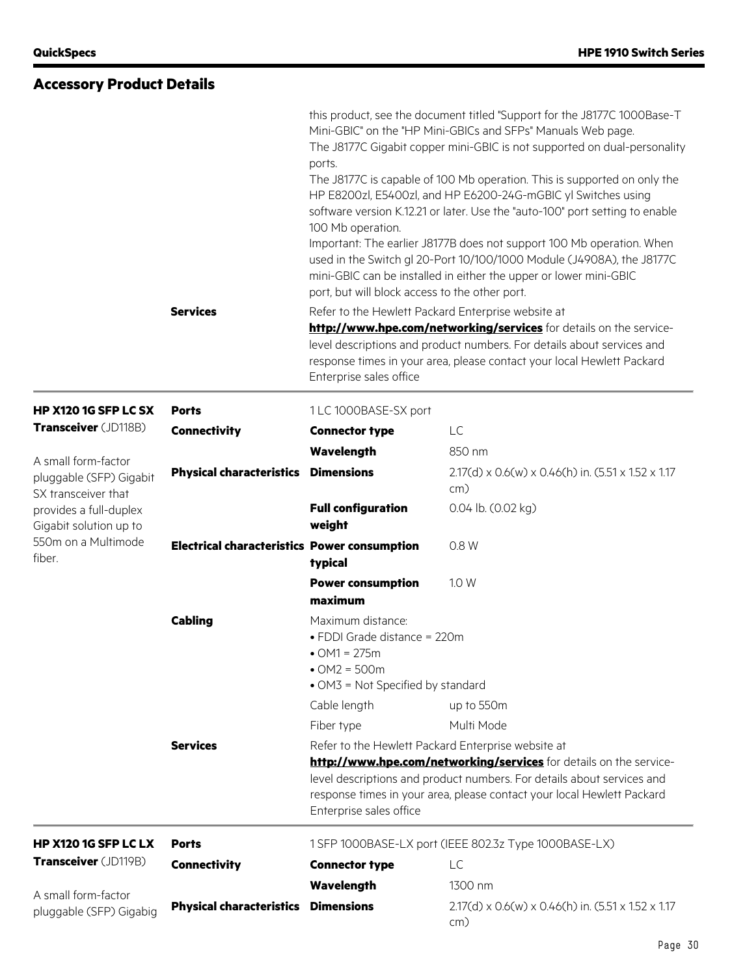|                 | this product, see the document titled "Support for the J8177C 1000Base-T<br>Mini-GBIC" on the "HP Mini-GBICs and SFPs" Manuals Web page.<br>The J8177C Gigabit copper mini-GBIC is not supported on dual-personality<br>ports.<br>The J8177C is capable of 100 Mb operation. This is supported on only the<br>HP E8200zl, E5400zl, and HP E6200-24G-mGBIC yl Switches using<br>software version K.12.21 or later. Use the "auto-100" port setting to enable<br>100 Mb operation.<br>Important: The earlier J8177B does not support 100 Mb operation. When<br>used in the Switch gl 20-Port 10/100/1000 Module (J4908A), the J8177C<br>mini-GBIC can be installed in either the upper or lower mini-GBIC<br>port, but will block access to the other port. |
|-----------------|-----------------------------------------------------------------------------------------------------------------------------------------------------------------------------------------------------------------------------------------------------------------------------------------------------------------------------------------------------------------------------------------------------------------------------------------------------------------------------------------------------------------------------------------------------------------------------------------------------------------------------------------------------------------------------------------------------------------------------------------------------------|
| <b>Services</b> | Refer to the Hewlett Packard Enterprise website at<br>http://www.hpe.com/networking/services for details on the service-<br>level descriptions and product numbers. For details about services and<br>response times in your area, please contact your local Hewlett Packard<br>Enterprise sales office                                                                                                                                                                                                                                                                                                                                                                                                                                                   |

| HP X120 1G SFP LC SX                             | <b>Ports</b>                                        | 1 LC 1000BASE-SX port                                                                                                                  |                                                                                                                                                                                                                        |  |
|--------------------------------------------------|-----------------------------------------------------|----------------------------------------------------------------------------------------------------------------------------------------|------------------------------------------------------------------------------------------------------------------------------------------------------------------------------------------------------------------------|--|
| Transceiver (JD118B)                             | <b>Connectivity</b>                                 | <b>Connector type</b>                                                                                                                  | LC                                                                                                                                                                                                                     |  |
| A small form-factor                              |                                                     | Wavelength                                                                                                                             | 850 nm                                                                                                                                                                                                                 |  |
| pluggable (SFP) Gigabit<br>SX transceiver that   | <b>Physical characteristics</b>                     | <b>Dimensions</b>                                                                                                                      | $2.17(d) \times 0.6(w) \times 0.46(h)$ in. $(5.51 \times 1.52 \times 1.17)$<br>cm)                                                                                                                                     |  |
| provides a full-duplex<br>Gigabit solution up to |                                                     | <b>Full configuration</b><br>weight                                                                                                    | 0.04 lb. (0.02 kg)                                                                                                                                                                                                     |  |
| 550m on a Multimode<br>fiber.                    | <b>Electrical characteristics Power consumption</b> | typical                                                                                                                                | 0.8 W                                                                                                                                                                                                                  |  |
|                                                  |                                                     | <b>Power consumption</b><br>maximum                                                                                                    | 1.0 W                                                                                                                                                                                                                  |  |
|                                                  | <b>Cabling</b>                                      | Maximum distance:<br>· FDDI Grade distance = 220m<br>$\bullet$ OM1 = 275m<br>$\bullet$ OM2 = 500m<br>• OM3 = Not Specified by standard |                                                                                                                                                                                                                        |  |
|                                                  |                                                     | Cable length                                                                                                                           | up to 550m                                                                                                                                                                                                             |  |
|                                                  |                                                     | Fiber type                                                                                                                             | Multi Mode                                                                                                                                                                                                             |  |
|                                                  | <b>Services</b>                                     | Refer to the Hewlett Packard Enterprise website at                                                                                     |                                                                                                                                                                                                                        |  |
|                                                  |                                                     | Enterprise sales office                                                                                                                | http://www.hpe.com/networking/services for details on the service-<br>level descriptions and product numbers. For details about services and<br>response times in your area, please contact your local Hewlett Packard |  |
| HP X120 1G SFP LC LX                             | <b>Ports</b>                                        | 1 SFP 1000BASE-LX port (IEEE 802.3z Type 1000BASE-LX)                                                                                  |                                                                                                                                                                                                                        |  |
| Transceiver (JD119B)                             | <b>Connectivity</b>                                 | <b>Connector type</b>                                                                                                                  | LC                                                                                                                                                                                                                     |  |
| A small form-factor                              |                                                     | Wavelength                                                                                                                             | 1300 nm                                                                                                                                                                                                                |  |
| pluggable (SFP) Gigabig                          | <b>Physical characteristics</b>                     | <b>Dimensions</b>                                                                                                                      | $2.17(d) \times 0.6(w) \times 0.46(h)$ in. $(5.51 \times 1.52 \times 1.17)$<br>cm)                                                                                                                                     |  |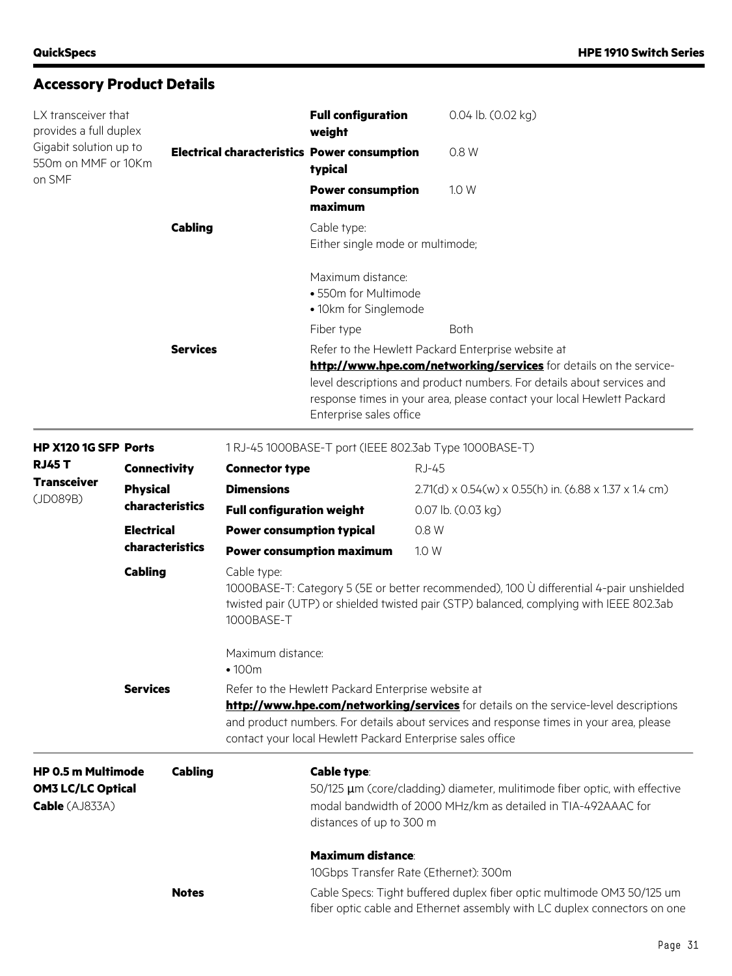| LX transceiver that<br>provides a full duplex<br>Gigabit solution up to<br>550m on MMF or 10Km<br>on SMF |                     |                                                                                                                                                                                                                                                                                                     | <b>Full configuration</b><br>weight                                                                                                                                     | 0.04 lb. (0.02 kg)                                                                                                                                                                                                                                                           |  |
|----------------------------------------------------------------------------------------------------------|---------------------|-----------------------------------------------------------------------------------------------------------------------------------------------------------------------------------------------------------------------------------------------------------------------------------------------------|-------------------------------------------------------------------------------------------------------------------------------------------------------------------------|------------------------------------------------------------------------------------------------------------------------------------------------------------------------------------------------------------------------------------------------------------------------------|--|
|                                                                                                          |                     |                                                                                                                                                                                                                                                                                                     | <b>Electrical characteristics Power consumption</b><br>typical                                                                                                          | 0.8 W                                                                                                                                                                                                                                                                        |  |
|                                                                                                          |                     |                                                                                                                                                                                                                                                                                                     | <b>Power consumption</b><br>maximum                                                                                                                                     | 1.0 W                                                                                                                                                                                                                                                                        |  |
|                                                                                                          | <b>Cabling</b>      |                                                                                                                                                                                                                                                                                                     | Cable type:<br>Either single mode or multimode;                                                                                                                         |                                                                                                                                                                                                                                                                              |  |
|                                                                                                          |                     |                                                                                                                                                                                                                                                                                                     | Maximum distance:<br>· 550m for Multimode<br>• 10km for Singlemode                                                                                                      |                                                                                                                                                                                                                                                                              |  |
|                                                                                                          |                     |                                                                                                                                                                                                                                                                                                     | Fiber type                                                                                                                                                              | <b>Both</b>                                                                                                                                                                                                                                                                  |  |
|                                                                                                          | <b>Services</b>     |                                                                                                                                                                                                                                                                                                     | Enterprise sales office                                                                                                                                                 | Refer to the Hewlett Packard Enterprise website at<br>http://www.hpe.com/networking/services for details on the service-<br>level descriptions and product numbers. For details about services and<br>response times in your area, please contact your local Hewlett Packard |  |
| HP X120 1G SFP Ports                                                                                     |                     |                                                                                                                                                                                                                                                                                                     |                                                                                                                                                                         | 1 RJ-45 1000BASE-T port (IEEE 802.3ab Type 1000BASE-T)                                                                                                                                                                                                                       |  |
| <b>RJ45 T</b>                                                                                            | <b>Connectivity</b> | <b>Connector type</b>                                                                                                                                                                                                                                                                               |                                                                                                                                                                         | <b>RJ-45</b>                                                                                                                                                                                                                                                                 |  |
| <b>Transceiver</b>                                                                                       | <b>Physical</b>     | <b>Dimensions</b>                                                                                                                                                                                                                                                                                   |                                                                                                                                                                         | $2.71(d) \times 0.54(w) \times 0.55(h)$ in. (6.88 x 1.37 x 1.4 cm)                                                                                                                                                                                                           |  |
| (JD089B)                                                                                                 | characteristics     | <b>Full configuration weight</b>                                                                                                                                                                                                                                                                    |                                                                                                                                                                         | 0.07 lb. (0.03 kg)                                                                                                                                                                                                                                                           |  |
|                                                                                                          | <b>Electrical</b>   | <b>Power consumption typical</b>                                                                                                                                                                                                                                                                    |                                                                                                                                                                         | 0.8 W                                                                                                                                                                                                                                                                        |  |
|                                                                                                          | characteristics     |                                                                                                                                                                                                                                                                                                     | <b>Power consumption maximum</b>                                                                                                                                        | 1.0 W                                                                                                                                                                                                                                                                        |  |
|                                                                                                          | <b>Cabling</b>      | Cable type:<br>1000BASE-T                                                                                                                                                                                                                                                                           |                                                                                                                                                                         | 1000BASE-T: Category 5 (5E or better recommended), 100 Ù differential 4-pair unshielded<br>twisted pair (UTP) or shielded twisted pair (STP) balanced, complying with IEEE 802.3ab                                                                                           |  |
|                                                                                                          |                     | Maximum distance:<br>$\cdot$ 100 $m$                                                                                                                                                                                                                                                                |                                                                                                                                                                         |                                                                                                                                                                                                                                                                              |  |
|                                                                                                          | <b>Services</b>     | Refer to the Hewlett Packard Enterprise website at<br>http://www.hpe.com/networking/services for details on the service-level descriptions<br>and product numbers. For details about services and response times in your area, please<br>contact your local Hewlett Packard Enterprise sales office |                                                                                                                                                                         |                                                                                                                                                                                                                                                                              |  |
| <b>HP 0.5 m Multimode</b>                                                                                | <b>Cabling</b>      |                                                                                                                                                                                                                                                                                                     | <b>Cable type:</b>                                                                                                                                                      |                                                                                                                                                                                                                                                                              |  |
| <b>OM3 LC/LC Optical</b><br><b>Cable</b> (AJ833A)                                                        |                     |                                                                                                                                                                                                                                                                                                     | 50/125 µm (core/cladding) diameter, mulitimode fiber optic, with effective<br>modal bandwidth of 2000 MHz/km as detailed in TIA-492AAAC for<br>distances of up to 300 m |                                                                                                                                                                                                                                                                              |  |
|                                                                                                          |                     |                                                                                                                                                                                                                                                                                                     | <b>Maximum distance:</b>                                                                                                                                                |                                                                                                                                                                                                                                                                              |  |

|              | 10Gbps Transfer Rate (Ethernet): 300m                                    |
|--------------|--------------------------------------------------------------------------|
| <b>Notes</b> | Cable Specs: Tight buffered duplex fiber optic multimode OM3 50/125 um   |
|              | fiber optic cable and Ethernet assembly with LC duplex connectors on one |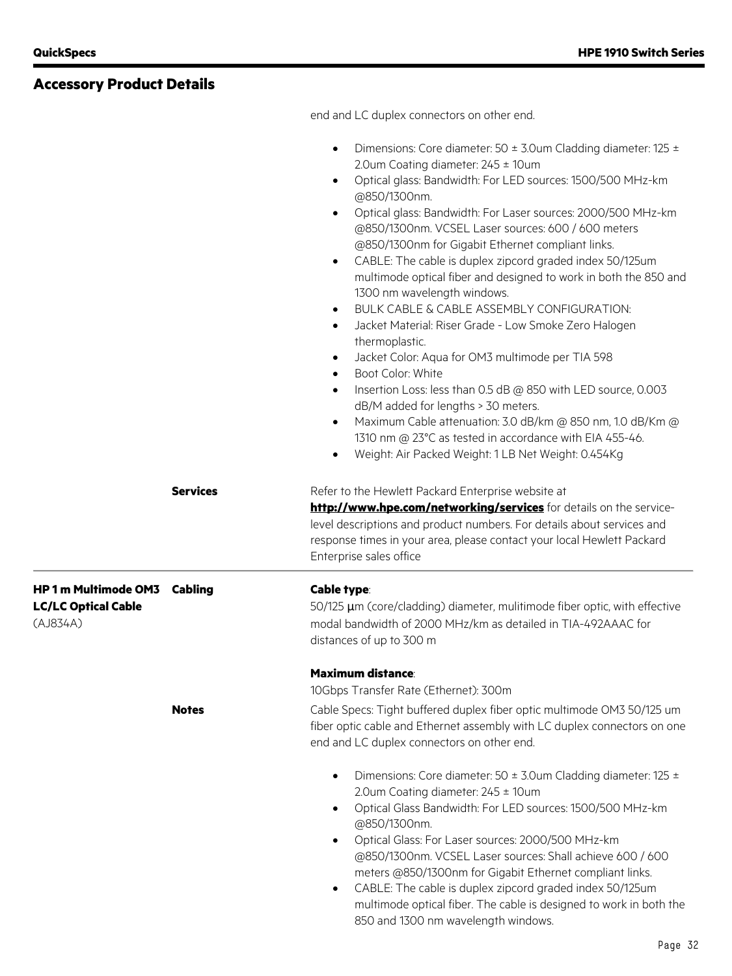end and LC duplex connectors on other end.

|                                                                     |                 | Dimensions: Core diameter: 50 $\pm$ 3.0um Cladding diameter: 125 $\pm$<br>$\bullet$<br>2.0um Coating diameter: $245 \pm 10$ um<br>Optical glass: Bandwidth: For LED sources: 1500/500 MHz-km<br>$\bullet$<br>@850/1300nm.<br>Optical glass: Bandwidth: For Laser sources: 2000/500 MHz-km<br>$\bullet$<br>@850/1300nm. VCSEL Laser sources: 600 / 600 meters<br>@850/1300nm for Gigabit Ethernet compliant links.<br>CABLE: The cable is duplex zipcord graded index 50/125um<br>$\bullet$<br>multimode optical fiber and designed to work in both the 850 and<br>1300 nm wavelength windows.<br>BULK CABLE & CABLE ASSEMBLY CONFIGURATION:<br>$\bullet$<br>Jacket Material: Riser Grade - Low Smoke Zero Halogen<br>$\bullet$<br>thermoplastic.<br>Jacket Color: Aqua for OM3 multimode per TIA 598<br>$\bullet$<br>Boot Color: White<br>$\bullet$<br>Insertion Loss: less than 0.5 dB @ 850 with LED source, 0.003<br>$\bullet$<br>dB/M added for lengths > 30 meters.<br>Maximum Cable attenuation: 3.0 dB/km @ 850 nm, 1.0 dB/Km @<br>$\bullet$<br>1310 nm @ 23°C as tested in accordance with EIA 455-46.<br>Weight: Air Packed Weight: 1 LB Net Weight: 0.454Kg<br>$\bullet$ |
|---------------------------------------------------------------------|-----------------|------------------------------------------------------------------------------------------------------------------------------------------------------------------------------------------------------------------------------------------------------------------------------------------------------------------------------------------------------------------------------------------------------------------------------------------------------------------------------------------------------------------------------------------------------------------------------------------------------------------------------------------------------------------------------------------------------------------------------------------------------------------------------------------------------------------------------------------------------------------------------------------------------------------------------------------------------------------------------------------------------------------------------------------------------------------------------------------------------------------------------------------------------------------------------------|
|                                                                     | <b>Services</b> | Refer to the Hewlett Packard Enterprise website at<br>http://www.hpe.com/networking/services for details on the service-<br>level descriptions and product numbers. For details about services and<br>response times in your area, please contact your local Hewlett Packard<br>Enterprise sales office                                                                                                                                                                                                                                                                                                                                                                                                                                                                                                                                                                                                                                                                                                                                                                                                                                                                            |
| <b>HP1m Multimode OM3</b><br><b>LC/LC Optical Cable</b><br>(AJ834A) | <b>Cabling</b>  | <b>Cable type:</b><br>50/125 µm (core/cladding) diameter, mulitimode fiber optic, with effective<br>modal bandwidth of 2000 MHz/km as detailed in TIA-492AAAC for<br>distances of up to 300 m                                                                                                                                                                                                                                                                                                                                                                                                                                                                                                                                                                                                                                                                                                                                                                                                                                                                                                                                                                                      |
|                                                                     |                 | <b>Maximum distance:</b><br>10Gbps Transfer Rate (Ethernet): 300m                                                                                                                                                                                                                                                                                                                                                                                                                                                                                                                                                                                                                                                                                                                                                                                                                                                                                                                                                                                                                                                                                                                  |
|                                                                     | <b>Notes</b>    | Cable Specs: Tight buffered duplex fiber optic multimode OM3 50/125 um<br>fiber optic cable and Ethernet assembly with LC duplex connectors on one<br>end and LC duplex connectors on other end.                                                                                                                                                                                                                                                                                                                                                                                                                                                                                                                                                                                                                                                                                                                                                                                                                                                                                                                                                                                   |
|                                                                     |                 | Dimensions: Core diameter: 50 ± 3.0um Cladding diameter: 125 ±<br>$\bullet$<br>2.0um Coating diameter: $245 \pm 10$ um<br>Optical Glass Bandwidth: For LED sources: 1500/500 MHz-km<br>$\bullet$<br>@850/1300nm.<br>Optical Glass: For Laser sources: 2000/500 MHz-km<br>$\bullet$<br>@850/1300nm. VCSEL Laser sources: Shall achieve 600 / 600<br>meters @850/1300nm for Gigabit Ethernet compliant links.<br>CABLE: The cable is duplex zipcord graded index 50/125um<br>٠<br>multimode optical fiber. The cable is designed to work in both the<br>850 and 1300 nm wavelength windows.                                                                                                                                                                                                                                                                                                                                                                                                                                                                                                                                                                                          |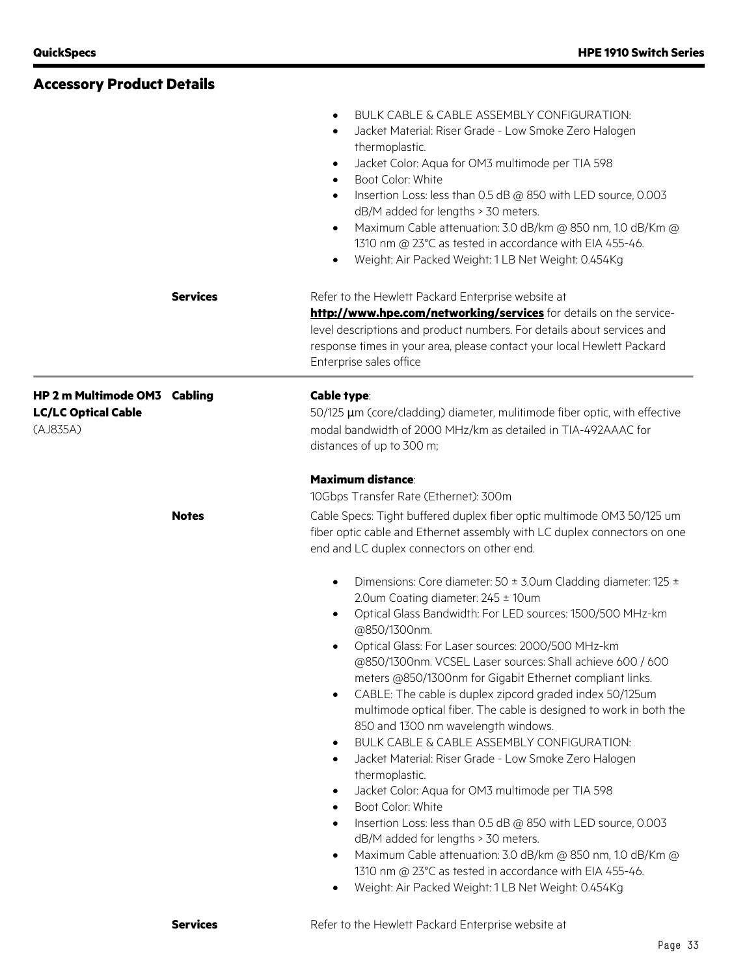|                                                                        |                 | <b>BULK CABLE &amp; CABLE ASSEMBLY CONFIGURATION:</b><br>Jacket Material: Riser Grade - Low Smoke Zero Halogen<br>thermoplastic.<br>Jacket Color: Aqua for OM3 multimode per TIA 598<br>$\bullet$<br>Boot Color: White<br>$\bullet$<br>Insertion Loss: less than 0.5 dB @ 850 with LED source, 0.003<br>٠<br>dB/M added for lengths > 30 meters.<br>Maximum Cable attenuation: 3.0 dB/km @ 850 nm, 1.0 dB/Km @<br>$\bullet$<br>1310 nm @ 23°C as tested in accordance with EIA 455-46.<br>Weight: Air Packed Weight: 1 LB Net Weight: 0.454Kg<br>$\bullet$                                                                                                                                                                                                                                                                                                                                                                                                                                                                                                                                                                                                                    |  |
|------------------------------------------------------------------------|-----------------|-------------------------------------------------------------------------------------------------------------------------------------------------------------------------------------------------------------------------------------------------------------------------------------------------------------------------------------------------------------------------------------------------------------------------------------------------------------------------------------------------------------------------------------------------------------------------------------------------------------------------------------------------------------------------------------------------------------------------------------------------------------------------------------------------------------------------------------------------------------------------------------------------------------------------------------------------------------------------------------------------------------------------------------------------------------------------------------------------------------------------------------------------------------------------------|--|
|                                                                        | <b>Services</b> | Refer to the Hewlett Packard Enterprise website at<br>http://www.hpe.com/networking/services for details on the service-<br>level descriptions and product numbers. For details about services and<br>response times in your area, please contact your local Hewlett Packard<br>Enterprise sales office                                                                                                                                                                                                                                                                                                                                                                                                                                                                                                                                                                                                                                                                                                                                                                                                                                                                       |  |
| HP 2 m Multimode OM3 Cabling<br><b>LC/LC Optical Cable</b><br>(AJ835A) |                 | <b>Cable type:</b><br>$50/125$ $\mu$ m (core/cladding) diameter, mulitimode fiber optic, with effective<br>modal bandwidth of 2000 MHz/km as detailed in TIA-492AAAC for<br>distances of up to 300 m;                                                                                                                                                                                                                                                                                                                                                                                                                                                                                                                                                                                                                                                                                                                                                                                                                                                                                                                                                                         |  |
|                                                                        |                 | <b>Maximum distance:</b>                                                                                                                                                                                                                                                                                                                                                                                                                                                                                                                                                                                                                                                                                                                                                                                                                                                                                                                                                                                                                                                                                                                                                      |  |
|                                                                        |                 | 10Gbps Transfer Rate (Ethernet): 300m                                                                                                                                                                                                                                                                                                                                                                                                                                                                                                                                                                                                                                                                                                                                                                                                                                                                                                                                                                                                                                                                                                                                         |  |
|                                                                        | <b>Notes</b>    | Cable Specs: Tight buffered duplex fiber optic multimode OM3 50/125 um<br>fiber optic cable and Ethernet assembly with LC duplex connectors on one<br>end and LC duplex connectors on other end.                                                                                                                                                                                                                                                                                                                                                                                                                                                                                                                                                                                                                                                                                                                                                                                                                                                                                                                                                                              |  |
|                                                                        | <b>Services</b> | Dimensions: Core diameter: 50 ± 3.0um Cladding diameter: 125 ±<br>٠<br>2.0um Coating diameter: $245 \pm 10$ um<br>Optical Glass Bandwidth: For LED sources: 1500/500 MHz-km<br>$\bullet$<br>@850/1300nm.<br>Optical Glass: For Laser sources: 2000/500 MHz-km<br>@850/1300nm. VCSEL Laser sources: Shall achieve 600 / 600<br>meters @850/1300nm for Gigabit Ethernet compliant links.<br>CABLE: The cable is duplex zipcord graded index 50/125um<br>$\bullet$<br>multimode optical fiber. The cable is designed to work in both the<br>850 and 1300 nm wavelength windows.<br>BULK CABLE & CABLE ASSEMBLY CONFIGURATION:<br>Jacket Material: Riser Grade - Low Smoke Zero Halogen<br>٠<br>thermoplastic.<br>Jacket Color: Aqua for OM3 multimode per TIA 598<br>$\bullet$<br>Boot Color: White<br>$\bullet$<br>Insertion Loss: less than 0.5 dB @ 850 with LED source, 0.003<br>$\bullet$<br>dB/M added for lengths > 30 meters.<br>Maximum Cable attenuation: 3.0 dB/km @ 850 nm, 1.0 dB/Km @<br>٠<br>1310 nm @ 23°C as tested in accordance with EIA 455-46.<br>Weight: Air Packed Weight: 1 LB Net Weight: 0.454Kg<br>Refer to the Hewlett Packard Enterprise website at |  |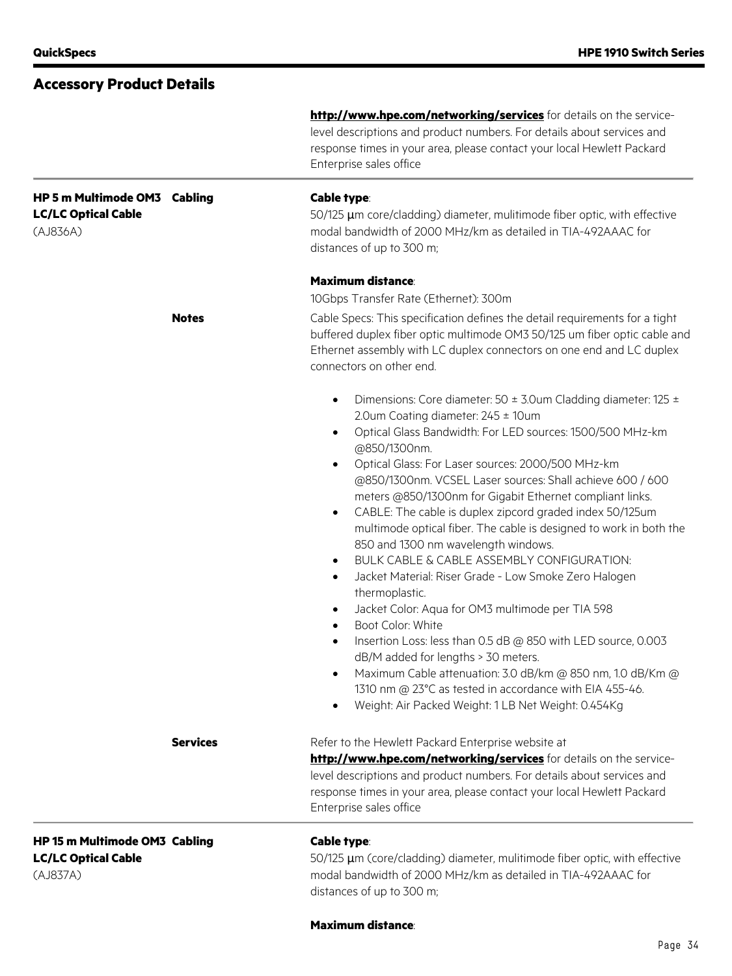|                                                                         |                 | http://www.hpe.com/networking/services for details on the service-<br>level descriptions and product numbers. For details about services and<br>response times in your area, please contact your local Hewlett Packard<br>Enterprise sales office                                                                                                                                                                                                                                                                                                                                                                                                                                                                                                                                                                                                                                                                                                                                                                                                                                                                                                    |  |
|-------------------------------------------------------------------------|-----------------|------------------------------------------------------------------------------------------------------------------------------------------------------------------------------------------------------------------------------------------------------------------------------------------------------------------------------------------------------------------------------------------------------------------------------------------------------------------------------------------------------------------------------------------------------------------------------------------------------------------------------------------------------------------------------------------------------------------------------------------------------------------------------------------------------------------------------------------------------------------------------------------------------------------------------------------------------------------------------------------------------------------------------------------------------------------------------------------------------------------------------------------------------|--|
| HP 5 m Multimode OM3 Cabling<br><b>LC/LC Optical Cable</b><br>(AJ836A)  |                 | <b>Cable type:</b><br>50/125 µm core/cladding) diameter, mulitimode fiber optic, with effective<br>modal bandwidth of 2000 MHz/km as detailed in TIA-492AAAC for<br>distances of up to 300 m;                                                                                                                                                                                                                                                                                                                                                                                                                                                                                                                                                                                                                                                                                                                                                                                                                                                                                                                                                        |  |
|                                                                         |                 | <b>Maximum distance:</b><br>10Gbps Transfer Rate (Ethernet): 300m                                                                                                                                                                                                                                                                                                                                                                                                                                                                                                                                                                                                                                                                                                                                                                                                                                                                                                                                                                                                                                                                                    |  |
|                                                                         | <b>Notes</b>    | Cable Specs: This specification defines the detail requirements for a tight<br>buffered duplex fiber optic multimode OM3 50/125 um fiber optic cable and<br>Ethernet assembly with LC duplex connectors on one end and LC duplex<br>connectors on other end.                                                                                                                                                                                                                                                                                                                                                                                                                                                                                                                                                                                                                                                                                                                                                                                                                                                                                         |  |
|                                                                         |                 | Dimensions: Core diameter: 50 $\pm$ 3.0um Cladding diameter: 125 $\pm$<br>$\bullet$<br>2.0um Coating diameter: 245 ± 10um<br>Optical Glass Bandwidth: For LED sources: 1500/500 MHz-km<br>$\bullet$<br>@850/1300nm.<br>Optical Glass: For Laser sources: 2000/500 MHz-km<br>٠<br>@850/1300nm. VCSEL Laser sources: Shall achieve 600 / 600<br>meters @850/1300nm for Gigabit Ethernet compliant links.<br>CABLE: The cable is duplex zipcord graded index 50/125um<br>$\bullet$<br>multimode optical fiber. The cable is designed to work in both the<br>850 and 1300 nm wavelength windows.<br>BULK CABLE & CABLE ASSEMBLY CONFIGURATION:<br>$\bullet$<br>Jacket Material: Riser Grade - Low Smoke Zero Halogen<br>$\bullet$<br>thermoplastic.<br>Jacket Color: Aqua for OM3 multimode per TIA 598<br>٠<br>Boot Color: White<br>$\bullet$<br>Insertion Loss: less than 0.5 dB @ 850 with LED source, 0.003<br>٠<br>dB/M added for lengths > 30 meters.<br>Maximum Cable attenuation: 3.0 dB/km @ 850 nm, 1.0 dB/Km @<br>$\bullet$<br>1310 nm @ 23°C as tested in accordance with EIA 455-46.<br>Weight: Air Packed Weight: 1 LB Net Weight: 0.454Kg |  |
|                                                                         | <b>Services</b> | Refer to the Hewlett Packard Enterprise website at<br>http://www.hpe.com/networking/services for details on the service-<br>level descriptions and product numbers. For details about services and<br>response times in your area, please contact your local Hewlett Packard<br>Enterprise sales office                                                                                                                                                                                                                                                                                                                                                                                                                                                                                                                                                                                                                                                                                                                                                                                                                                              |  |
| HP 15 m Multimode OM3 Cabling<br><b>LC/LC Optical Cable</b><br>(AJ837A) |                 | <b>Cable type:</b><br>50/125 µm (core/cladding) diameter, mulitimode fiber optic, with effective<br>modal bandwidth of 2000 MHz/km as detailed in TIA-492AAAC for<br>distances of up to 300 m;                                                                                                                                                                                                                                                                                                                                                                                                                                                                                                                                                                                                                                                                                                                                                                                                                                                                                                                                                       |  |

#### **Maximum distance**: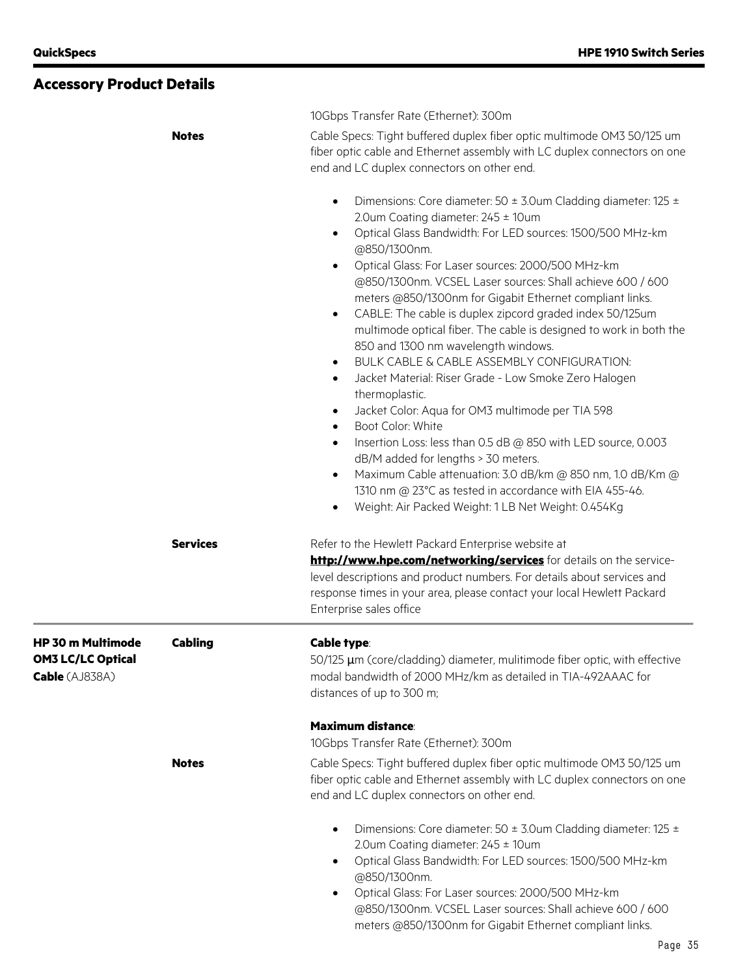|                                                                               |                 | 10Gbps Transfer Rate (Ethernet): 300m                                                                                                                                                                                                                                                                                                                                                                                                                                                                                                                                                                                                                                                                                                                                                                                                                                                                                                                                                                                                                                                                                                                                             |  |  |  |
|-------------------------------------------------------------------------------|-----------------|-----------------------------------------------------------------------------------------------------------------------------------------------------------------------------------------------------------------------------------------------------------------------------------------------------------------------------------------------------------------------------------------------------------------------------------------------------------------------------------------------------------------------------------------------------------------------------------------------------------------------------------------------------------------------------------------------------------------------------------------------------------------------------------------------------------------------------------------------------------------------------------------------------------------------------------------------------------------------------------------------------------------------------------------------------------------------------------------------------------------------------------------------------------------------------------|--|--|--|
| <b>Notes</b>                                                                  |                 | Cable Specs: Tight buffered duplex fiber optic multimode OM3 50/125 um<br>fiber optic cable and Ethernet assembly with LC duplex connectors on one<br>end and LC duplex connectors on other end.                                                                                                                                                                                                                                                                                                                                                                                                                                                                                                                                                                                                                                                                                                                                                                                                                                                                                                                                                                                  |  |  |  |
|                                                                               |                 | Dimensions: Core diameter: 50 $\pm$ 3.0um Cladding diameter: 125 $\pm$<br>$\bullet$<br>2.0um Coating diameter: $245 \pm 10$ um<br>Optical Glass Bandwidth: For LED sources: 1500/500 MHz-km<br>$\bullet$<br>@850/1300nm.<br>Optical Glass: For Laser sources: 2000/500 MHz-km<br>$\bullet$<br>@850/1300nm. VCSEL Laser sources: Shall achieve 600 / 600<br>meters @850/1300nm for Gigabit Ethernet compliant links.<br>CABLE: The cable is duplex zipcord graded index 50/125um<br>$\bullet$<br>multimode optical fiber. The cable is designed to work in both the<br>850 and 1300 nm wavelength windows.<br>BULK CABLE & CABLE ASSEMBLY CONFIGURATION:<br>$\bullet$<br>Jacket Material: Riser Grade - Low Smoke Zero Halogen<br>$\bullet$<br>thermoplastic.<br>Jacket Color: Aqua for OM3 multimode per TIA 598<br>$\bullet$<br>Boot Color: White<br>$\bullet$<br>Insertion Loss: less than 0.5 dB @ 850 with LED source, 0.003<br>$\bullet$<br>dB/M added for lengths > 30 meters.<br>Maximum Cable attenuation: 3.0 dB/km @ 850 nm, 1.0 dB/Km @<br>$\bullet$<br>1310 nm @ 23°C as tested in accordance with EIA 455-46.<br>Weight: Air Packed Weight: 1 LB Net Weight: 0.454Kg |  |  |  |
|                                                                               | <b>Services</b> | Refer to the Hewlett Packard Enterprise website at<br>http://www.hpe.com/networking/services for details on the service-<br>level descriptions and product numbers. For details about services and<br>response times in your area, please contact your local Hewlett Packard<br>Enterprise sales office                                                                                                                                                                                                                                                                                                                                                                                                                                                                                                                                                                                                                                                                                                                                                                                                                                                                           |  |  |  |
| <b>HP 30 m Multimode</b><br><b>OM3 LC/LC Optical</b><br><b>Cable</b> (AJ838A) | <b>Cabling</b>  | Cable type:<br>50/125 µm (core/cladding) diameter, mulitimode fiber optic, with effective<br>modal bandwidth of 2000 MHz/km as detailed in TIA-492AAAC for<br>distances of up to 300 m;                                                                                                                                                                                                                                                                                                                                                                                                                                                                                                                                                                                                                                                                                                                                                                                                                                                                                                                                                                                           |  |  |  |
|                                                                               | <b>Notes</b>    | <b>Maximum distance:</b><br>10Gbps Transfer Rate (Ethernet): 300m<br>Cable Specs: Tight buffered duplex fiber optic multimode OM3 50/125 um<br>fiber optic cable and Ethernet assembly with LC duplex connectors on one<br>end and LC duplex connectors on other end.                                                                                                                                                                                                                                                                                                                                                                                                                                                                                                                                                                                                                                                                                                                                                                                                                                                                                                             |  |  |  |
|                                                                               |                 | Dimensions: Core diameter: 50 $\pm$ 3.0um Cladding diameter: 125 $\pm$<br>2.0um Coating diameter: $245 \pm 10$ um<br>Optical Glass Bandwidth: For LED sources: 1500/500 MHz-km<br>@850/1300nm.<br>Optical Glass: For Laser sources: 2000/500 MHz-km<br>@850/1300nm. VCSEL Laser sources: Shall achieve 600 / 600<br>meters @850/1300nm for Gigabit Ethernet compliant links.                                                                                                                                                                                                                                                                                                                                                                                                                                                                                                                                                                                                                                                                                                                                                                                                      |  |  |  |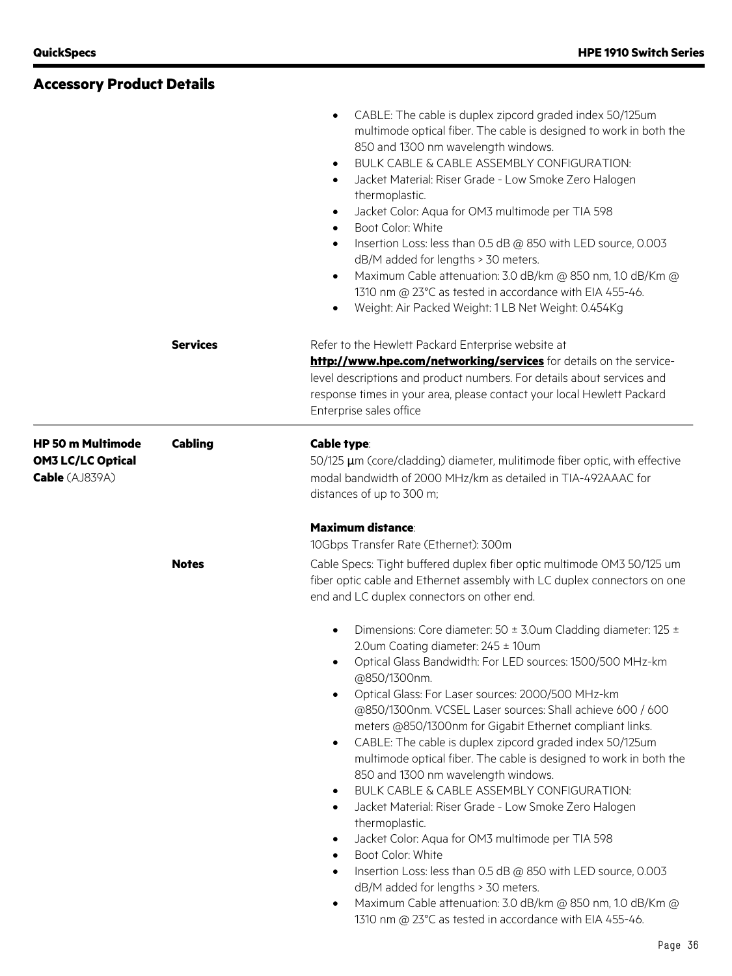|                                                                        |                 | CABLE: The cable is duplex zipcord graded index 50/125um<br>multimode optical fiber. The cable is designed to work in both the<br>850 and 1300 nm wavelength windows.<br>BULK CABLE & CABLE ASSEMBLY CONFIGURATION:<br>$\bullet$<br>Jacket Material: Riser Grade - Low Smoke Zero Halogen<br>$\bullet$<br>thermoplastic.<br>Jacket Color: Aqua for OM3 multimode per TIA 598<br>Boot Color: White<br>$\bullet$<br>Insertion Loss: less than 0.5 dB @ 850 with LED source, 0.003<br>$\bullet$<br>dB/M added for lengths > 30 meters.<br>Maximum Cable attenuation: 3.0 dB/km @ 850 nm, 1.0 dB/Km @<br>$\bullet$<br>1310 nm @ 23°C as tested in accordance with EIA 455-46.<br>Weight: Air Packed Weight: 1 LB Net Weight: 0.454Kg                                                                                                                                                                                                                                                                                        |
|------------------------------------------------------------------------|-----------------|-------------------------------------------------------------------------------------------------------------------------------------------------------------------------------------------------------------------------------------------------------------------------------------------------------------------------------------------------------------------------------------------------------------------------------------------------------------------------------------------------------------------------------------------------------------------------------------------------------------------------------------------------------------------------------------------------------------------------------------------------------------------------------------------------------------------------------------------------------------------------------------------------------------------------------------------------------------------------------------------------------------------------|
|                                                                        | <b>Services</b> | Refer to the Hewlett Packard Enterprise website at<br>http://www.hpe.com/networking/services for details on the service-<br>level descriptions and product numbers. For details about services and<br>response times in your area, please contact your local Hewlett Packard<br>Enterprise sales office                                                                                                                                                                                                                                                                                                                                                                                                                                                                                                                                                                                                                                                                                                                 |
| <b>HP 50 m Multimode</b><br><b>OM3 LC/LC Optical</b><br>Cable (AJ839A) | <b>Cabling</b>  | <b>Cable type:</b><br>50/125 µm (core/cladding) diameter, mulitimode fiber optic, with effective<br>modal bandwidth of 2000 MHz/km as detailed in TIA-492AAAC for<br>distances of up to 300 m;                                                                                                                                                                                                                                                                                                                                                                                                                                                                                                                                                                                                                                                                                                                                                                                                                          |
|                                                                        | <b>Notes</b>    | <b>Maximum distance:</b><br>10Gbps Transfer Rate (Ethernet): 300m<br>Cable Specs: Tight buffered duplex fiber optic multimode OM3 50/125 um<br>fiber optic cable and Ethernet assembly with LC duplex connectors on one<br>end and LC duplex connectors on other end.                                                                                                                                                                                                                                                                                                                                                                                                                                                                                                                                                                                                                                                                                                                                                   |
|                                                                        |                 | Dimensions: Core diameter: 50 ± 3.0um Cladding diameter: 125 ±<br>2.0um Coating diameter: $245 \pm 10$ um<br>Optical Glass Bandwidth: For LED sources: 1500/500 MHz-km<br>@850/1300nm.<br>Optical Glass: For Laser sources: 2000/500 MHz-km<br>@850/1300nm. VCSEL Laser sources: Shall achieve 600 / 600<br>meters @850/1300nm for Gigabit Ethernet compliant links.<br>CABLE: The cable is duplex zipcord graded index 50/125um<br>$\bullet$<br>multimode optical fiber. The cable is designed to work in both the<br>850 and 1300 nm wavelength windows.<br>BULK CABLE & CABLE ASSEMBLY CONFIGURATION:<br>Jacket Material: Riser Grade - Low Smoke Zero Halogen<br>$\bullet$<br>thermoplastic.<br>Jacket Color: Aqua for OM3 multimode per TIA 598<br>Boot Color: White<br>Insertion Loss: less than 0.5 dB @ 850 with LED source, 0.003<br>dB/M added for lengths > 30 meters.<br>Maximum Cable attenuation: 3.0 dB/km @ 850 nm, 1.0 dB/Km @<br>$\bullet$<br>1310 nm @ 23°C as tested in accordance with EIA 455-46. |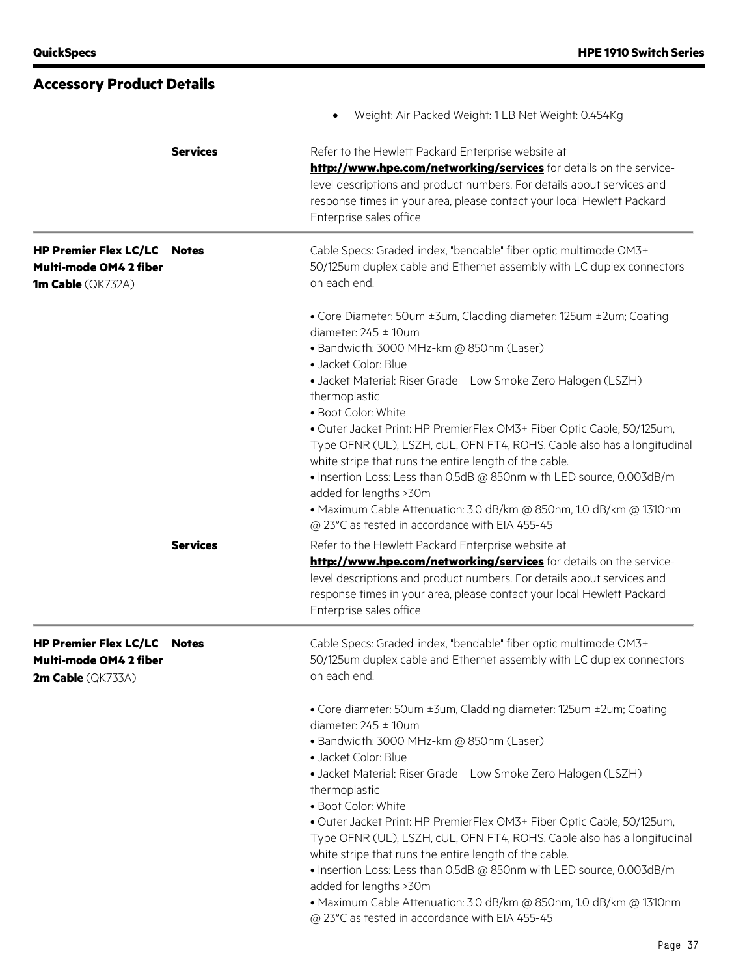| <b>Accessory Product Details</b>                                                   |                 |                                                                                                                                                                                                                                                                                                                                                                                                                                                                                                                                                                                                                                                                                                                        |
|------------------------------------------------------------------------------------|-----------------|------------------------------------------------------------------------------------------------------------------------------------------------------------------------------------------------------------------------------------------------------------------------------------------------------------------------------------------------------------------------------------------------------------------------------------------------------------------------------------------------------------------------------------------------------------------------------------------------------------------------------------------------------------------------------------------------------------------------|
|                                                                                    |                 | Weight: Air Packed Weight: 1 LB Net Weight: 0.454Kg                                                                                                                                                                                                                                                                                                                                                                                                                                                                                                                                                                                                                                                                    |
|                                                                                    | <b>Services</b> | Refer to the Hewlett Packard Enterprise website at<br>http://www.hpe.com/networking/services for details on the service-<br>level descriptions and product numbers. For details about services and<br>response times in your area, please contact your local Hewlett Packard<br>Enterprise sales office                                                                                                                                                                                                                                                                                                                                                                                                                |
| <b>HP Premier Flex LC/LC</b><br>Multi-mode OM4 2 fiber<br><b>1m Cable</b> (QK732A) | <b>Notes</b>    | Cable Specs: Graded-index, "bendable" fiber optic multimode OM3+<br>50/125um duplex cable and Ethernet assembly with LC duplex connectors<br>on each end.                                                                                                                                                                                                                                                                                                                                                                                                                                                                                                                                                              |
|                                                                                    |                 | • Core Diameter: 50um ±3um, Cladding diameter: 125um ±2um; Coating<br>diameter: $245 \pm 10$ um<br>· Bandwidth: 3000 MHz-km @ 850nm (Laser)<br>· Jacket Color: Blue<br>• Jacket Material: Riser Grade - Low Smoke Zero Halogen (LSZH)<br>thermoplastic<br>· Boot Color: White<br>. Outer Jacket Print: HP PremierFlex OM3+ Fiber Optic Cable, 50/125um,<br>Type OFNR (UL), LSZH, cUL, OFN FT4, ROHS. Cable also has a longitudinal<br>white stripe that runs the entire length of the cable.<br>. Insertion Loss: Less than 0.5dB @ 850nm with LED source, 0.003dB/m<br>added for lengths >30m<br>• Maximum Cable Attenuation: 3.0 dB/km @ 850nm, 1.0 dB/km @ 1310nm<br>@ 23°C as tested in accordance with EIA 455-45 |
|                                                                                    | <b>Services</b> | Refer to the Hewlett Packard Enterprise website at<br>http://www.hpe.com/networking/services for details on the service-<br>level descriptions and product numbers. For details about services and<br>response times in your area, please contact your local Hewlett Packard<br>Enterprise sales office                                                                                                                                                                                                                                                                                                                                                                                                                |
| <b>HP Premier Flex LC/LC Notes</b><br>Multi-mode OM4 2 fiber<br>2m Cable (QK733A)  |                 | Cable Specs: Graded-index, "bendable" fiber optic multimode OM3+<br>50/125um duplex cable and Ethernet assembly with LC duplex connectors<br>on each end.                                                                                                                                                                                                                                                                                                                                                                                                                                                                                                                                                              |
|                                                                                    |                 | • Core diameter: 50um ±3um, Cladding diameter: 125um ±2um; Coating<br>diameter: $245 \pm 10$ um<br>· Bandwidth: 3000 MHz-km @ 850nm (Laser)<br>· Jacket Color: Blue<br>• Jacket Material: Riser Grade - Low Smoke Zero Halogen (LSZH)<br>thermoplastic<br>· Boot Color: White<br>· Outer Jacket Print: HP PremierFlex OM3+ Fiber Optic Cable, 50/125um,<br>Type OFNR (UL), LSZH, cUL, OFN FT4, ROHS. Cable also has a longitudinal<br>white stripe that runs the entire length of the cable.<br>• Insertion Loss: Less than 0.5dB @ 850nm with LED source, 0.003dB/m<br>added for lengths >30m<br>· Maximum Cable Attenuation: 3.0 dB/km @ 850nm, 1.0 dB/km @ 1310nm<br>@ 23°C as tested in accordance with EIA 455-45 |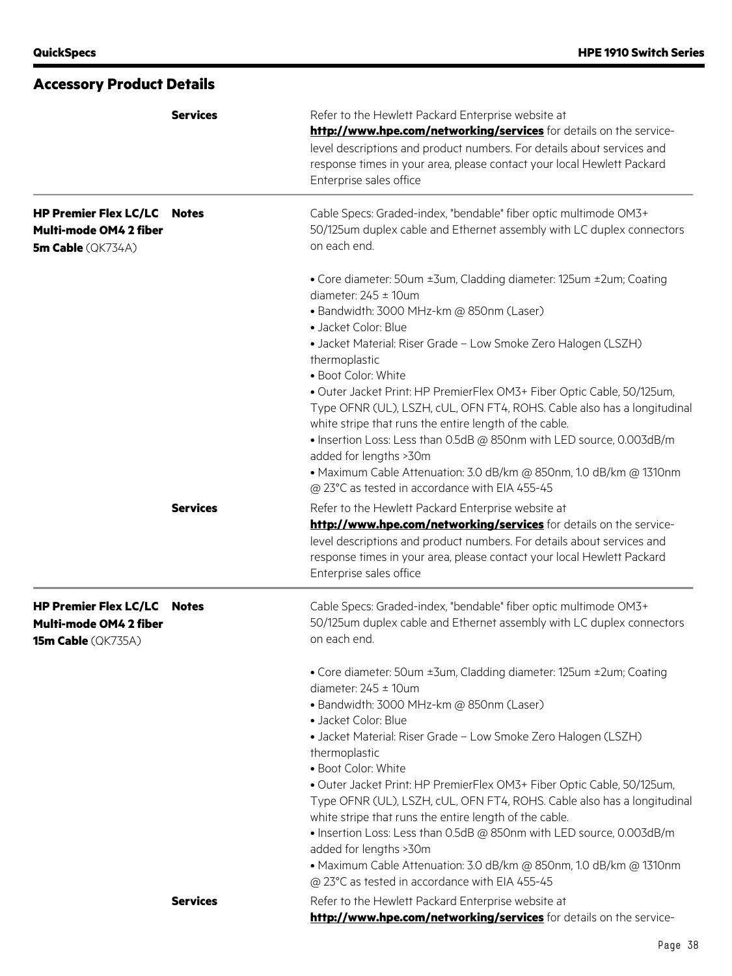|                                                                              | <b>Services</b> | Refer to the Hewlett Packard Enterprise website at<br>http://www.hpe.com/networking/services for details on the service-<br>level descriptions and product numbers. For details about services and<br>response times in your area, please contact your local Hewlett Packard<br>Enterprise sales office                                                                                                                               |
|------------------------------------------------------------------------------|-----------------|---------------------------------------------------------------------------------------------------------------------------------------------------------------------------------------------------------------------------------------------------------------------------------------------------------------------------------------------------------------------------------------------------------------------------------------|
| <b>HP Premier Flex LC/LC</b><br>Multi-mode OM4 2 fiber<br>5m Cable (QK734A)  | <b>Notes</b>    | Cable Specs: Graded-index, "bendable" fiber optic multimode OM3+<br>50/125um duplex cable and Ethernet assembly with LC duplex connectors<br>on each end.                                                                                                                                                                                                                                                                             |
|                                                                              |                 | • Core diameter: 50um ±3um, Cladding diameter: 125um ±2um; Coating<br>diameter: $245 \pm 10$ um<br>· Bandwidth: 3000 MHz-km @ 850nm (Laser)<br>· Jacket Color: Blue                                                                                                                                                                                                                                                                   |
|                                                                              |                 | • Jacket Material: Riser Grade - Low Smoke Zero Halogen (LSZH)<br>thermoplastic<br>· Boot Color: White                                                                                                                                                                                                                                                                                                                                |
|                                                                              |                 | . Outer Jacket Print: HP PremierFlex OM3+ Fiber Optic Cable, 50/125um,<br>Type OFNR (UL), LSZH, cUL, OFN FT4, ROHS. Cable also has a longitudinal<br>white stripe that runs the entire length of the cable.<br>• Insertion Loss: Less than 0.5dB @ 850nm with LED source, 0.003dB/m<br>added for lengths >30m<br>• Maximum Cable Attenuation: 3.0 dB/km @ 850nm, 1.0 dB/km @ 1310nm<br>@ 23°C as tested in accordance with EIA 455-45 |
|                                                                              | <b>Services</b> | Refer to the Hewlett Packard Enterprise website at<br>http://www.hpe.com/networking/services for details on the service-<br>level descriptions and product numbers. For details about services and<br>response times in your area, please contact your local Hewlett Packard<br>Enterprise sales office                                                                                                                               |
| <b>HP Premier Flex LC/LC</b><br>Multi-mode OM4 2 fiber<br>15m Cable (QK735A) | <b>Notes</b>    | Cable Specs: Graded-index, "bendable" fiber optic multimode OM3+<br>50/125um duplex cable and Ethernet assembly with LC duplex connectors<br>on each end.                                                                                                                                                                                                                                                                             |
|                                                                              |                 | • Core diameter: 50um ±3um, Cladding diameter: 125um ±2um; Coating<br>diameter: $245 \pm 10$ um<br>· Bandwidth: 3000 MHz-km @ 850nm (Laser)<br>• Jacket Color: Blue                                                                                                                                                                                                                                                                   |
|                                                                              |                 | • Jacket Material: Riser Grade - Low Smoke Zero Halogen (LSZH)<br>thermoplastic<br>· Boot Color: White                                                                                                                                                                                                                                                                                                                                |
|                                                                              |                 | . Outer Jacket Print: HP PremierFlex OM3+ Fiber Optic Cable, 50/125um,<br>Type OFNR (UL), LSZH, cUL, OFN FT4, ROHS. Cable also has a longitudinal<br>white stripe that runs the entire length of the cable.<br>• Insertion Loss: Less than 0.5dB @ 850nm with LED source, 0.003dB/m<br>added for lengths >30m<br>• Maximum Cable Attenuation: 3.0 dB/km @ 850nm, 1.0 dB/km @ 1310nm                                                   |
|                                                                              |                 | @ 23°C as tested in accordance with EIA 455-45                                                                                                                                                                                                                                                                                                                                                                                        |
|                                                                              | <b>Services</b> | Refer to the Hewlett Packard Enterprise website at<br>http://www.hpe.com/networking/services for details on the service-                                                                                                                                                                                                                                                                                                              |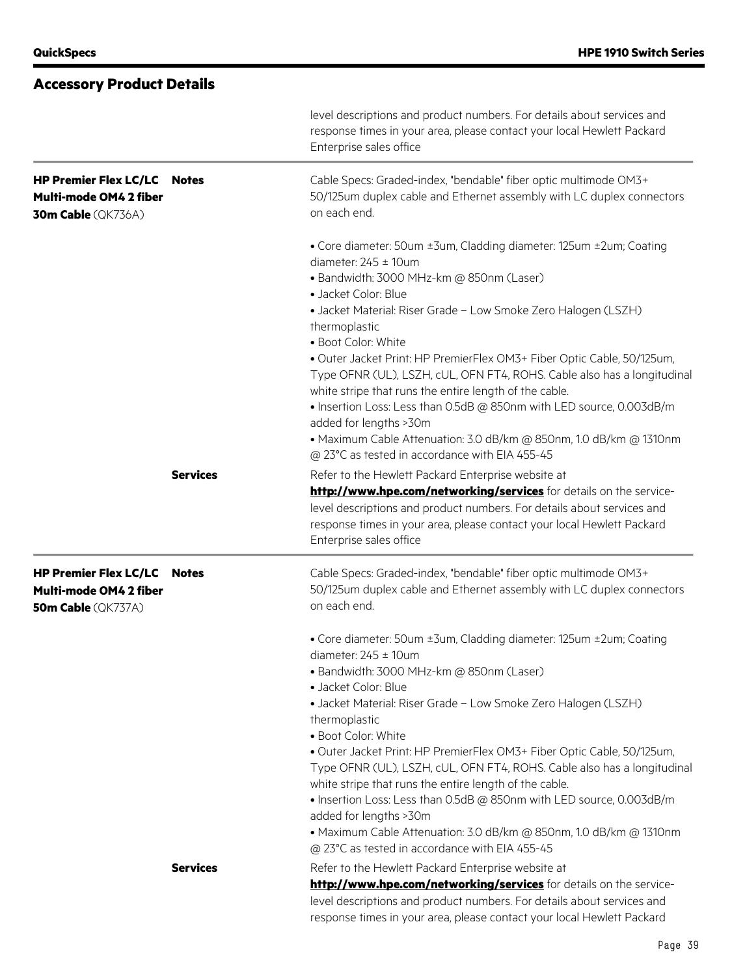|                                                                                           |                 | level descriptions and product numbers. For details about services and<br>response times in your area, please contact your local Hewlett Packard<br>Enterprise sales office                                                                                                                                                                                                                                                                                                                                                                                                                                                                                          |
|-------------------------------------------------------------------------------------------|-----------------|----------------------------------------------------------------------------------------------------------------------------------------------------------------------------------------------------------------------------------------------------------------------------------------------------------------------------------------------------------------------------------------------------------------------------------------------------------------------------------------------------------------------------------------------------------------------------------------------------------------------------------------------------------------------|
| <b>HP Premier Flex LC/LC Notes</b><br>Multi-mode OM4 2 fiber<br><b>30m Cable</b> (QK736A) |                 | Cable Specs: Graded-index, "bendable" fiber optic multimode OM3+<br>50/125um duplex cable and Ethernet assembly with LC duplex connectors<br>on each end.                                                                                                                                                                                                                                                                                                                                                                                                                                                                                                            |
|                                                                                           |                 | • Core diameter: 50um ±3um, Cladding diameter: 125um ±2um; Coating<br>diameter: $245 \pm 10$ um<br>· Bandwidth: 3000 MHz-km @ 850nm (Laser)<br>· Jacket Color: Blue<br>• Jacket Material: Riser Grade - Low Smoke Zero Halogen (LSZH)<br>thermoplastic<br>· Boot Color: White<br>· Outer Jacket Print: HP PremierFlex OM3+ Fiber Optic Cable, 50/125um,<br>Type OFNR (UL), LSZH, cUL, OFN FT4, ROHS. Cable also has a longitudinal<br>white stripe that runs the entire length of the cable.<br>. Insertion Loss: Less than 0.5dB @ 850nm with LED source, 0.003dB/m<br>added for lengths >30m<br>• Maximum Cable Attenuation: 3.0 dB/km @ 850nm, 1.0 dB/km @ 1310nm |
|                                                                                           | <b>Services</b> | @ 23°C as tested in accordance with EIA 455-45<br>Refer to the Hewlett Packard Enterprise website at<br>http://www.hpe.com/networking/services for details on the service-<br>level descriptions and product numbers. For details about services and<br>response times in your area, please contact your local Hewlett Packard<br>Enterprise sales office                                                                                                                                                                                                                                                                                                            |
| <b>HP Premier Flex LC/LC</b><br>Multi-mode OM4 2 fiber<br><b>50m Cable</b> (QK737A)       | <b>Notes</b>    | Cable Specs: Graded-index, "bendable" fiber optic multimode OM3+<br>50/125um duplex cable and Ethernet assembly with LC duplex connectors<br>on each end.                                                                                                                                                                                                                                                                                                                                                                                                                                                                                                            |
|                                                                                           |                 | • Core diameter: 50um ±3um, Cladding diameter: 125um ±2um; Coating<br>diameter: $245 \pm 10$ um<br>· Bandwidth: 3000 MHz-km @ 850nm (Laser)<br>· Jacket Color: Blue<br>• Jacket Material: Riser Grade - Low Smoke Zero Halogen (LSZH)<br>thermoplastic<br>· Boot Color: White<br>· Outer Jacket Print: HP PremierFlex OM3+ Fiber Optic Cable, 50/125um,<br>Type OFNR (UL), LSZH, cUL, OFN FT4, ROHS. Cable also has a longitudinal<br>white stripe that runs the entire length of the cable.<br>. Insertion Loss: Less than 0.5dB @ 850nm with LED source, 0.003dB/m<br>added for lengths >30m                                                                       |
|                                                                                           |                 | • Maximum Cable Attenuation: 3.0 dB/km @ 850nm, 1.0 dB/km @ 1310nm<br>@ 23°C as tested in accordance with EIA 455-45                                                                                                                                                                                                                                                                                                                                                                                                                                                                                                                                                 |
|                                                                                           | <b>Services</b> | Refer to the Hewlett Packard Enterprise website at<br>http://www.hpe.com/networking/services for details on the service-<br>level descriptions and product numbers. For details about services and<br>response times in your area, please contact your local Hewlett Packard                                                                                                                                                                                                                                                                                                                                                                                         |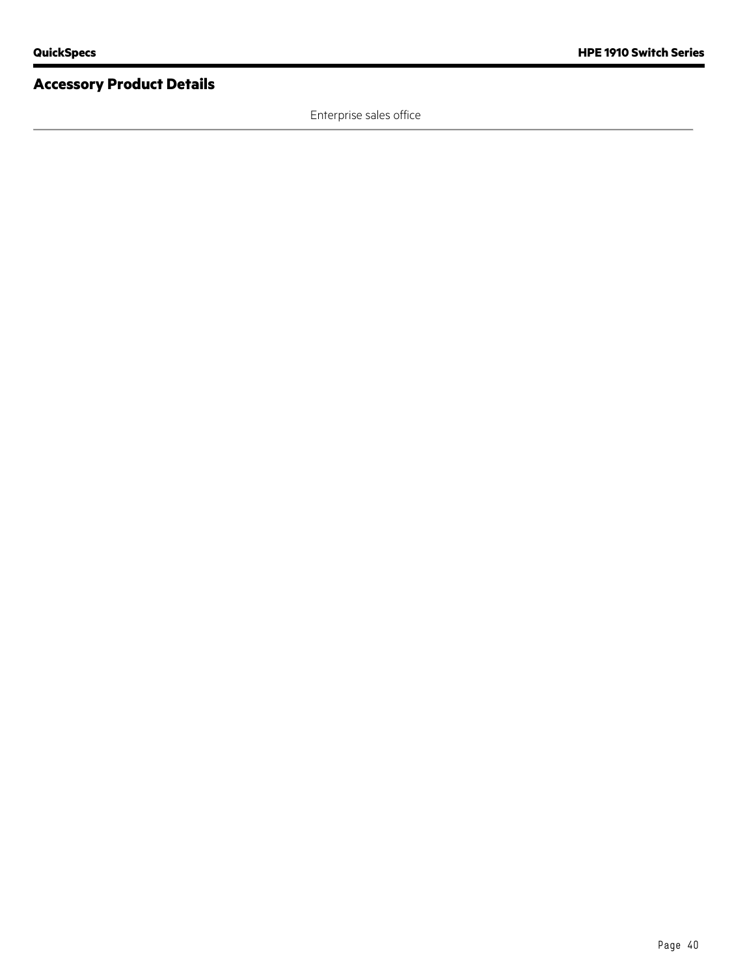Enterprise sales office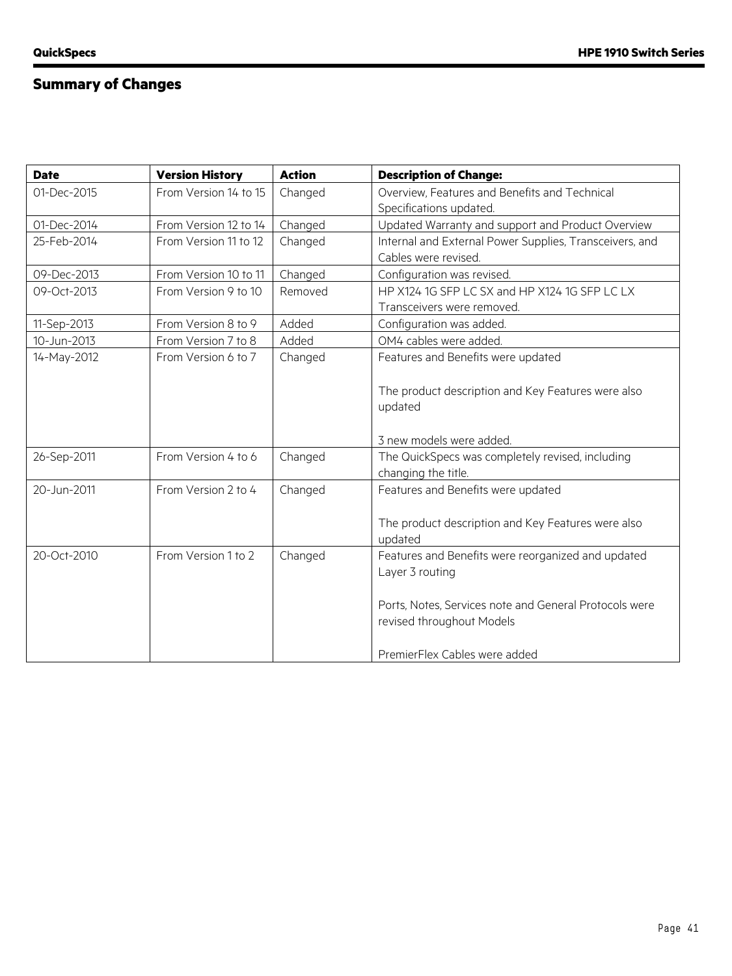### **Summary of Changes**

| <b>Date</b> | <b>Version History</b> | <b>Action</b> | <b>Description of Change:</b>                           |
|-------------|------------------------|---------------|---------------------------------------------------------|
| 01-Dec-2015 | From Version 14 to 15  | Changed       | Overview, Features and Benefits and Technical           |
|             |                        |               | Specifications updated.                                 |
| 01-Dec-2014 | From Version 12 to 14  | Changed       | Updated Warranty and support and Product Overview       |
| 25-Feb-2014 | From Version 11 to 12  | Changed       | Internal and External Power Supplies, Transceivers, and |
|             |                        |               | Cables were revised.                                    |
| 09-Dec-2013 | From Version 10 to 11  | Changed       | Configuration was revised.                              |
| 09-Oct-2013 | From Version 9 to 10   | Removed       | HP X124 1G SFP LC SX and HP X124 1G SFP LC LX           |
|             |                        |               | Transceivers were removed.                              |
| 11-Sep-2013 | From Version 8 to 9    | Added         | Configuration was added.                                |
| 10-Jun-2013 | From Version 7 to 8    | Added         | OM4 cables were added.                                  |
| 14-May-2012 | From Version 6 to 7    | Changed       | Features and Benefits were updated                      |
|             |                        |               |                                                         |
|             |                        |               | The product description and Key Features were also      |
|             |                        |               | updated                                                 |
|             |                        |               |                                                         |
|             |                        |               | 3 new models were added.                                |
| 26-Sep-2011 | From Version 4 to 6    | Changed       | The QuickSpecs was completely revised, including        |
|             |                        |               | changing the title.                                     |
| 20-Jun-2011 | From Version 2 to 4    | Changed       | Features and Benefits were updated                      |
|             |                        |               |                                                         |
|             |                        |               | The product description and Key Features were also      |
|             |                        |               | updated                                                 |
| 20-Oct-2010 | From Version 1 to 2    | Changed       | Features and Benefits were reorganized and updated      |
|             |                        |               | Layer 3 routing                                         |
|             |                        |               |                                                         |
|             |                        |               | Ports, Notes, Services note and General Protocols were  |
|             |                        |               | revised throughout Models                               |
|             |                        |               |                                                         |
|             |                        |               | PremierFlex Cables were added                           |